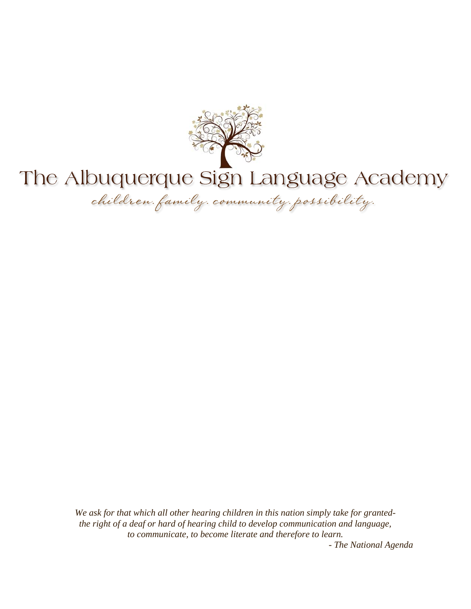

# The Albuquerque Sign Language Academy

children family community possibility.

*We ask for that which all other hearing children in this nation simply take for grantedthe right of a deaf or hard of hearing child to develop communication and language, to communicate, to become literate and therefore to learn.* 

*- The National Agenda*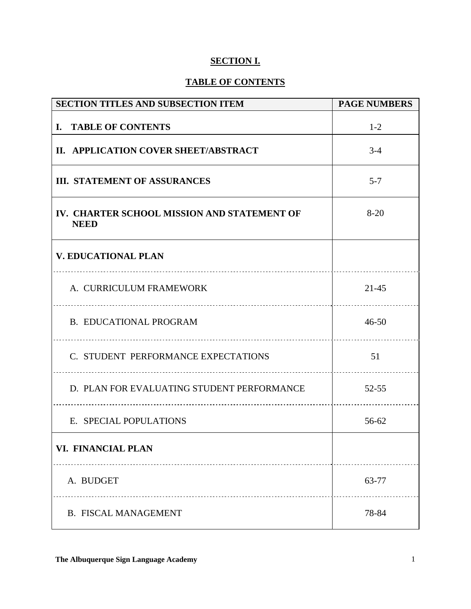## **SECTION I.**

## **TABLE OF CONTENTS**

| <b>SECTION TITLES AND SUBSECTION ITEM</b>                  | <b>PAGE NUMBERS</b> |
|------------------------------------------------------------|---------------------|
| I. TABLE OF CONTENTS                                       | $1 - 2$             |
| II. APPLICATION COVER SHEET/ABSTRACT                       | $3-4$               |
| <b>III. STATEMENT OF ASSURANCES</b>                        | $5 - 7$             |
| IV. CHARTER SCHOOL MISSION AND STATEMENT OF<br><b>NEED</b> | $8 - 20$            |
| <b>V. EDUCATIONAL PLAN</b>                                 |                     |
| A. CURRICULUM FRAMEWORK                                    | $21 - 45$           |
| <b>B. EDUCATIONAL PROGRAM</b>                              | $46 - 50$           |
| C. STUDENT PERFORMANCE EXPECTATIONS                        | 51                  |
| D. PLAN FOR EVALUATING STUDENT PERFORMANCE                 | $52 - 55$           |
| E. SPECIAL POPULATIONS                                     | 56-62               |
| VI. FINANCIAL PLAN                                         |                     |
| A. BUDGET                                                  | 63-77               |
| <b>B. FISCAL MANAGEMENT</b>                                | 78-84               |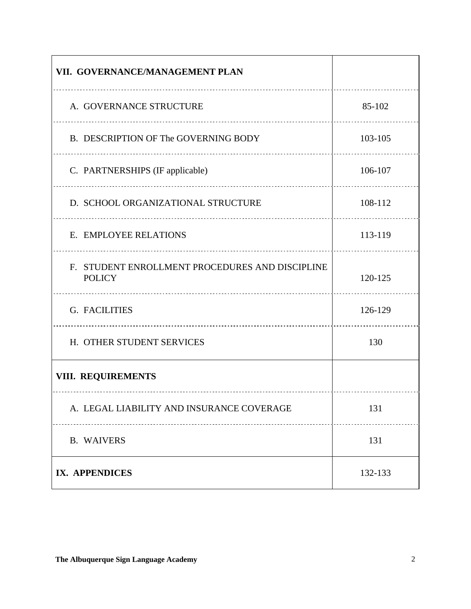| VII. GOVERNANCE/MANAGEMENT PLAN                                  |         |
|------------------------------------------------------------------|---------|
| A. GOVERNANCE STRUCTURE                                          | 85-102  |
| B. DESCRIPTION OF The GOVERNING BODY                             | 103-105 |
| C. PARTNERSHIPS (IF applicable)                                  | 106-107 |
| D. SCHOOL ORGANIZATIONAL STRUCTURE                               | 108-112 |
| E. EMPLOYEE RELATIONS                                            | 113-119 |
| F. STUDENT ENROLLMENT PROCEDURES AND DISCIPLINE<br><b>POLICY</b> | 120-125 |
| G. FACILITIES                                                    | 126-129 |
| H. OTHER STUDENT SERVICES                                        | 130     |
| VIII. REQUIREMENTS                                               |         |
| A. LEGAL LIABILITY AND INSURANCE COVERAGE                        | 131     |
| <b>B. WAIVERS</b>                                                | 131     |
| IX. APPENDICES                                                   | 132-133 |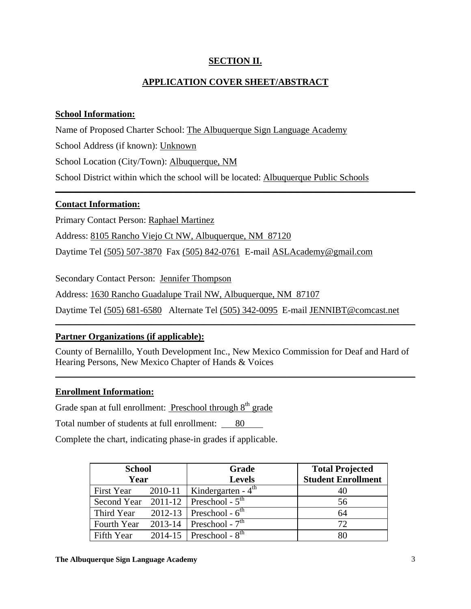## **SECTION II.**

## **APPLICATION COVER SHEET/ABSTRACT**

\_\_\_\_\_\_\_\_\_\_\_\_\_\_\_\_\_\_\_\_\_\_\_\_\_\_\_\_\_\_\_\_\_\_\_\_\_\_\_\_\_\_\_\_\_\_\_\_\_\_\_\_\_\_\_\_\_\_\_\_\_\_\_\_\_\_\_\_\_\_\_\_\_\_\_\_\_\_

## **School Information:**

Name of Proposed Charter School: The Albuquerque Sign Language Academy

School Address (if known): Unknown

School Location (City/Town): Albuquerque, NM

School District within which the school will be located: Albuquerque Public Schools

## **Contact Information:**

Primary Contact Person: Raphael Martinez

Address: 8105 Rancho Viejo Ct NW, Albuquerque, NM 87120

Daytime Tel (505) 507-3870 Fax (505) 842-0761 E-mail ASLAcademy@gmail.com

Secondary Contact Person: Jennifer Thompson

Address: 1630 Rancho Guadalupe Trail NW, Albuquerque, NM 87107

Daytime Tel (505) 681-6580 Alternate Tel (505) 342-0095 E-mail JENNIBT@comcast.net

## **Partner Organizations (if applicable):**

County of Bernalillo, Youth Development Inc., New Mexico Commission for Deaf and Hard of Hearing Persons, New Mexico Chapter of Hands & Voices

\_\_\_\_\_\_\_\_\_\_\_\_\_\_\_\_\_\_\_\_\_\_\_\_\_\_\_\_\_\_\_\_\_\_\_\_\_\_\_\_\_\_\_\_\_\_\_\_\_\_\_\_\_\_\_\_\_\_\_\_\_\_\_\_\_\_\_\_\_\_\_\_\_\_\_\_\_\_

\_\_\_\_\_\_\_\_\_\_\_\_\_\_\_\_\_\_\_\_\_\_\_\_\_\_\_\_\_\_\_\_\_\_\_\_\_\_\_\_\_\_\_\_\_\_\_\_\_\_\_\_\_\_\_\_\_\_\_\_\_\_\_\_\_\_\_\_\_\_\_\_\_\_\_\_\_\_

## **Enrollment Information:**

Grade span at full enrollment: **Preschool through**  $8<sup>th</sup>$  **grade** 

Total number of students at full enrollment: 80

Complete the chart, indicating phase-in grades if applicable.

| <b>School</b> |         | Grade                                    | <b>Total Projected</b>    |
|---------------|---------|------------------------------------------|---------------------------|
| Year          |         | <b>Levels</b>                            | <b>Student Enrollment</b> |
| First Year    |         | 2010-11   Kindergarten - $4^{\text{th}}$ | 40                        |
|               |         | Second Year $2011-12$ Preschool - $5th$  | 56                        |
| Third Year    |         | 2012-13   Preschool - $6^{\text{th}}$    | 64                        |
| Fourth Year   | 2013-14 | Preschool - $7th$                        | 72                        |
| Fifth Year    |         | 2014-15   Preschool - $8^{\text{th}}$    | 80                        |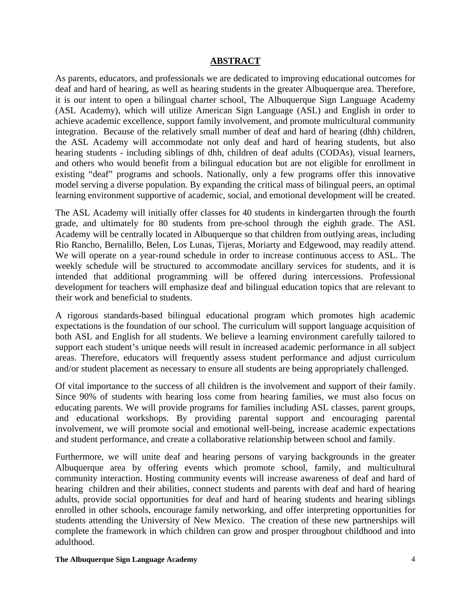## **ABSTRACT**

As parents, educators, and professionals we are dedicated to improving educational outcomes for deaf and hard of hearing, as well as hearing students in the greater Albuquerque area. Therefore, it is our intent to open a bilingual charter school, The Albuquerque Sign Language Academy (ASL Academy), which will utilize American Sign Language (ASL) and English in order to achieve academic excellence, support family involvement, and promote multicultural community integration. Because of the relatively small number of deaf and hard of hearing (dhh) children, the ASL Academy will accommodate not only deaf and hard of hearing students, but also hearing students - including siblings of dhh, children of deaf adults (CODAs), visual learners, and others who would benefit from a bilingual education but are not eligible for enrollment in existing "deaf" programs and schools. Nationally, only a few programs offer this innovative model serving a diverse population. By expanding the critical mass of bilingual peers, an optimal learning environment supportive of academic, social, and emotional development will be created.

The ASL Academy will initially offer classes for 40 students in kindergarten through the fourth grade, and ultimately for 80 students from pre-school through the eighth grade. The ASL Academy will be centrally located in Albuquerque so that children from outlying areas, including Rio Rancho, Bernalillo, Belen, Los Lunas, Tijeras, Moriarty and Edgewood, may readily attend. We will operate on a year-round schedule in order to increase continuous access to ASL. The weekly schedule will be structured to accommodate ancillary services for students, and it is intended that additional programming will be offered during intercessions. Professional development for teachers will emphasize deaf and bilingual education topics that are relevant to their work and beneficial to students.

A rigorous standards-based bilingual educational program which promotes high academic expectations is the foundation of our school. The curriculum will support language acquisition of both ASL and English for all students. We believe a learning environment carefully tailored to support each student's unique needs will result in increased academic performance in all subject areas. Therefore, educators will frequently assess student performance and adjust curriculum and/or student placement as necessary to ensure all students are being appropriately challenged.

Of vital importance to the success of all children is the involvement and support of their family. Since 90% of students with hearing loss come from hearing families, we must also focus on educating parents. We will provide programs for families including ASL classes, parent groups, and educational workshops. By providing parental support and encouraging parental involvement, we will promote social and emotional well-being, increase academic expectations and student performance, and create a collaborative relationship between school and family.

Furthermore, we will unite deaf and hearing persons of varying backgrounds in the greater Albuquerque area by offering events which promote school, family, and multicultural community interaction. Hosting community events will increase awareness of deaf and hard of hearing children and their abilities, connect students and parents with deaf and hard of hearing adults, provide social opportunities for deaf and hard of hearing students and hearing siblings enrolled in other schools, encourage family networking, and offer interpreting opportunities for students attending the University of New Mexico. The creation of these new partnerships will complete the framework in which children can grow and prosper throughout childhood and into adulthood.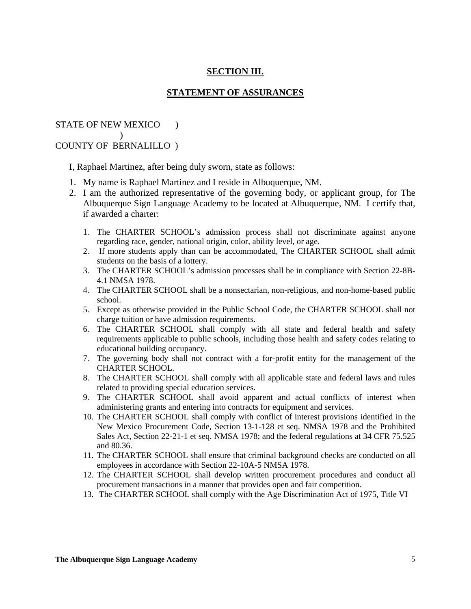## **SECTION III.**

### **STATEMENT OF ASSURANCES**

## STATE OF NEW MEXICO )  $)$ COUNTY OF BERNALILLO )

I, Raphael Martinez, after being duly sworn, state as follows:

- 1. My name is Raphael Martinez and I reside in Albuquerque, NM.
- 2. I am the authorized representative of the governing body, or applicant group, for The Albuquerque Sign Language Academy to be located at Albuquerque, NM. I certify that, if awarded a charter:
	- 1. The CHARTER SCHOOL's admission process shall not discriminate against anyone regarding race, gender, national origin, color, ability level, or age.
	- 2. If more students apply than can be accommodated, The CHARTER SCHOOL shall admit students on the basis of a lottery.
	- 3. The CHARTER SCHOOL's admission processes shall be in compliance with Section 22-8B-4.1 NMSA 1978.
	- 4. The CHARTER SCHOOL shall be a nonsectarian, non-religious, and non-home-based public school.
	- 5. Except as otherwise provided in the Public School Code, the CHARTER SCHOOL shall not charge tuition or have admission requirements.
	- 6. The CHARTER SCHOOL shall comply with all state and federal health and safety requirements applicable to public schools, including those health and safety codes relating to educational building occupancy.
	- 7. The governing body shall not contract with a for-profit entity for the management of the CHARTER SCHOOL.
	- 8. The CHARTER SCHOOL shall comply with all applicable state and federal laws and rules related to providing special education services.
	- 9. The CHARTER SCHOOL shall avoid apparent and actual conflicts of interest when administering grants and entering into contracts for equipment and services.
	- 10. The CHARTER SCHOOL shall comply with conflict of interest provisions identified in the New Mexico Procurement Code, Section 13-1-128 et seq. NMSA 1978 and the Prohibited Sales Act, Section 22-21-1 et seq. NMSA 1978; and the federal regulations at 34 CFR 75.525 and 80.36.
	- 11. The CHARTER SCHOOL shall ensure that criminal background checks are conducted on all employees in accordance with Section 22-10A-5 NMSA 1978.
	- 12. The CHARTER SCHOOL shall develop written procurement procedures and conduct all procurement transactions in a manner that provides open and fair competition.
	- 13. The CHARTER SCHOOL shall comply with the Age Discrimination Act of 1975, Title VI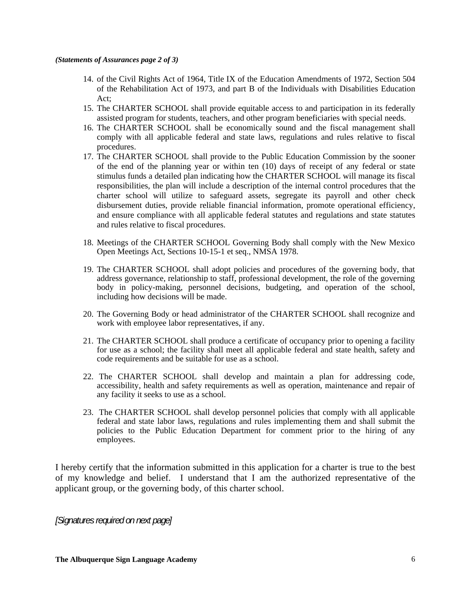#### *(Statements of Assurances page 2 of 3)*

- 14. of the Civil Rights Act of 1964, Title IX of the Education Amendments of 1972, Section 504 of the Rehabilitation Act of 1973, and part B of the Individuals with Disabilities Education Act;
- 15. The CHARTER SCHOOL shall provide equitable access to and participation in its federally assisted program for students, teachers, and other program beneficiaries with special needs.
- 16. The CHARTER SCHOOL shall be economically sound and the fiscal management shall comply with all applicable federal and state laws, regulations and rules relative to fiscal procedures.
- 17. The CHARTER SCHOOL shall provide to the Public Education Commission by the sooner of the end of the planning year or within ten (10) days of receipt of any federal or state stimulus funds a detailed plan indicating how the CHARTER SCHOOL will manage its fiscal responsibilities, the plan will include a description of the internal control procedures that the charter school will utilize to safeguard assets, segregate its payroll and other check disbursement duties, provide reliable financial information, promote operational efficiency, and ensure compliance with all applicable federal statutes and regulations and state statutes and rules relative to fiscal procedures.
- 18. Meetings of the CHARTER SCHOOL Governing Body shall comply with the New Mexico Open Meetings Act, Sections 10-15-1 et seq., NMSA 1978.
- 19. The CHARTER SCHOOL shall adopt policies and procedures of the governing body, that address governance, relationship to staff, professional development, the role of the governing body in policy-making, personnel decisions, budgeting, and operation of the school, including how decisions will be made.
- 20. The Governing Body or head administrator of the CHARTER SCHOOL shall recognize and work with employee labor representatives, if any.
- 21. The CHARTER SCHOOL shall produce a certificate of occupancy prior to opening a facility for use as a school; the facility shall meet all applicable federal and state health, safety and code requirements and be suitable for use as a school.
- 22. The CHARTER SCHOOL shall develop and maintain a plan for addressing code, accessibility, health and safety requirements as well as operation, maintenance and repair of any facility it seeks to use as a school.
- 23. The CHARTER SCHOOL shall develop personnel policies that comply with all applicable federal and state labor laws, regulations and rules implementing them and shall submit the policies to the Public Education Department for comment prior to the hiring of any employees.

I hereby certify that the information submitted in this application for a charter is true to the best of my knowledge and belief. I understand that I am the authorized representative of the applicant group, or the governing body, of this charter school.

*[Signatures required on next page]*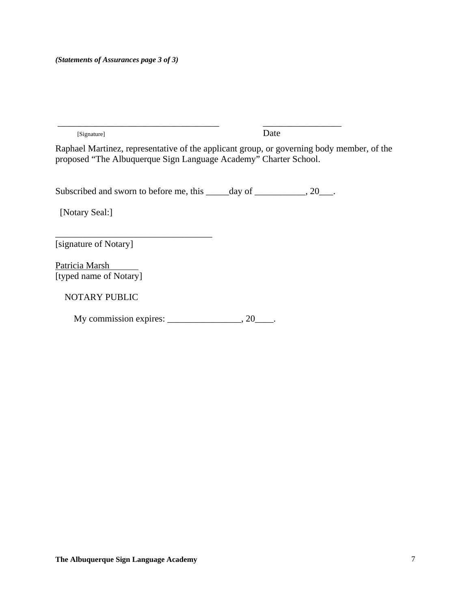[Signature] Date

Raphael Martinez, representative of the applicant group, or governing body member, of the proposed "The Albuquerque Sign Language Academy" Charter School.

Subscribed and sworn to before me, this \_\_\_\_\_day of \_\_\_\_\_\_\_\_\_, 20\_\_\_.

\_\_\_\_\_\_\_\_\_\_\_\_\_\_\_\_\_\_\_\_\_\_\_\_\_\_\_\_\_\_\_\_\_\_\_ \_\_\_\_\_\_\_\_\_\_\_\_\_\_\_\_\_

[Notary Seal:]

[signature of Notary]

\_\_\_\_\_\_\_\_\_\_\_\_\_\_\_\_\_\_\_\_\_\_\_\_\_\_\_\_\_\_\_\_\_\_

Patricia Marsh [typed name of Notary]

NOTARY PUBLIC

My commission expires: \_\_\_\_\_\_\_\_\_\_\_\_\_\_\_\_, 20\_\_\_\_.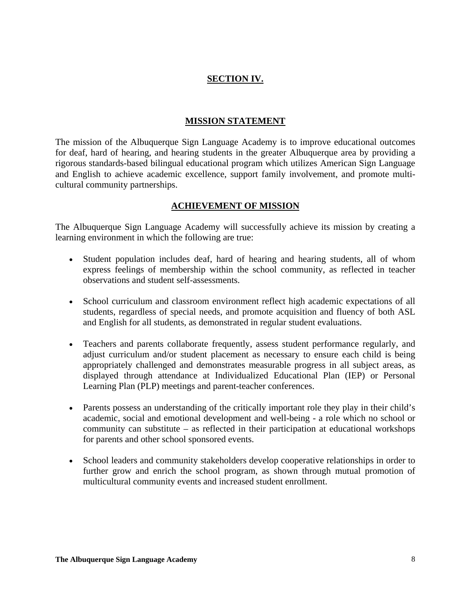## **SECTION IV.**

## **MISSION STATEMENT**

The mission of the Albuquerque Sign Language Academy is to improve educational outcomes for deaf, hard of hearing, and hearing students in the greater Albuquerque area by providing a rigorous standards-based bilingual educational program which utilizes American Sign Language and English to achieve academic excellence, support family involvement, and promote multicultural community partnerships.

## **ACHIEVEMENT OF MISSION**

The Albuquerque Sign Language Academy will successfully achieve its mission by creating a learning environment in which the following are true:

- Student population includes deaf, hard of hearing and hearing students, all of whom express feelings of membership within the school community, as reflected in teacher observations and student self-assessments.
- School curriculum and classroom environment reflect high academic expectations of all students, regardless of special needs, and promote acquisition and fluency of both ASL and English for all students, as demonstrated in regular student evaluations.
- Teachers and parents collaborate frequently, assess student performance regularly, and adjust curriculum and/or student placement as necessary to ensure each child is being appropriately challenged and demonstrates measurable progress in all subject areas, as displayed through attendance at Individualized Educational Plan (IEP) or Personal Learning Plan (PLP) meetings and parent-teacher conferences.
- Parents possess an understanding of the critically important role they play in their child's academic, social and emotional development and well-being - a role which no school or community can substitute – as reflected in their participation at educational workshops for parents and other school sponsored events.
- School leaders and community stakeholders develop cooperative relationships in order to further grow and enrich the school program, as shown through mutual promotion of multicultural community events and increased student enrollment.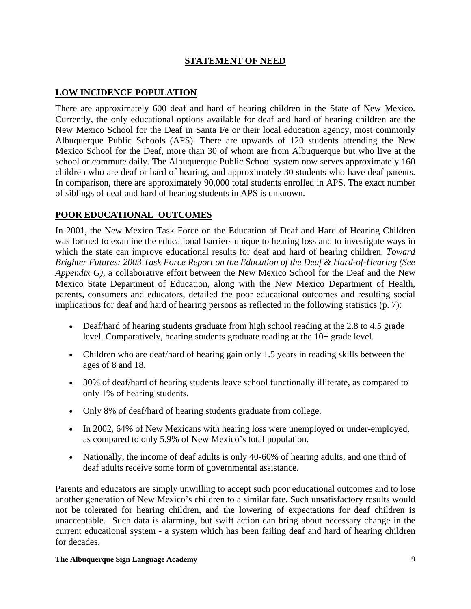## **STATEMENT OF NEED**

## **LOW INCIDENCE POPULATION**

There are approximately 600 deaf and hard of hearing children in the State of New Mexico. Currently, the only educational options available for deaf and hard of hearing children are the New Mexico School for the Deaf in Santa Fe or their local education agency, most commonly Albuquerque Public Schools (APS). There are upwards of 120 students attending the New Mexico School for the Deaf, more than 30 of whom are from Albuquerque but who live at the school or commute daily. The Albuquerque Public School system now serves approximately 160 children who are deaf or hard of hearing, and approximately 30 students who have deaf parents. In comparison, there are approximately 90,000 total students enrolled in APS. The exact number of siblings of deaf and hard of hearing students in APS is unknown.

## **POOR EDUCATIONAL OUTCOMES**

In 2001, the New Mexico Task Force on the Education of Deaf and Hard of Hearing Children was formed to examine the educational barriers unique to hearing loss and to investigate ways in which the state can improve educational results for deaf and hard of hearing children. *Toward Brighter Futures: 2003 Task Force Report on the Education of the Deaf & Hard-of-Hearing (See Appendix G),* a collaborative effort between the New Mexico School for the Deaf and the New Mexico State Department of Education, along with the New Mexico Department of Health, parents, consumers and educators, detailed the poor educational outcomes and resulting social implications for deaf and hard of hearing persons as reflected in the following statistics (p. 7):

- Deaf/hard of hearing students graduate from high school reading at the 2.8 to 4.5 grade level. Comparatively, hearing students graduate reading at the 10+ grade level.
- Children who are deaf/hard of hearing gain only 1.5 years in reading skills between the ages of 8 and 18.
- 30% of deaf/hard of hearing students leave school functionally illiterate, as compared to only 1% of hearing students.
- Only 8% of deaf/hard of hearing students graduate from college.
- In 2002, 64% of New Mexicans with hearing loss were unemployed or under-employed, as compared to only 5.9% of New Mexico's total population.
- Nationally, the income of deaf adults is only 40-60% of hearing adults, and one third of deaf adults receive some form of governmental assistance.

Parents and educators are simply unwilling to accept such poor educational outcomes and to lose another generation of New Mexico's children to a similar fate. Such unsatisfactory results would not be tolerated for hearing children, and the lowering of expectations for deaf children is unacceptable. Such data is alarming, but swift action can bring about necessary change in the current educational system - a system which has been failing deaf and hard of hearing children for decades.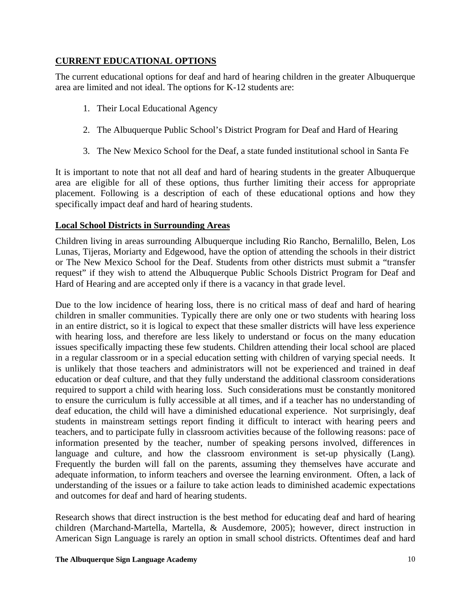## **CURRENT EDUCATIONAL OPTIONS**

The current educational options for deaf and hard of hearing children in the greater Albuquerque area are limited and not ideal. The options for K-12 students are:

- 1. Their Local Educational Agency
- 2. The Albuquerque Public School's District Program for Deaf and Hard of Hearing
- 3. The New Mexico School for the Deaf, a state funded institutional school in Santa Fe

It is important to note that not all deaf and hard of hearing students in the greater Albuquerque area are eligible for all of these options, thus further limiting their access for appropriate placement. Following is a description of each of these educational options and how they specifically impact deaf and hard of hearing students.

## **Local School Districts in Surrounding Areas**

Children living in areas surrounding Albuquerque including Rio Rancho, Bernalillo, Belen, Los Lunas, Tijeras, Moriarty and Edgewood, have the option of attending the schools in their district or The New Mexico School for the Deaf. Students from other districts must submit a "transfer request" if they wish to attend the Albuquerque Public Schools District Program for Deaf and Hard of Hearing and are accepted only if there is a vacancy in that grade level.

Due to the low incidence of hearing loss, there is no critical mass of deaf and hard of hearing children in smaller communities. Typically there are only one or two students with hearing loss in an entire district, so it is logical to expect that these smaller districts will have less experience with hearing loss, and therefore are less likely to understand or focus on the many education issues specifically impacting these few students. Children attending their local school are placed in a regular classroom or in a special education setting with children of varying special needs. It is unlikely that those teachers and administrators will not be experienced and trained in deaf education or deaf culture, and that they fully understand the additional classroom considerations required to support a child with hearing loss. Such considerations must be constantly monitored to ensure the curriculum is fully accessible at all times, and if a teacher has no understanding of deaf education, the child will have a diminished educational experience. Not surprisingly, deaf students in mainstream settings report finding it difficult to interact with hearing peers and teachers, and to participate fully in classroom activities because of the following reasons: pace of information presented by the teacher, number of speaking persons involved, differences in language and culture, and how the classroom environment is set-up physically (Lang). Frequently the burden will fall on the parents, assuming they themselves have accurate and adequate information, to inform teachers and oversee the learning environment. Often, a lack of understanding of the issues or a failure to take action leads to diminished academic expectations and outcomes for deaf and hard of hearing students.

Research shows that direct instruction is the best method for educating deaf and hard of hearing children (Marchand-Martella, Martella, & Ausdemore, 2005); however, direct instruction in American Sign Language is rarely an option in small school districts. Oftentimes deaf and hard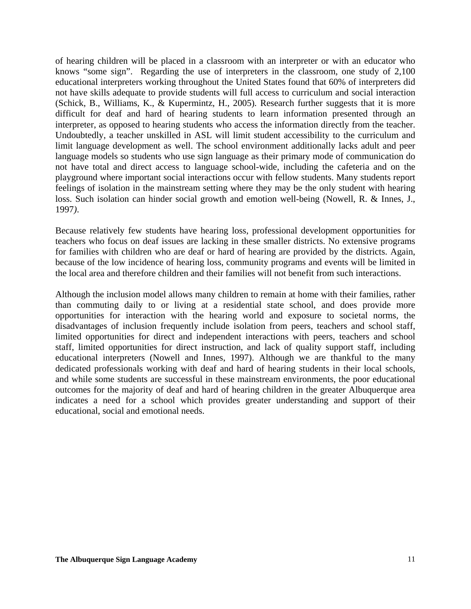of hearing children will be placed in a classroom with an interpreter or with an educator who knows "some sign". Regarding the use of interpreters in the classroom, one study of 2,100 educational interpreters working throughout the United States found that 60% of interpreters did not have skills adequate to provide students will full access to curriculum and social interaction (Schick, B., Williams, K., & Kupermintz, H., 2005)*.* Research further suggests that it is more difficult for deaf and hard of hearing students to learn information presented through an interpreter, as opposed to hearing students who access the information directly from the teacher. Undoubtedly, a teacher unskilled in ASL will limit student accessibility to the curriculum and limit language development as well. The school environment additionally lacks adult and peer language models so students who use sign language as their primary mode of communication do not have total and direct access to language school-wide, including the cafeteria and on the playground where important social interactions occur with fellow students. Many students report feelings of isolation in the mainstream setting where they may be the only student with hearing loss. Such isolation can hinder social growth and emotion well-being (Nowell, R. & Innes, J., 1997*)*.

Because relatively few students have hearing loss, professional development opportunities for teachers who focus on deaf issues are lacking in these smaller districts. No extensive programs for families with children who are deaf or hard of hearing are provided by the districts. Again, because of the low incidence of hearing loss, community programs and events will be limited in the local area and therefore children and their families will not benefit from such interactions.

Although the inclusion model allows many children to remain at home with their families, rather than commuting daily to or living at a residential state school, and does provide more opportunities for interaction with the hearing world and exposure to societal norms, the disadvantages of inclusion frequently include isolation from peers, teachers and school staff, limited opportunities for direct and independent interactions with peers, teachers and school staff, limited opportunities for direct instruction, and lack of quality support staff, including educational interpreters (Nowell and Innes, 1997). Although we are thankful to the many dedicated professionals working with deaf and hard of hearing students in their local schools, and while some students are successful in these mainstream environments, the poor educational outcomes for the majority of deaf and hard of hearing children in the greater Albuquerque area indicates a need for a school which provides greater understanding and support of their educational, social and emotional needs.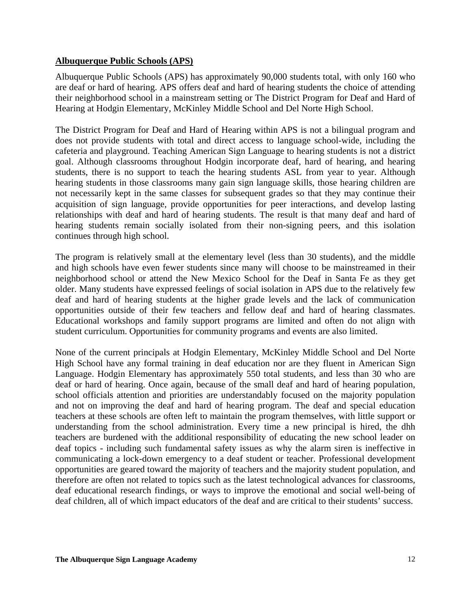## **Albuquerque Public Schools (APS)**

Albuquerque Public Schools (APS) has approximately 90,000 students total, with only 160 who are deaf or hard of hearing. APS offers deaf and hard of hearing students the choice of attending their neighborhood school in a mainstream setting or The District Program for Deaf and Hard of Hearing at Hodgin Elementary, McKinley Middle School and Del Norte High School.

The District Program for Deaf and Hard of Hearing within APS is not a bilingual program and does not provide students with total and direct access to language school-wide, including the cafeteria and playground. Teaching American Sign Language to hearing students is not a district goal. Although classrooms throughout Hodgin incorporate deaf, hard of hearing, and hearing students, there is no support to teach the hearing students ASL from year to year. Although hearing students in those classrooms many gain sign language skills, those hearing children are not necessarily kept in the same classes for subsequent grades so that they may continue their acquisition of sign language, provide opportunities for peer interactions, and develop lasting relationships with deaf and hard of hearing students. The result is that many deaf and hard of hearing students remain socially isolated from their non-signing peers, and this isolation continues through high school.

The program is relatively small at the elementary level (less than 30 students), and the middle and high schools have even fewer students since many will choose to be mainstreamed in their neighborhood school or attend the New Mexico School for the Deaf in Santa Fe as they get older. Many students have expressed feelings of social isolation in APS due to the relatively few deaf and hard of hearing students at the higher grade levels and the lack of communication opportunities outside of their few teachers and fellow deaf and hard of hearing classmates. Educational workshops and family support programs are limited and often do not align with student curriculum. Opportunities for community programs and events are also limited.

None of the current principals at Hodgin Elementary, McKinley Middle School and Del Norte High School have any formal training in deaf education nor are they fluent in American Sign Language. Hodgin Elementary has approximately 550 total students, and less than 30 who are deaf or hard of hearing. Once again, because of the small deaf and hard of hearing population, school officials attention and priorities are understandably focused on the majority population and not on improving the deaf and hard of hearing program. The deaf and special education teachers at these schools are often left to maintain the program themselves, with little support or understanding from the school administration. Every time a new principal is hired, the dhh teachers are burdened with the additional responsibility of educating the new school leader on deaf topics - including such fundamental safety issues as why the alarm siren is ineffective in communicating a lock-down emergency to a deaf student or teacher. Professional development opportunities are geared toward the majority of teachers and the majority student population, and therefore are often not related to topics such as the latest technological advances for classrooms, deaf educational research findings, or ways to improve the emotional and social well-being of deaf children, all of which impact educators of the deaf and are critical to their students' success.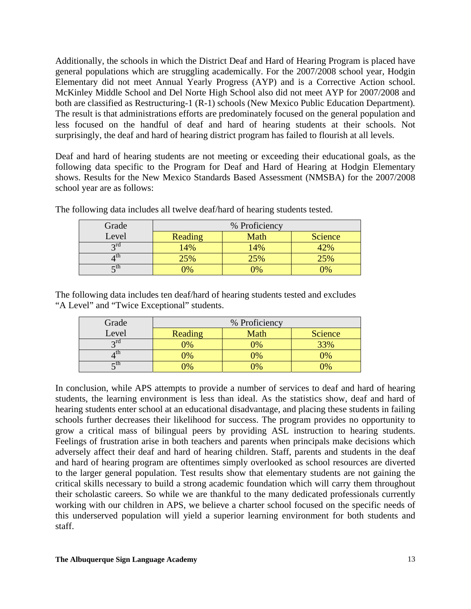Additionally, the schools in which the District Deaf and Hard of Hearing Program is placed have general populations which are struggling academically. For the 2007/2008 school year, Hodgin Elementary did not meet Annual Yearly Progress (AYP) and is a Corrective Action school. McKinley Middle School and Del Norte High School also did not meet AYP for 2007/2008 and both are classified as Restructuring-1 (R-1) schools (New Mexico Public Education Department)*.* The result is that administrations efforts are predominately focused on the general population and less focused on the handful of deaf and hard of hearing students at their schools. Not surprisingly, the deaf and hard of hearing district program has failed to flourish at all levels.

Deaf and hard of hearing students are not meeting or exceeding their educational goals, as the following data specific to the Program for Deaf and Hard of Hearing at Hodgin Elementary shows. Results for the New Mexico Standards Based Assessment (NMSBA) for the 2007/2008 school year are as follows:

| Grade | % Proficiency  |                |         |
|-------|----------------|----------------|---------|
| Level | Reading        | Math           | Science |
| 2rd   | 14%            | 14%            | 12%     |
| 1 th  | 25%            | 25%            | 25%     |
| ctn   | $\frac{10}{6}$ | $\gamma_{0/2}$ | 0%      |

The following data includes all twelve deaf/hard of hearing students tested.

The following data includes ten deaf/hard of hearing students tested and excludes "A Level" and "Twice Exceptional" students.

| Grade       | % Proficiency |                |                |
|-------------|---------------|----------------|----------------|
| Level       | Reading       | Math           | <b>Science</b> |
| $\gamma$ rd | $\sqrt{9/6}$  | $\gamma_{0/2}$ | 33%            |
|             | $\sqrt{6}$    | $\sqrt{6}$     | $\gamma_{0/2}$ |
|             | 9%            | $\sqrt{0}$     |                |

In conclusion, while APS attempts to provide a number of services to deaf and hard of hearing students, the learning environment is less than ideal. As the statistics show, deaf and hard of hearing students enter school at an educational disadvantage, and placing these students in failing schools further decreases their likelihood for success. The program provides no opportunity to grow a critical mass of bilingual peers by providing ASL instruction to hearing students. Feelings of frustration arise in both teachers and parents when principals make decisions which adversely affect their deaf and hard of hearing children. Staff, parents and students in the deaf and hard of hearing program are oftentimes simply overlooked as school resources are diverted to the larger general population. Test results show that elementary students are not gaining the critical skills necessary to build a strong academic foundation which will carry them throughout their scholastic careers. So while we are thankful to the many dedicated professionals currently working with our children in APS, we believe a charter school focused on the specific needs of this underserved population will yield a superior learning environment for both students and staff.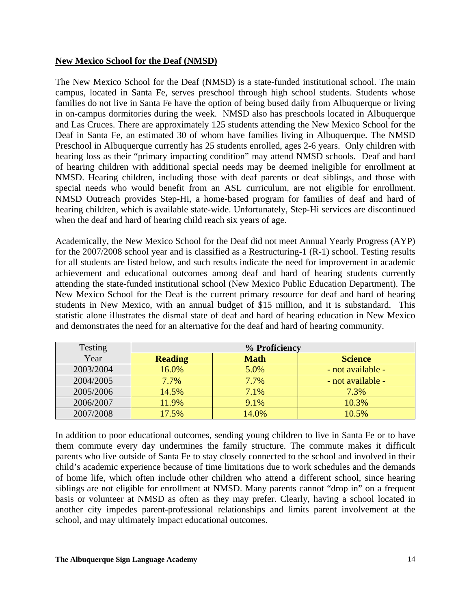## **New Mexico School for the Deaf (NMSD)**

The New Mexico School for the Deaf (NMSD) is a state-funded institutional school. The main campus, located in Santa Fe, serves preschool through high school students. Students whose families do not live in Santa Fe have the option of being bused daily from Albuquerque or living in on-campus dormitories during the week. NMSD also has preschools located in Albuquerque and Las Cruces. There are approximately 125 students attending the New Mexico School for the Deaf in Santa Fe, an estimated 30 of whom have families living in Albuquerque. The NMSD Preschool in Albuquerque currently has 25 students enrolled, ages 2-6 years. Only children with hearing loss as their "primary impacting condition" may attend NMSD schools. Deaf and hard of hearing children with additional special needs may be deemed ineligible for enrollment at NMSD. Hearing children, including those with deaf parents or deaf siblings, and those with special needs who would benefit from an ASL curriculum, are not eligible for enrollment. NMSD Outreach provides Step-Hi, a home-based program for families of deaf and hard of hearing children, which is available state-wide. Unfortunately, Step-Hi services are discontinued when the deaf and hard of hearing child reach six years of age.

Academically, the New Mexico School for the Deaf did not meet Annual Yearly Progress (AYP) for the 2007/2008 school year and is classified as a Restructuring-1 (R-1) school. Testing results for all students are listed below, and such results indicate the need for improvement in academic achievement and educational outcomes among deaf and hard of hearing students currently attending the state-funded institutional school (New Mexico Public Education Department). The New Mexico School for the Deaf is the current primary resource for deaf and hard of hearing students in New Mexico, with an annual budget of \$15 million, and it is substandard. This statistic alone illustrates the dismal state of deaf and hard of hearing education in New Mexico and demonstrates the need for an alternative for the deaf and hard of hearing community.

| Testing   |                | % Proficiency |                   |
|-----------|----------------|---------------|-------------------|
| Year      | <b>Reading</b> | <b>Math</b>   | <b>Science</b>    |
| 2003/2004 | 16.0%          | 5.0%          | - not available - |
| 2004/2005 | 7.7%           | 7.7%          | - not available - |
| 2005/2006 | 14.5%          | 7.1%          | 7.3%              |
| 2006/2007 | 11.9%          | 9.1%          | 10.3%             |
| 2007/2008 | 17.5%          | 14.0%         | 10.5%             |

In addition to poor educational outcomes, sending young children to live in Santa Fe or to have them commute every day undermines the family structure. The commute makes it difficult parents who live outside of Santa Fe to stay closely connected to the school and involved in their child's academic experience because of time limitations due to work schedules and the demands of home life, which often include other children who attend a different school, since hearing siblings are not eligible for enrollment at NMSD. Many parents cannot "drop in" on a frequent basis or volunteer at NMSD as often as they may prefer. Clearly, having a school located in another city impedes parent-professional relationships and limits parent involvement at the school, and may ultimately impact educational outcomes.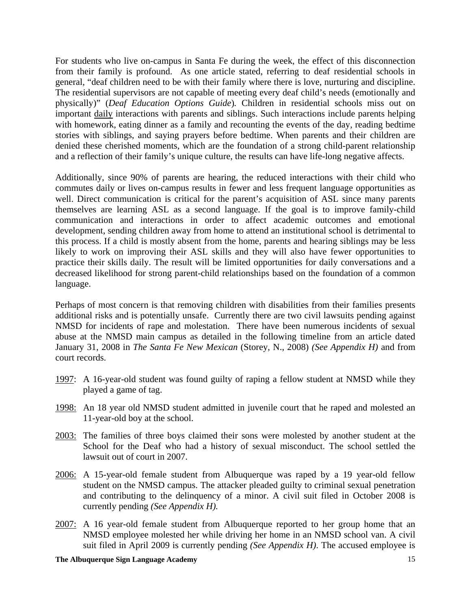For students who live on-campus in Santa Fe during the week, the effect of this disconnection from their family is profound. As one article stated, referring to deaf residential schools in general, "deaf children need to be with their family where there is love, nurturing and discipline. The residential supervisors are not capable of meeting every deaf child's needs (emotionally and physically)" (*Deaf Education Options Guide*)*.* Children in residential schools miss out on important daily interactions with parents and siblings. Such interactions include parents helping with homework, eating dinner as a family and recounting the events of the day, reading bedtime stories with siblings, and saying prayers before bedtime. When parents and their children are denied these cherished moments, which are the foundation of a strong child-parent relationship and a reflection of their family's unique culture, the results can have life-long negative affects.

Additionally, since 90% of parents are hearing, the reduced interactions with their child who commutes daily or lives on-campus results in fewer and less frequent language opportunities as well. Direct communication is critical for the parent's acquisition of ASL since many parents themselves are learning ASL as a second language. If the goal is to improve family-child communication and interactions in order to affect academic outcomes and emotional development, sending children away from home to attend an institutional school is detrimental to this process. If a child is mostly absent from the home, parents and hearing siblings may be less likely to work on improving their ASL skills and they will also have fewer opportunities to practice their skills daily. The result will be limited opportunities for daily conversations and a decreased likelihood for strong parent-child relationships based on the foundation of a common language.

Perhaps of most concern is that removing children with disabilities from their families presents additional risks and is potentially unsafe. Currently there are two civil lawsuits pending against NMSD for incidents of rape and molestation. There have been numerous incidents of sexual abuse at the NMSD main campus as detailed in the following timeline from an article dated January 31, 2008 in *The Santa Fe New Mexican* (Storey, N., 2008) *(See Appendix H)* and from court records.

- 1997: A 16-year-old student was found guilty of raping a fellow student at NMSD while they played a game of tag.
- 1998: An 18 year old NMSD student admitted in juvenile court that he raped and molested an 11-year-old boy at the school.
- 2003: The families of three boys claimed their sons were molested by another student at the School for the Deaf who had a history of sexual misconduct. The school settled the lawsuit out of court in 2007.
- 2006: A 15-year-old female student from Albuquerque was raped by a 19 year-old fellow student on the NMSD campus. The attacker pleaded guilty to criminal sexual penetration and contributing to the delinquency of a minor. A civil suit filed in October 2008 is currently pending *(See Appendix H).*
- 2007: A 16 year-old female student from Albuquerque reported to her group home that an NMSD employee molested her while driving her home in an NMSD school van. A civil suit filed in April 2009 is currently pending *(See Appendix H)*. The accused employee is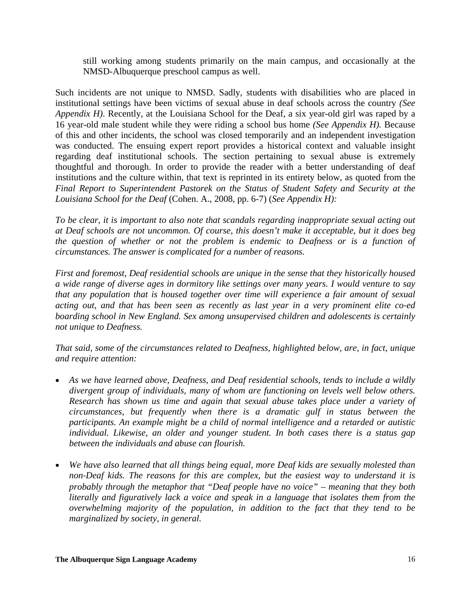still working among students primarily on the main campus, and occasionally at the NMSD-Albuquerque preschool campus as well.

Such incidents are not unique to NMSD. Sadly, students with disabilities who are placed in institutional settings have been victims of sexual abuse in deaf schools across the country *(See Appendix H)*. Recently, at the Louisiana School for the Deaf, a six year-old girl was raped by a 16 year-old male student while they were riding a school bus home *(See Appendix H).* Because of this and other incidents, the school was closed temporarily and an independent investigation was conducted. The ensuing expert report provides a historical context and valuable insight regarding deaf institutional schools. The section pertaining to sexual abuse is extremely thoughtful and thorough. In order to provide the reader with a better understanding of deaf institutions and the culture within, that text is reprinted in its entirety below, as quoted from the *Final Report to Superintendent Pastorek on the Status of Student Safety and Security at the Louisiana School for the Deaf* (Cohen. A., 2008, pp. 6-7) (*See Appendix H):* 

*To be clear, it is important to also note that scandals regarding inappropriate sexual acting out at Deaf schools are not uncommon. Of course, this doesn't make it acceptable, but it does beg the question of whether or not the problem is endemic to Deafness or is a function of circumstances. The answer is complicated for a number of reasons.* 

*First and foremost, Deaf residential schools are unique in the sense that they historically housed a wide range of diverse ages in dormitory like settings over many years. I would venture to say that any population that is housed together over time will experience a fair amount of sexual acting out, and that has been seen as recently as last year in a very prominent elite co‐ed boarding school in New England. Sex among unsupervised children and adolescents is certainly not unique to Deafness.* 

*That said, some of the circumstances related to Deafness, highlighted below, are, in fact, unique and require attention:* 

- *As we have learned above, Deafness, and Deaf residential schools, tends to include a wildly divergent group of individuals, many of whom are functioning on levels well below others. Research has shown us time and again that sexual abuse takes place under a variety of circumstances, but frequently when there is a dramatic gulf in status between the participants. An example might be a child of normal intelligence and a retarded or autistic individual. Likewise, an older and younger student. In both cases there is a status gap between the individuals and abuse can flourish.*
- *We have also learned that all things being equal, more Deaf kids are sexually molested than non‐Deaf kids. The reasons for this are complex, but the easiest way to understand it is probably through the metaphor that "Deaf people have no voice" – meaning that they both literally and figuratively lack a voice and speak in a language that isolates them from the overwhelming majority of the population, in addition to the fact that they tend to be marginalized by society, in general.*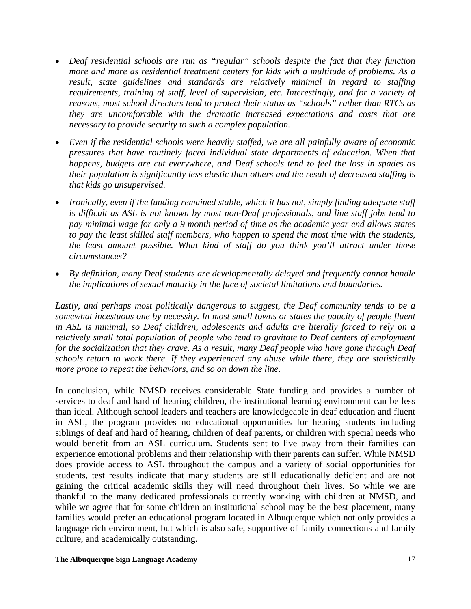- *Deaf residential schools are run as "regular" schools despite the fact that they function more and more as residential treatment centers for kids with a multitude of problems. As a result, state guidelines and standards are relatively minimal in regard to staffing requirements, training of staff, level of supervision, etc. Interestingly, and for a variety of reasons, most school directors tend to protect their status as "schools" rather than RTCs as they are uncomfortable with the dramatic increased expectations and costs that are necessary to provide security to such a complex population.*
- *Even if the residential schools were heavily staffed, we are all painfully aware of economic pressures that have routinely faced individual state departments of education. When that happens, budgets are cut everywhere, and Deaf schools tend to feel the loss in spades as their population is significantly less elastic than others and the result of decreased staffing is that kids go unsupervised.*
- *Ironically, even if the funding remained stable, which it has not, simply finding adequate staff is difficult as ASL is not known by most non‐Deaf professionals, and line staff jobs tend to pay minimal wage for only a 9 month period of time as the academic year end allows states to pay the least skilled staff members, who happen to spend the most time with the students, the least amount possible. What kind of staff do you think you'll attract under those circumstances?*
- *By definition, many Deaf students are developmentally delayed and frequently cannot handle the implications of sexual maturity in the face of societal limitations and boundaries.*

*Lastly, and perhaps most politically dangerous to suggest, the Deaf community tends to be a somewhat incestuous one by necessity. In most small towns or states the paucity of people fluent in ASL is minimal, so Deaf children, adolescents and adults are literally forced to rely on a relatively small total population of people who tend to gravitate to Deaf centers of employment for the socialization that they crave. As a result, many Deaf people who have gone through Deaf schools return to work there. If they experienced any abuse while there, they are statistically more prone to repeat the behaviors, and so on down the line*.

In conclusion, while NMSD receives considerable State funding and provides a number of services to deaf and hard of hearing children, the institutional learning environment can be less than ideal. Although school leaders and teachers are knowledgeable in deaf education and fluent in ASL, the program provides no educational opportunities for hearing students including siblings of deaf and hard of hearing, children of deaf parents, or children with special needs who would benefit from an ASL curriculum. Students sent to live away from their families can experience emotional problems and their relationship with their parents can suffer. While NMSD does provide access to ASL throughout the campus and a variety of social opportunities for students, test results indicate that many students are still educationally deficient and are not gaining the critical academic skills they will need throughout their lives. So while we are thankful to the many dedicated professionals currently working with children at NMSD, and while we agree that for some children an institutional school may be the best placement, many families would prefer an educational program located in Albuquerque which not only provides a language rich environment, but which is also safe, supportive of family connections and family culture, and academically outstanding.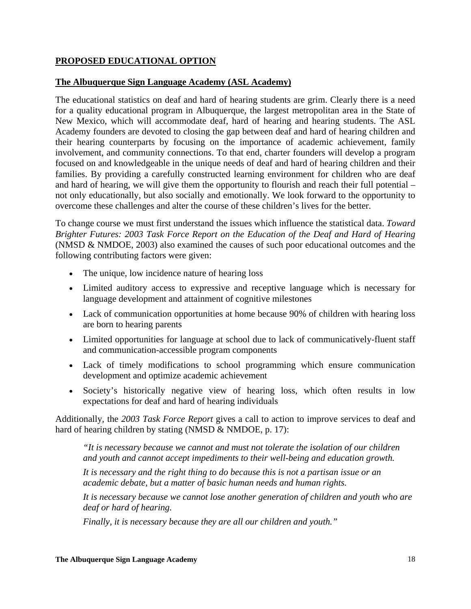## **PROPOSED EDUCATIONAL OPTION**

## **The Albuquerque Sign Language Academy (ASL Academy)**

The educational statistics on deaf and hard of hearing students are grim. Clearly there is a need for a quality educational program in Albuquerque, the largest metropolitan area in the State of New Mexico, which will accommodate deaf, hard of hearing and hearing students. The ASL Academy founders are devoted to closing the gap between deaf and hard of hearing children and their hearing counterparts by focusing on the importance of academic achievement, family involvement, and community connections. To that end, charter founders will develop a program focused on and knowledgeable in the unique needs of deaf and hard of hearing children and their families. By providing a carefully constructed learning environment for children who are deaf and hard of hearing, we will give them the opportunity to flourish and reach their full potential – not only educationally, but also socially and emotionally. We look forward to the opportunity to overcome these challenges and alter the course of these children's lives for the better.

To change course we must first understand the issues which influence the statistical data. *Toward Brighter Futures: 2003 Task Force Report on the Education of the Deaf and Hard of Hearing* (NMSD & NMDOE, 2003) also examined the causes of such poor educational outcomes and the following contributing factors were given:

- The unique, low incidence nature of hearing loss
- Limited auditory access to expressive and receptive language which is necessary for language development and attainment of cognitive milestones
- Lack of communication opportunities at home because 90% of children with hearing loss are born to hearing parents
- Limited opportunities for language at school due to lack of communicatively-fluent staff and communication-accessible program components
- Lack of timely modifications to school programming which ensure communication development and optimize academic achievement
- Society's historically negative view of hearing loss, which often results in low expectations for deaf and hard of hearing individuals

Additionally, the *2003 Task Force Report* gives a call to action to improve services to deaf and hard of hearing children by stating (NMSD & NMDOE, p. 17):

*"It is necessary because we cannot and must not tolerate the isolation of our children and youth and cannot accept impediments to their well-being and education growth.* 

*It is necessary and the right thing to do because this is not a partisan issue or an academic debate, but a matter of basic human needs and human rights.* 

*It is necessary because we cannot lose another generation of children and youth who are deaf or hard of hearing.* 

*Finally, it is necessary because they are all our children and youth."*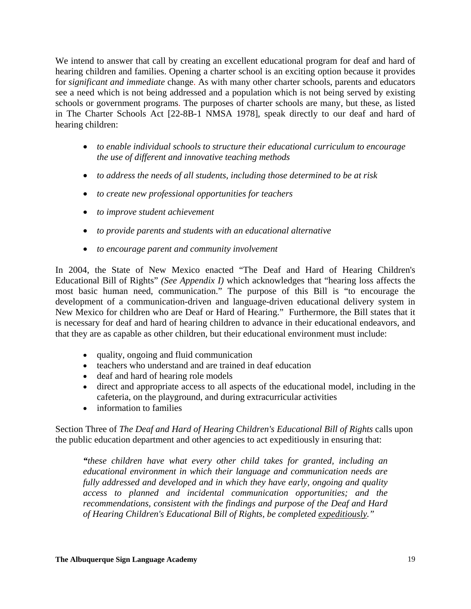We intend to answer that call by creating an excellent educational program for deaf and hard of hearing children and families. Opening a charter school is an exciting option because it provides for *significant and immediate* change. As with many other charter schools, parents and educators see a need which is not being addressed and a population which is not being served by existing schools or government programs. The purposes of charter schools are many, but these, as listed in The Charter Schools Act [22-8B-1 NMSA 1978], speak directly to our deaf and hard of hearing children:

- *to enable individual schools to structure their educational curriculum to encourage the use of different and innovative teaching methods*
- *to address the needs of all students, including those determined to be at risk*
- *to create new professional opportunities for teachers*
- *to improve student achievement*
- *to provide parents and students with an educational alternative*
- *to encourage parent and community involvement*

In 2004, the State of New Mexico enacted "The Deaf and Hard of Hearing Children's Educational Bill of Rights" *(See Appendix I)* which acknowledges that "hearing loss affects the most basic human need, communication." The purpose of this Bill is "to encourage the development of a communication-driven and language-driven educational delivery system in New Mexico for children who are Deaf or Hard of Hearing." Furthermore, the Bill states that it is necessary for deaf and hard of hearing children to advance in their educational endeavors, and that they are as capable as other children, but their educational environment must include:

- quality, ongoing and fluid communication
- teachers who understand and are trained in deaf education
- deaf and hard of hearing role models
- direct and appropriate access to all aspects of the educational model, including in the cafeteria, on the playground, and during extracurricular activities
- information to families

Section Three of *The Deaf and Hard of Hearing Children's Educational Bill of Rights* calls upon the public education department and other agencies to act expeditiously in ensuring that:

*"these children have what every other child takes for granted, including an educational environment in which their language and communication needs are fully addressed and developed and in which they have early, ongoing and quality access to planned and incidental communication opportunities; and the recommendations, consistent with the findings and purpose of the Deaf and Hard of Hearing Children's Educational Bill of Rights, be completed expeditiously."*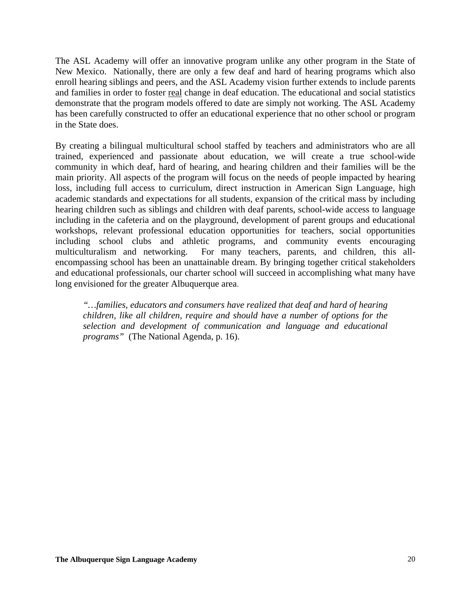The ASL Academy will offer an innovative program unlike any other program in the State of New Mexico. Nationally, there are only a few deaf and hard of hearing programs which also enroll hearing siblings and peers, and the ASL Academy vision further extends to include parents and families in order to foster real change in deaf education. The educational and social statistics demonstrate that the program models offered to date are simply not working. The ASL Academy has been carefully constructed to offer an educational experience that no other school or program in the State does.

By creating a bilingual multicultural school staffed by teachers and administrators who are all trained, experienced and passionate about education, we will create a true school-wide community in which deaf, hard of hearing, and hearing children and their families will be the main priority. All aspects of the program will focus on the needs of people impacted by hearing loss, including full access to curriculum, direct instruction in American Sign Language, high academic standards and expectations for all students, expansion of the critical mass by including hearing children such as siblings and children with deaf parents, school-wide access to language including in the cafeteria and on the playground, development of parent groups and educational workshops, relevant professional education opportunities for teachers, social opportunities including school clubs and athletic programs, and community events encouraging multiculturalism and networking. For many teachers, parents, and children, this allencompassing school has been an unattainable dream. By bringing together critical stakeholders and educational professionals, our charter school will succeed in accomplishing what many have long envisioned for the greater Albuquerque area.

*"…families, educators and consumers have realized that deaf and hard of hearing children, like all children, require and should have a number of options for the selection and development of communication and language and educational programs"* (The National Agenda, p. 16).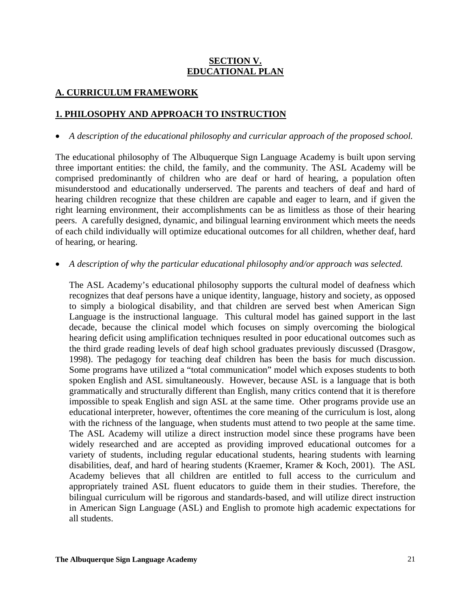## **SECTION V. EDUCATIONAL PLAN**

## **A. CURRICULUM FRAMEWORK**

## **1. PHILOSOPHY AND APPROACH TO INSTRUCTION**

• *A description of the educational philosophy and curricular approach of the proposed school.* 

The educational philosophy of The Albuquerque Sign Language Academy is built upon serving three important entities: the child, the family, and the community. The ASL Academy will be comprised predominantly of children who are deaf or hard of hearing, a population often misunderstood and educationally underserved. The parents and teachers of deaf and hard of hearing children recognize that these children are capable and eager to learn, and if given the right learning environment, their accomplishments can be as limitless as those of their hearing peers. A carefully designed, dynamic, and bilingual learning environment which meets the needs of each child individually will optimize educational outcomes for all children, whether deaf, hard of hearing, or hearing.

• *A description of why the particular educational philosophy and/or approach was selected.* 

The ASL Academy's educational philosophy supports the cultural model of deafness which recognizes that deaf persons have a unique identity, language, history and society, as opposed to simply a biological disability, and that children are served best when American Sign Language is the instructional language. This cultural model has gained support in the last decade, because the clinical model which focuses on simply overcoming the biological hearing deficit using amplification techniques resulted in poor educational outcomes such as the third grade reading levels of deaf high school graduates previously discussed (Drasgow, 1998). The pedagogy for teaching deaf children has been the basis for much discussion. Some programs have utilized a "total communication" model which exposes students to both spoken English and ASL simultaneously. However, because ASL is a language that is both grammatically and structurally different than English, many critics contend that it is therefore impossible to speak English and sign ASL at the same time. Other programs provide use an educational interpreter, however, oftentimes the core meaning of the curriculum is lost, along with the richness of the language, when students must attend to two people at the same time. The ASL Academy will utilize a direct instruction model since these programs have been widely researched and are accepted as providing improved educational outcomes for a variety of students, including regular educational students, hearing students with learning disabilities, deaf, and hard of hearing students (Kraemer, Kramer & Koch, 2001). The ASL Academy believes that all children are entitled to full access to the curriculum and appropriately trained ASL fluent educators to guide them in their studies. Therefore, the bilingual curriculum will be rigorous and standards-based, and will utilize direct instruction in American Sign Language (ASL) and English to promote high academic expectations for all students.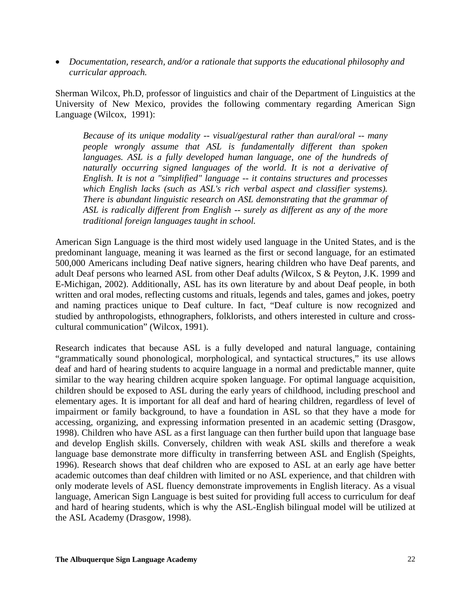• *Documentation, research, and/or a rationale that supports the educational philosophy and curricular approach.* 

Sherman Wilcox, Ph.D, professor of linguistics and chair of the Department of Linguistics at the University of New Mexico, provides the following commentary regarding American Sign Language (Wilcox, 1991):

*Because of its unique modality -- visual/gestural rather than aural/oral -- many people wrongly assume that ASL is fundamentally different than spoken*  languages. ASL is a fully developed human language, one of the hundreds of *naturally occurring signed languages of the world. It is not a derivative of English. It is not a "simplified" language -- it contains structures and processes which English lacks (such as ASL's rich verbal aspect and classifier systems). There is abundant linguistic research on ASL demonstrating that the grammar of ASL is radically different from English -- surely as different as any of the more traditional foreign languages taught in school.* 

American Sign Language is the third most widely used language in the United States, and is the predominant language, meaning it was learned as the first or second language, for an estimated 500,000 Americans including Deaf native signers, hearing children who have Deaf parents, and adult Deaf persons who learned ASL from other Deaf adults *(*Wilcox, S & Peyton, J.K. 1999 and E-Michigan, 2002). Additionally, ASL has its own literature by and about Deaf people, in both written and oral modes, reflecting customs and rituals, legends and tales, games and jokes, poetry and naming practices unique to Deaf culture. In fact, "Deaf culture is now recognized and studied by anthropologists, ethnographers, folklorists, and others interested in culture and crosscultural communication" (Wilcox, 1991).

Research indicates that because ASL is a fully developed and natural language, containing "grammatically sound phonological, morphological, and syntactical structures," its use allows deaf and hard of hearing students to acquire language in a normal and predictable manner, quite similar to the way hearing children acquire spoken language. For optimal language acquisition, children should be exposed to ASL during the early years of childhood, including preschool and elementary ages. It is important for all deaf and hard of hearing children, regardless of level of impairment or family background, to have a foundation in ASL so that they have a mode for accessing, organizing, and expressing information presented in an academic setting (Drasgow, 1998). Children who have ASL as a first language can then further build upon that language base and develop English skills. Conversely, children with weak ASL skills and therefore a weak language base demonstrate more difficulty in transferring between ASL and English (Speights, 1996). Research shows that deaf children who are exposed to ASL at an early age have better academic outcomes than deaf children with limited or no ASL experience, and that children with only moderate levels of ASL fluency demonstrate improvements in English literacy. As a visual language, American Sign Language is best suited for providing full access to curriculum for deaf and hard of hearing students, which is why the ASL-English bilingual model will be utilized at the ASL Academy (Drasgow, 1998).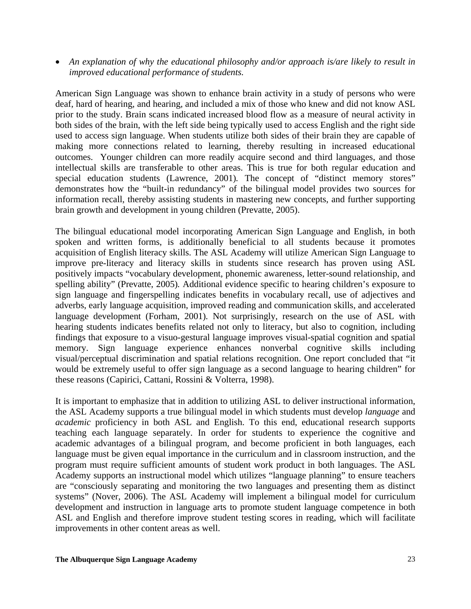• *An explanation of why the educational philosophy and/or approach is/are likely to result in improved educational performance of students.*

American Sign Language was shown to enhance brain activity in a study of persons who were deaf, hard of hearing, and hearing, and included a mix of those who knew and did not know ASL prior to the study. Brain scans indicated increased blood flow as a measure of neural activity in both sides of the brain, with the left side being typically used to access English and the right side used to access sign language. When students utilize both sides of their brain they are capable of making more connections related to learning, thereby resulting in increased educational outcomes. Younger children can more readily acquire second and third languages, and those intellectual skills are transferable to other areas. This is true for both regular education and special education students (Lawrence, 2001)*.* The concept of "distinct memory stores" demonstrates how the "built-in redundancy" of the bilingual model provides two sources for information recall, thereby assisting students in mastering new concepts, and further supporting brain growth and development in young children (Prevatte, 2005).

The bilingual educational model incorporating American Sign Language and English, in both spoken and written forms, is additionally beneficial to all students because it promotes acquisition of English literacy skills. The ASL Academy will utilize American Sign Language to improve pre-literacy and literacy skills in students since research has proven using ASL positively impacts "vocabulary development, phonemic awareness, letter-sound relationship, and spelling ability" (Prevatte, 2005). Additional evidence specific to hearing children's exposure to sign language and fingerspelling indicates benefits in vocabulary recall, use of adjectives and adverbs, early language acquisition, improved reading and communication skills, and accelerated language development (Forham, 2001)*.* Not surprisingly, research on the use of ASL with hearing students indicates benefits related not only to literacy, but also to cognition, including findings that exposure to a visuo-gestural language improves visual-spatial cognition and spatial memory. Sign language experience enhances nonverbal cognitive skills including visual/perceptual discrimination and spatial relations recognition. One report concluded that "it would be extremely useful to offer sign language as a second language to hearing children" for these reasons (Capirici, Cattani, Rossini & Volterra, 1998).

It is important to emphasize that in addition to utilizing ASL to deliver instructional information, the ASL Academy supports a true bilingual model in which students must develop *language* and *academic* proficiency in both ASL and English. To this end, educational research supports teaching each language separately. In order for students to experience the cognitive and academic advantages of a bilingual program, and become proficient in both languages, each language must be given equal importance in the curriculum and in classroom instruction, and the program must require sufficient amounts of student work product in both languages. The ASL Academy supports an instructional model which utilizes "language planning" to ensure teachers are "consciously separating and monitoring the two languages and presenting them as distinct systems" (Nover, 2006). The ASL Academy will implement a bilingual model for curriculum development and instruction in language arts to promote student language competence in both ASL and English and therefore improve student testing scores in reading, which will facilitate improvements in other content areas as well.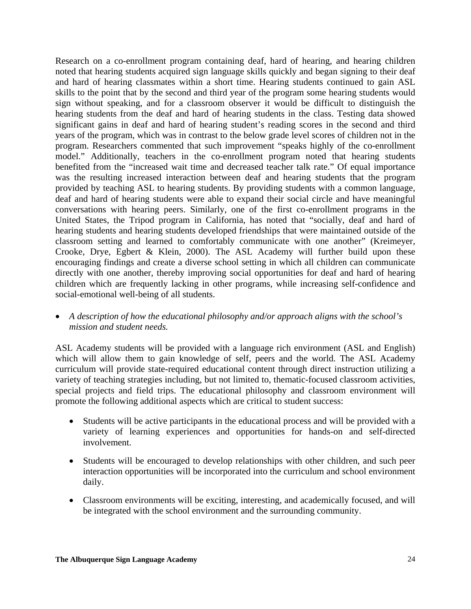Research on a co-enrollment program containing deaf, hard of hearing, and hearing children noted that hearing students acquired sign language skills quickly and began signing to their deaf and hard of hearing classmates within a short time. Hearing students continued to gain ASL skills to the point that by the second and third year of the program some hearing students would sign without speaking, and for a classroom observer it would be difficult to distinguish the hearing students from the deaf and hard of hearing students in the class. Testing data showed significant gains in deaf and hard of hearing student's reading scores in the second and third years of the program, which was in contrast to the below grade level scores of children not in the program. Researchers commented that such improvement "speaks highly of the co-enrollment model." Additionally, teachers in the co-enrollment program noted that hearing students benefited from the "increased wait time and decreased teacher talk rate." Of equal importance was the resulting increased interaction between deaf and hearing students that the program provided by teaching ASL to hearing students. By providing students with a common language, deaf and hard of hearing students were able to expand their social circle and have meaningful conversations with hearing peers. Similarly, one of the first co-enrollment programs in the United States, the Tripod program in California, has noted that "socially, deaf and hard of hearing students and hearing students developed friendships that were maintained outside of the classroom setting and learned to comfortably communicate with one another" (Kreimeyer, Crooke, Drye, Egbert & Klein, 2000). The ASL Academy will further build upon these encouraging findings and create a diverse school setting in which all children can communicate directly with one another, thereby improving social opportunities for deaf and hard of hearing children which are frequently lacking in other programs, while increasing self-confidence and social-emotional well-being of all students.

• *A description of how the educational philosophy and/or approach aligns with the school's mission and student needs.* 

ASL Academy students will be provided with a language rich environment (ASL and English) which will allow them to gain knowledge of self, peers and the world. The ASL Academy curriculum will provide state-required educational content through direct instruction utilizing a variety of teaching strategies including, but not limited to, thematic-focused classroom activities, special projects and field trips. The educational philosophy and classroom environment will promote the following additional aspects which are critical to student success:

- Students will be active participants in the educational process and will be provided with a variety of learning experiences and opportunities for hands-on and self-directed involvement.
- Students will be encouraged to develop relationships with other children, and such peer interaction opportunities will be incorporated into the curriculum and school environment daily.
- Classroom environments will be exciting, interesting, and academically focused, and will be integrated with the school environment and the surrounding community.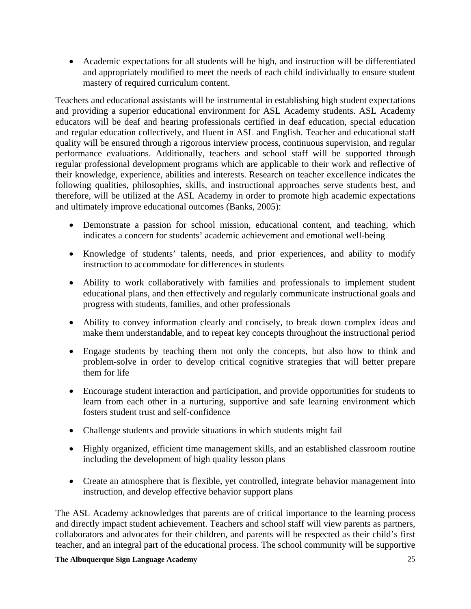• Academic expectations for all students will be high, and instruction will be differentiated and appropriately modified to meet the needs of each child individually to ensure student mastery of required curriculum content.

Teachers and educational assistants will be instrumental in establishing high student expectations and providing a superior educational environment for ASL Academy students. ASL Academy educators will be deaf and hearing professionals certified in deaf education, special education and regular education collectively, and fluent in ASL and English. Teacher and educational staff quality will be ensured through a rigorous interview process, continuous supervision, and regular performance evaluations. Additionally, teachers and school staff will be supported through regular professional development programs which are applicable to their work and reflective of their knowledge, experience, abilities and interests. Research on teacher excellence indicates the following qualities, philosophies, skills, and instructional approaches serve students best, and therefore, will be utilized at the ASL Academy in order to promote high academic expectations and ultimately improve educational outcomes (Banks, 2005):

- Demonstrate a passion for school mission, educational content, and teaching, which indicates a concern for students' academic achievement and emotional well-being
- Knowledge of students' talents, needs, and prior experiences, and ability to modify instruction to accommodate for differences in students
- Ability to work collaboratively with families and professionals to implement student educational plans, and then effectively and regularly communicate instructional goals and progress with students, families, and other professionals
- Ability to convey information clearly and concisely, to break down complex ideas and make them understandable, and to repeat key concepts throughout the instructional period
- Engage students by teaching them not only the concepts, but also how to think and problem-solve in order to develop critical cognitive strategies that will better prepare them for life
- Encourage student interaction and participation, and provide opportunities for students to learn from each other in a nurturing, supportive and safe learning environment which fosters student trust and self-confidence
- Challenge students and provide situations in which students might fail
- Highly organized, efficient time management skills, and an established classroom routine including the development of high quality lesson plans
- Create an atmosphere that is flexible, yet controlled, integrate behavior management into instruction, and develop effective behavior support plans

The ASL Academy acknowledges that parents are of critical importance to the learning process and directly impact student achievement. Teachers and school staff will view parents as partners, collaborators and advocates for their children, and parents will be respected as their child's first teacher, and an integral part of the educational process. The school community will be supportive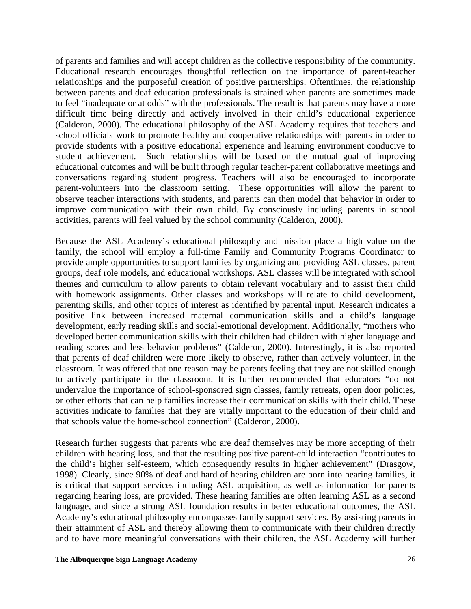of parents and families and will accept children as the collective responsibility of the community. Educational research encourages thoughtful reflection on the importance of parent-teacher relationships and the purposeful creation of positive partnerships. Oftentimes, the relationship between parents and deaf education professionals is strained when parents are sometimes made to feel "inadequate or at odds" with the professionals. The result is that parents may have a more difficult time being directly and actively involved in their child's educational experience (Calderon, 2000)*.* The educational philosophy of the ASL Academy requires that teachers and school officials work to promote healthy and cooperative relationships with parents in order to provide students with a positive educational experience and learning environment conducive to student achievement. Such relationships will be based on the mutual goal of improving educational outcomes and will be built through regular teacher-parent collaborative meetings and conversations regarding student progress. Teachers will also be encouraged to incorporate parent-volunteers into the classroom setting. These opportunities will allow the parent to observe teacher interactions with students, and parents can then model that behavior in order to improve communication with their own child. By consciously including parents in school activities, parents will feel valued by the school community (Calderon, 2000).

Because the ASL Academy's educational philosophy and mission place a high value on the family, the school will employ a full-time Family and Community Programs Coordinator to provide ample opportunities to support families by organizing and providing ASL classes, parent groups, deaf role models, and educational workshops. ASL classes will be integrated with school themes and curriculum to allow parents to obtain relevant vocabulary and to assist their child with homework assignments. Other classes and workshops will relate to child development, parenting skills, and other topics of interest as identified by parental input. Research indicates a positive link between increased maternal communication skills and a child's language development, early reading skills and social-emotional development. Additionally, "mothers who developed better communication skills with their children had children with higher language and reading scores and less behavior problems" (Calderon, 2000). Interestingly, it is also reported that parents of deaf children were more likely to observe, rather than actively volunteer, in the classroom. It was offered that one reason may be parents feeling that they are not skilled enough to actively participate in the classroom. It is further recommended that educators "do not undervalue the importance of school-sponsored sign classes, family retreats, open door policies, or other efforts that can help families increase their communication skills with their child. These activities indicate to families that they are vitally important to the education of their child and that schools value the home-school connection" (Calderon, 2000).

Research further suggests that parents who are deaf themselves may be more accepting of their children with hearing loss, and that the resulting positive parent-child interaction "contributes to the child's higher self-esteem, which consequently results in higher achievement" (Drasgow, 1998). Clearly, since 90% of deaf and hard of hearing children are born into hearing families, it is critical that support services including ASL acquisition, as well as information for parents regarding hearing loss, are provided. These hearing families are often learning ASL as a second language, and since a strong ASL foundation results in better educational outcomes, the ASL Academy's educational philosophy encompasses family support services. By assisting parents in their attainment of ASL and thereby allowing them to communicate with their children directly and to have more meaningful conversations with their children, the ASL Academy will further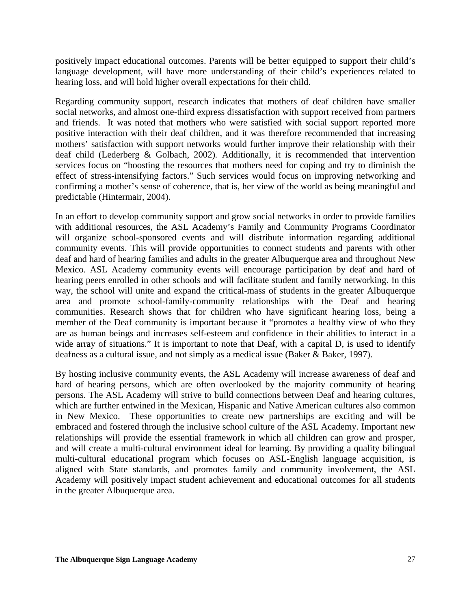positively impact educational outcomes. Parents will be better equipped to support their child's language development, will have more understanding of their child's experiences related to hearing loss, and will hold higher overall expectations for their child.

Regarding community support, research indicates that mothers of deaf children have smaller social networks, and almost one-third express dissatisfaction with support received from partners and friends. It was noted that mothers who were satisfied with social support reported more positive interaction with their deaf children, and it was therefore recommended that increasing mothers' satisfaction with support networks would further improve their relationship with their deaf child (Lederberg & Golbach, 2002)*.* Additionally, it is recommended that intervention services focus on "boosting the resources that mothers need for coping and try to diminish the effect of stress-intensifying factors." Such services would focus on improving networking and confirming a mother's sense of coherence, that is, her view of the world as being meaningful and predictable (Hintermair, 2004).

In an effort to develop community support and grow social networks in order to provide families with additional resources, the ASL Academy's Family and Community Programs Coordinator will organize school-sponsored events and will distribute information regarding additional community events. This will provide opportunities to connect students and parents with other deaf and hard of hearing families and adults in the greater Albuquerque area and throughout New Mexico. ASL Academy community events will encourage participation by deaf and hard of hearing peers enrolled in other schools and will facilitate student and family networking. In this way, the school will unite and expand the critical-mass of students in the greater Albuquerque area and promote school-family-community relationships with the Deaf and hearing communities. Research shows that for children who have significant hearing loss, being a member of the Deaf community is important because it "promotes a healthy view of who they are as human beings and increases self-esteem and confidence in their abilities to interact in a wide array of situations." It is important to note that Deaf, with a capital D, is used to identify deafness as a cultural issue, and not simply as a medical issue (Baker & Baker, 1997).

By hosting inclusive community events, the ASL Academy will increase awareness of deaf and hard of hearing persons, which are often overlooked by the majority community of hearing persons. The ASL Academy will strive to build connections between Deaf and hearing cultures, which are further entwined in the Mexican, Hispanic and Native American cultures also common in New Mexico. These opportunities to create new partnerships are exciting and will be embraced and fostered through the inclusive school culture of the ASL Academy. Important new relationships will provide the essential framework in which all children can grow and prosper, and will create a multi-cultural environment ideal for learning. By providing a quality bilingual multi-cultural educational program which focuses on ASL-English language acquisition, is aligned with State standards, and promotes family and community involvement, the ASL Academy will positively impact student achievement and educational outcomes for all students in the greater Albuquerque area.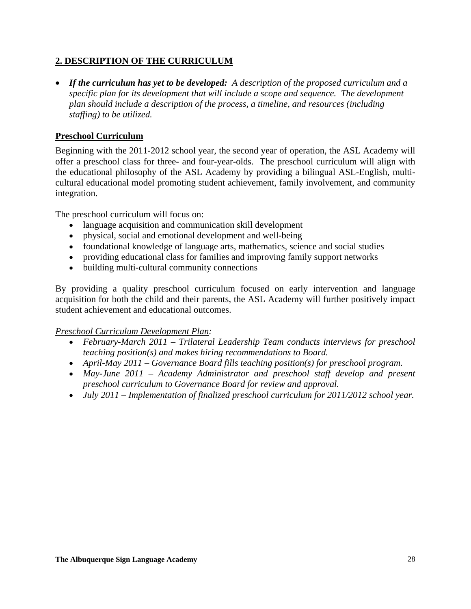## **2. DESCRIPTION OF THE CURRICULUM**

• *If the curriculum has yet to be developed: A description of the proposed curriculum and a specific plan for its development that will include a scope and sequence. The development plan should include a description of the process, a timeline, and resources (including staffing) to be utilized.* 

## **Preschool Curriculum**

Beginning with the 2011-2012 school year, the second year of operation, the ASL Academy will offer a preschool class for three- and four-year-olds. The preschool curriculum will align with the educational philosophy of the ASL Academy by providing a bilingual ASL-English, multicultural educational model promoting student achievement, family involvement, and community integration.

The preschool curriculum will focus on:

- language acquisition and communication skill development
- physical, social and emotional development and well-being
- foundational knowledge of language arts, mathematics, science and social studies
- providing educational class for families and improving family support networks
- building multi-cultural community connections

By providing a quality preschool curriculum focused on early intervention and language acquisition for both the child and their parents, the ASL Academy will further positively impact student achievement and educational outcomes.

## *Preschool Curriculum Development Plan:*

- *February-March 2011 Trilateral Leadership Team conducts interviews for preschool teaching position(s) and makes hiring recommendations to Board.*
- *April-May 2011 Governance Board fills teaching position(s) for preschool program.*
- May-June 2011 Academy Administrator and preschool staff develop and present *preschool curriculum to Governance Board for review and approval.*
- *July 2011 Implementation of finalized preschool curriculum for 2011/2012 school year.*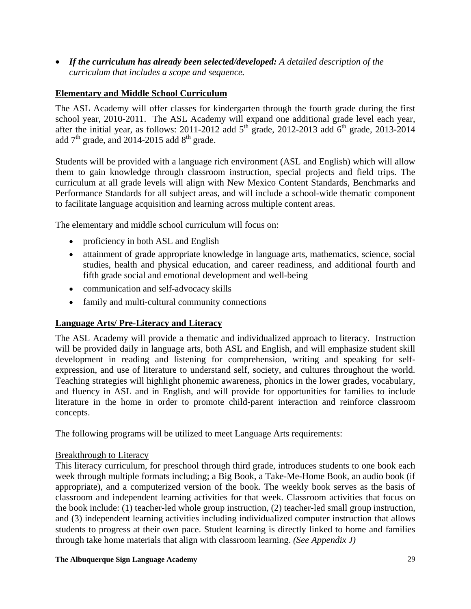• *If the curriculum has already been selected/developed: A detailed description of the curriculum that includes a scope and sequence.* 

## **Elementary and Middle School Curriculum**

The ASL Academy will offer classes for kindergarten through the fourth grade during the first school year, 2010-2011. The ASL Academy will expand one additional grade level each year, after the initial year, as follows: 2011-2012 add  $5<sup>th</sup>$  grade, 2012-2013 add  $6<sup>th</sup>$  grade, 2013-2014 add  $7<sup>th</sup>$  grade, and 2014-2015 add  $8<sup>th</sup>$  grade.

Students will be provided with a language rich environment (ASL and English) which will allow them to gain knowledge through classroom instruction, special projects and field trips. The curriculum at all grade levels will align with New Mexico Content Standards, Benchmarks and Performance Standards for all subject areas, and will include a school-wide thematic component to facilitate language acquisition and learning across multiple content areas.

The elementary and middle school curriculum will focus on:

- proficiency in both ASL and English
- attainment of grade appropriate knowledge in language arts, mathematics, science, social studies, health and physical education, and career readiness, and additional fourth and fifth grade social and emotional development and well-being
- communication and self-advocacy skills
- family and multi-cultural community connections

## **Language Arts/ Pre-Literacy and Literacy**

The ASL Academy will provide a thematic and individualized approach to literacy. Instruction will be provided daily in language arts, both ASL and English, and will emphasize student skill development in reading and listening for comprehension, writing and speaking for selfexpression, and use of literature to understand self, society, and cultures throughout the world. Teaching strategies will highlight phonemic awareness, phonics in the lower grades, vocabulary, and fluency in ASL and in English, and will provide for opportunities for families to include literature in the home in order to promote child-parent interaction and reinforce classroom concepts.

The following programs will be utilized to meet Language Arts requirements:

## Breakthrough to Literacy

This literacy curriculum, for preschool through third grade, introduces students to one book each week through multiple formats including; a Big Book, a Take-Me-Home Book, an audio book (if appropriate), and a computerized version of the book. The weekly book serves as the basis of classroom and independent learning activities for that week. Classroom activities that focus on the book include: (1) teacher-led whole group instruction, (2) teacher-led small group instruction, and (3) independent learning activities including individualized computer instruction that allows students to progress at their own pace. Student learning is directly linked to home and families through take home materials that align with classroom learning. *(See Appendix J)*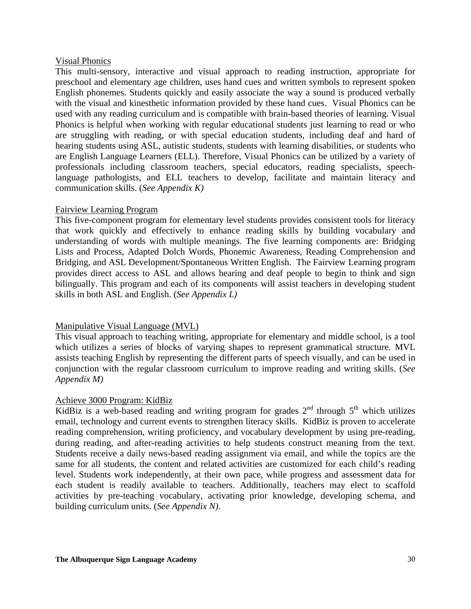### Visual Phonics

This multi-sensory, interactive and visual approach to reading instruction, appropriate for preschool and elementary age children, uses hand cues and written symbols to represent spoken English phonemes. Students quickly and easily associate the way a sound is produced verbally with the visual and kinesthetic information provided by these hand cues. Visual Phonics can be used with any reading curriculum and is compatible with brain-based theories of learning. Visual Phonics is helpful when working with regular educational students just learning to read or who are struggling with reading, or with special education students, including deaf and hard of hearing students using ASL, autistic students, students with learning disabilities, or students who are English Language Learners (ELL). Therefore, Visual Phonics can be utilized by a variety of professionals including classroom teachers, special educators, reading specialists, speechlanguage pathologists, and ELL teachers to develop, facilitate and maintain literacy and communication skills. (*See Appendix K)* 

## Fairview Learning Program

This five-component program for elementary level students provides consistent tools for literacy that work quickly and effectively to enhance reading skills by building vocabulary and understanding of words with multiple meanings. The five learning components are: Bridging Lists and Process, Adapted Dolch Words, Phonemic Awareness, Reading Comprehension and Bridging, and ASL Development/Spontaneous Written English. The Fairview Learning program provides direct access to ASL and allows hearing and deaf people to begin to think and sign bilingually. This program and each of its components will assist teachers in developing student skills in both ASL and English. (*See Appendix L)* 

## Manipulative Visual Language (MVL)

This visual approach to teaching writing, appropriate for elementary and middle school, is a tool which utilizes a series of blocks of varying shapes to represent grammatical structure. MVL assists teaching English by representing the different parts of speech visually, and can be used in conjunction with the regular classroom curriculum to improve reading and writing skills. (*See Appendix M)*

## Achieve 3000 Program: KidBiz

KidBiz is a web-based reading and writing program for grades  $2^{nd}$  through  $5^{th}$  which utilizes email, technology and current events to strengthen literacy skills. KidBiz is proven to accelerate reading comprehension, writing proficiency, and vocabulary development by using pre-reading, during reading, and after-reading activities to help students construct meaning from the text. Students receive a daily news-based reading assignment via email, and while the topics are the same for all students, the content and related activities are customized for each child's reading level. Students work independently, at their own pace, while progress and assessment data for each student is readily available to teachers. Additionally, teachers may elect to scaffold activities by pre-teaching vocabulary, activating prior knowledge, developing schema, and building curriculum units. (*See Appendix N)*.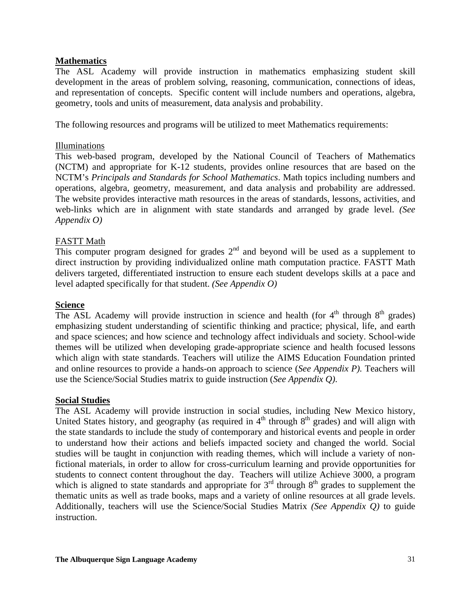## **Mathematics**

The ASL Academy will provide instruction in mathematics emphasizing student skill development in the areas of problem solving, reasoning, communication, connections of ideas, and representation of concepts. Specific content will include numbers and operations, algebra, geometry, tools and units of measurement, data analysis and probability.

The following resources and programs will be utilized to meet Mathematics requirements:

## Illuminations

This web-based program, developed by the National Council of Teachers of Mathematics (NCTM) and appropriate for K-12 students, provides online resources that are based on the NCTM's *Principals and Standards for School Mathematics*. Math topics including numbers and operations, algebra, geometry, measurement, and data analysis and probability are addressed. The website provides interactive math resources in the areas of standards, lessons, activities, and web-links which are in alignment with state standards and arranged by grade level. *(See Appendix O)*

## FASTT Math

This computer program designed for grades  $2<sup>nd</sup>$  and beyond will be used as a supplement to direct instruction by providing individualized online math computation practice. FASTT Math delivers targeted, differentiated instruction to ensure each student develops skills at a pace and level adapted specifically for that student. *(See Appendix O)*

## **Science**

The ASL Academy will provide instruction in science and health (for  $4<sup>th</sup>$  through  $8<sup>th</sup>$  grades) emphasizing student understanding of scientific thinking and practice; physical, life, and earth and space sciences; and how science and technology affect individuals and society. School-wide themes will be utilized when developing grade-appropriate science and health focused lessons which align with state standards. Teachers will utilize the AIMS Education Foundation printed and online resources to provide a hands-on approach to science (*See Appendix P).* Teachers will use the Science/Social Studies matrix to guide instruction (*See Appendix Q)*.

## **Social Studies**

The ASL Academy will provide instruction in social studies, including New Mexico history, United States history, and geography (as required in  $4<sup>th</sup>$  through  $8<sup>th</sup>$  grades) and will align with the state standards to include the study of contemporary and historical events and people in order to understand how their actions and beliefs impacted society and changed the world. Social studies will be taught in conjunction with reading themes, which will include a variety of nonfictional materials, in order to allow for cross-curriculum learning and provide opportunities for students to connect content throughout the day. Teachers will utilize Achieve 3000, a program which is aligned to state standards and appropriate for  $3<sup>rd</sup>$  through  $8<sup>th</sup>$  grades to supplement the thematic units as well as trade books, maps and a variety of online resources at all grade levels. Additionally, teachers will use the Science/Social Studies Matrix *(See Appendix Q)* to guide instruction.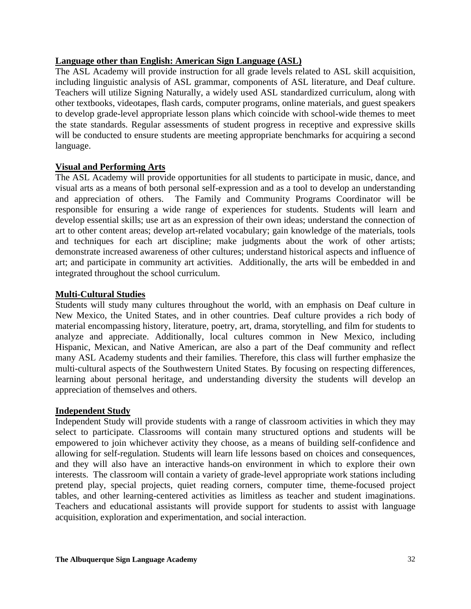## **Language other than English: American Sign Language (ASL)**

The ASL Academy will provide instruction for all grade levels related to ASL skill acquisition, including linguistic analysis of ASL grammar, components of ASL literature, and Deaf culture. Teachers will utilize Signing Naturally, a widely used ASL standardized curriculum, along with other textbooks, videotapes, flash cards, computer programs, online materials, and guest speakers to develop grade-level appropriate lesson plans which coincide with school-wide themes to meet the state standards. Regular assessments of student progress in receptive and expressive skills will be conducted to ensure students are meeting appropriate benchmarks for acquiring a second language.

## **Visual and Performing Arts**

The ASL Academy will provide opportunities for all students to participate in music, dance, and visual arts as a means of both personal self-expression and as a tool to develop an understanding and appreciation of others. The Family and Community Programs Coordinator will be responsible for ensuring a wide range of experiences for students. Students will learn and develop essential skills; use art as an expression of their own ideas; understand the connection of art to other content areas; develop art-related vocabulary; gain knowledge of the materials, tools and techniques for each art discipline; make judgments about the work of other artists; demonstrate increased awareness of other cultures; understand historical aspects and influence of art; and participate in community art activities. Additionally, the arts will be embedded in and integrated throughout the school curriculum.

## **Multi-Cultural Studies**

Students will study many cultures throughout the world, with an emphasis on Deaf culture in New Mexico, the United States, and in other countries. Deaf culture provides a rich body of material encompassing history, literature, poetry, art, drama, storytelling, and film for students to analyze and appreciate. Additionally, local cultures common in New Mexico, including Hispanic, Mexican, and Native American, are also a part of the Deaf community and reflect many ASL Academy students and their families. Therefore, this class will further emphasize the multi-cultural aspects of the Southwestern United States. By focusing on respecting differences, learning about personal heritage, and understanding diversity the students will develop an appreciation of themselves and others.

## **Independent Study**

Independent Study will provide students with a range of classroom activities in which they may select to participate. Classrooms will contain many structured options and students will be empowered to join whichever activity they choose, as a means of building self-confidence and allowing for self-regulation. Students will learn life lessons based on choices and consequences, and they will also have an interactive hands-on environment in which to explore their own interests. The classroom will contain a variety of grade-level appropriate work stations including pretend play, special projects, quiet reading corners, computer time, theme-focused project tables, and other learning-centered activities as limitless as teacher and student imaginations. Teachers and educational assistants will provide support for students to assist with language acquisition, exploration and experimentation, and social interaction.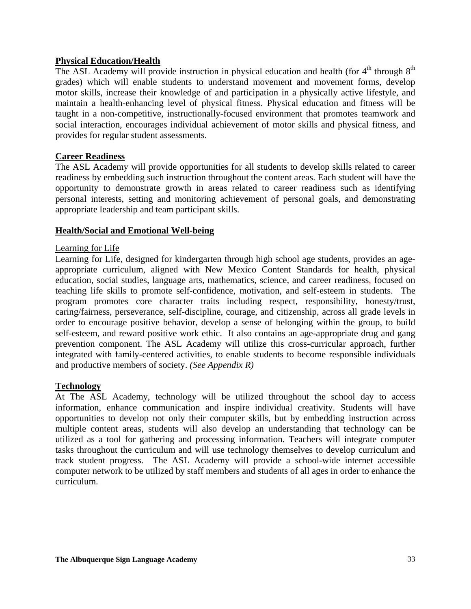## **Physical Education/Health**

The ASL Academy will provide instruction in physical education and health (for  $4<sup>th</sup>$  through  $8<sup>th</sup>$ grades) which will enable students to understand movement and movement forms, develop motor skills, increase their knowledge of and participation in a physically active lifestyle, and maintain a health-enhancing level of physical fitness. Physical education and fitness will be taught in a non-competitive, instructionally-focused environment that promotes teamwork and social interaction, encourages individual achievement of motor skills and physical fitness, and provides for regular student assessments.

## **Career Readiness**

The ASL Academy will provide opportunities for all students to develop skills related to career readiness by embedding such instruction throughout the content areas. Each student will have the opportunity to demonstrate growth in areas related to career readiness such as identifying personal interests, setting and monitoring achievement of personal goals, and demonstrating appropriate leadership and team participant skills.

## **Health/Social and Emotional Well-being**

## Learning for Life

Learning for Life, designed for kindergarten through high school age students, provides an ageappropriate curriculum, aligned with New Mexico Content Standards for health, physical education, social studies, language arts, mathematics, science, and career readiness, focused on teaching life skills to promote self-confidence, motivation, and self-esteem in students. The program promotes core character traits including respect, responsibility, honesty/trust, caring/fairness, perseverance, self-discipline, courage, and citizenship, across all grade levels in order to encourage positive behavior, develop a sense of belonging within the group, to build self-esteem, and reward positive work ethic. It also contains an age-appropriate drug and gang prevention component. The ASL Academy will utilize this cross-curricular approach, further integrated with family-centered activities, to enable students to become responsible individuals and productive members of society. *(See Appendix R)* 

## **Technology**

At The ASL Academy, technology will be utilized throughout the school day to access information, enhance communication and inspire individual creativity. Students will have opportunities to develop not only their computer skills, but by embedding instruction across multiple content areas, students will also develop an understanding that technology can be utilized as a tool for gathering and processing information. Teachers will integrate computer tasks throughout the curriculum and will use technology themselves to develop curriculum and track student progress. The ASL Academy will provide a school-wide internet accessible computer network to be utilized by staff members and students of all ages in order to enhance the curriculum.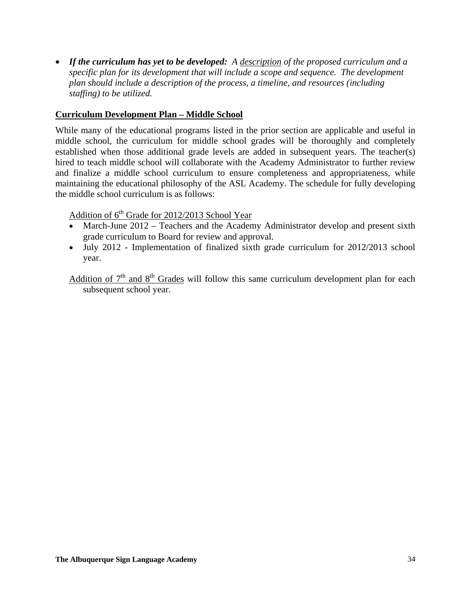• *If the curriculum has yet to be developed: A description of the proposed curriculum and a specific plan for its development that will include a scope and sequence. The development plan should include a description of the process, a timeline, and resources (including staffing) to be utilized.* 

## **Curriculum Development Plan – Middle School**

While many of the educational programs listed in the prior section are applicable and useful in middle school, the curriculum for middle school grades will be thoroughly and completely established when those additional grade levels are added in subsequent years. The teacher(s) hired to teach middle school will collaborate with the Academy Administrator to further review and finalize a middle school curriculum to ensure completeness and appropriateness, while maintaining the educational philosophy of the ASL Academy. The schedule for fully developing the middle school curriculum is as follows:

Addition of  $6<sup>th</sup>$  Grade for 2012/2013 School Year

- March-June 2012 Teachers and the Academy Administrator develop and present sixth grade curriculum to Board for review and approval.
- July 2012 Implementation of finalized sixth grade curriculum for 2012/2013 school year.

Addition of  $7<sup>th</sup>$  and  $8<sup>th</sup>$  Grades will follow this same curriculum development plan for each subsequent school year.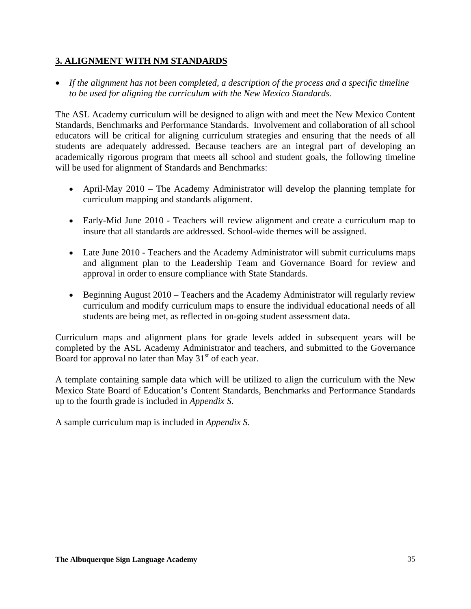## **3. ALIGNMENT WITH NM STANDARDS**

• *If the alignment has not been completed, a description of the process and a specific timeline to be used for aligning the curriculum with the New Mexico Standards.*

The ASL Academy curriculum will be designed to align with and meet the New Mexico Content Standards, Benchmarks and Performance Standards. Involvement and collaboration of all school educators will be critical for aligning curriculum strategies and ensuring that the needs of all students are adequately addressed. Because teachers are an integral part of developing an academically rigorous program that meets all school and student goals, the following timeline will be used for alignment of Standards and Benchmarks:

- April-May 2010 The Academy Administrator will develop the planning template for curriculum mapping and standards alignment.
- Early-Mid June 2010 Teachers will review alignment and create a curriculum map to insure that all standards are addressed. School-wide themes will be assigned.
- Late June 2010 Teachers and the Academy Administrator will submit curriculums maps and alignment plan to the Leadership Team and Governance Board for review and approval in order to ensure compliance with State Standards.
- Beginning August 2010 Teachers and the Academy Administrator will regularly review curriculum and modify curriculum maps to ensure the individual educational needs of all students are being met, as reflected in on-going student assessment data.

Curriculum maps and alignment plans for grade levels added in subsequent years will be completed by the ASL Academy Administrator and teachers, and submitted to the Governance Board for approval no later than May  $31<sup>st</sup>$  of each year.

A template containing sample data which will be utilized to align the curriculum with the New Mexico State Board of Education's Content Standards, Benchmarks and Performance Standards up to the fourth grade is included in *Appendix S*.

A sample curriculum map is included in *Appendix S*.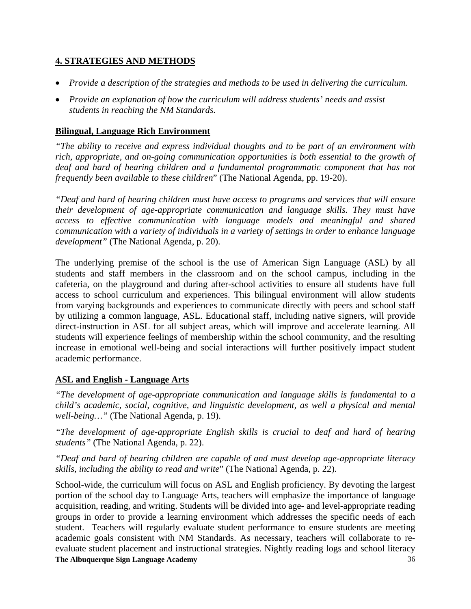# **4. STRATEGIES AND METHODS**

- *Provide a description of the strategies and methods to be used in delivering the curriculum.*
- *Provide an explanation of how the curriculum will address students' needs and assist students in reaching the NM Standards.*

### **Bilingual, Language Rich Environment**

*"The ability to receive and express individual thoughts and to be part of an environment with rich, appropriate, and on-going communication opportunities is both essential to the growth of deaf and hard of hearing children and a fundamental programmatic component that has not frequently been available to these children*" (The National Agenda, pp. 19-20).

*"Deaf and hard of hearing children must have access to programs and services that will ensure their development of age-appropriate communication and language skills. They must have access to effective communication with language models and meaningful and shared communication with a variety of individuals in a variety of settings in order to enhance language development"* (The National Agenda, p. 20).

The underlying premise of the school is the use of American Sign Language (ASL) by all students and staff members in the classroom and on the school campus, including in the cafeteria, on the playground and during after-school activities to ensure all students have full access to school curriculum and experiences. This bilingual environment will allow students from varying backgrounds and experiences to communicate directly with peers and school staff by utilizing a common language, ASL. Educational staff, including native signers, will provide direct-instruction in ASL for all subject areas, which will improve and accelerate learning. All students will experience feelings of membership within the school community, and the resulting increase in emotional well-being and social interactions will further positively impact student academic performance.

# **ASL and English - Language Arts**

*"The development of age-appropriate communication and language skills is fundamental to a child's academic, social, cognitive, and linguistic development, as well a physical and mental well-being…"* (The National Agenda, p. 19).

*"The development of age-appropriate English skills is crucial to deaf and hard of hearing students"* (The National Agenda, p. 22).

*"Deaf and hard of hearing children are capable of and must develop age-appropriate literacy skills, including the ability to read and write*" (The National Agenda, p. 22).

**The Albuquerque Sign Language Academy**  36 School-wide, the curriculum will focus on ASL and English proficiency. By devoting the largest portion of the school day to Language Arts, teachers will emphasize the importance of language acquisition, reading, and writing. Students will be divided into age- and level-appropriate reading groups in order to provide a learning environment which addresses the specific needs of each student. Teachers will regularly evaluate student performance to ensure students are meeting academic goals consistent with NM Standards. As necessary, teachers will collaborate to reevaluate student placement and instructional strategies. Nightly reading logs and school literacy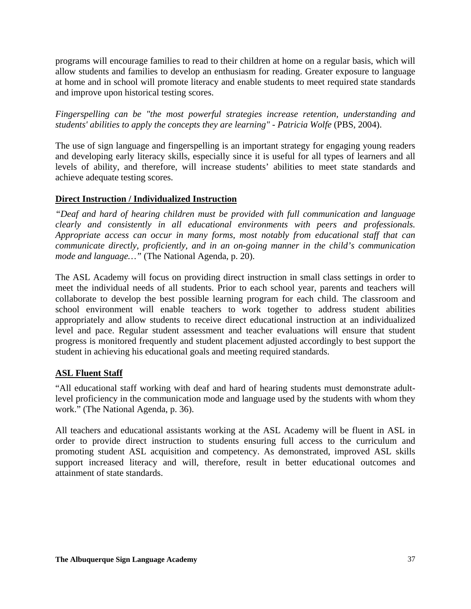programs will encourage families to read to their children at home on a regular basis, which will allow students and families to develop an enthusiasm for reading. Greater exposure to language at home and in school will promote literacy and enable students to meet required state standards and improve upon historical testing scores.

*Fingerspelling can be "the most powerful strategies increase retention, understanding and students' abilities to apply the concepts they are learning" - Patricia Wolfe* (PBS, 2004).

The use of sign language and fingerspelling is an important strategy for engaging young readers and developing early literacy skills, especially since it is useful for all types of learners and all levels of ability, and therefore, will increase students' abilities to meet state standards and achieve adequate testing scores.

# **Direct Instruction / Individualized Instruction**

*"Deaf and hard of hearing children must be provided with full communication and language clearly and consistently in all educational environments with peers and professionals. Appropriate access can occur in many forms, most notably from educational staff that can communicate directly, proficiently, and in an on-going manner in the child's communication mode and language…"* (The National Agenda, p. 20).

The ASL Academy will focus on providing direct instruction in small class settings in order to meet the individual needs of all students. Prior to each school year, parents and teachers will collaborate to develop the best possible learning program for each child. The classroom and school environment will enable teachers to work together to address student abilities appropriately and allow students to receive direct educational instruction at an individualized level and pace. Regular student assessment and teacher evaluations will ensure that student progress is monitored frequently and student placement adjusted accordingly to best support the student in achieving his educational goals and meeting required standards.

# **ASL Fluent Staff**

"All educational staff working with deaf and hard of hearing students must demonstrate adultlevel proficiency in the communication mode and language used by the students with whom they work." (The National Agenda, p. 36).

All teachers and educational assistants working at the ASL Academy will be fluent in ASL in order to provide direct instruction to students ensuring full access to the curriculum and promoting student ASL acquisition and competency. As demonstrated, improved ASL skills support increased literacy and will, therefore, result in better educational outcomes and attainment of state standards.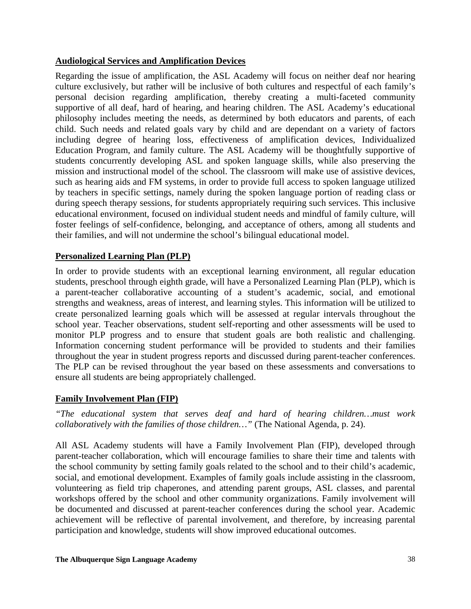# **Audiological Services and Amplification Devices**

Regarding the issue of amplification, the ASL Academy will focus on neither deaf nor hearing culture exclusively, but rather will be inclusive of both cultures and respectful of each family's personal decision regarding amplification, thereby creating a multi-faceted community supportive of all deaf, hard of hearing, and hearing children. The ASL Academy's educational philosophy includes meeting the needs, as determined by both educators and parents, of each child. Such needs and related goals vary by child and are dependant on a variety of factors including degree of hearing loss, effectiveness of amplification devices, Individualized Education Program, and family culture. The ASL Academy will be thoughtfully supportive of students concurrently developing ASL and spoken language skills, while also preserving the mission and instructional model of the school. The classroom will make use of assistive devices, such as hearing aids and FM systems, in order to provide full access to spoken language utilized by teachers in specific settings, namely during the spoken language portion of reading class or during speech therapy sessions, for students appropriately requiring such services. This inclusive educational environment, focused on individual student needs and mindful of family culture, will foster feelings of self-confidence, belonging, and acceptance of others, among all students and their families, and will not undermine the school's bilingual educational model.

# **Personalized Learning Plan (PLP)**

In order to provide students with an exceptional learning environment, all regular education students, preschool through eighth grade, will have a Personalized Learning Plan (PLP), which is a parent-teacher collaborative accounting of a student's academic, social, and emotional strengths and weakness, areas of interest, and learning styles. This information will be utilized to create personalized learning goals which will be assessed at regular intervals throughout the school year. Teacher observations, student self-reporting and other assessments will be used to monitor PLP progress and to ensure that student goals are both realistic and challenging. Information concerning student performance will be provided to students and their families throughout the year in student progress reports and discussed during parent-teacher conferences. The PLP can be revised throughout the year based on these assessments and conversations to ensure all students are being appropriately challenged.

### **Family Involvement Plan (FIP)**

*"The educational system that serves deaf and hard of hearing children…must work collaboratively with the families of those children…"* (The National Agenda, p. 24).

All ASL Academy students will have a Family Involvement Plan (FIP), developed through parent-teacher collaboration, which will encourage families to share their time and talents with the school community by setting family goals related to the school and to their child's academic, social, and emotional development. Examples of family goals include assisting in the classroom, volunteering as field trip chaperones, and attending parent groups, ASL classes, and parental workshops offered by the school and other community organizations. Family involvement will be documented and discussed at parent-teacher conferences during the school year. Academic achievement will be reflective of parental involvement, and therefore, by increasing parental participation and knowledge, students will show improved educational outcomes.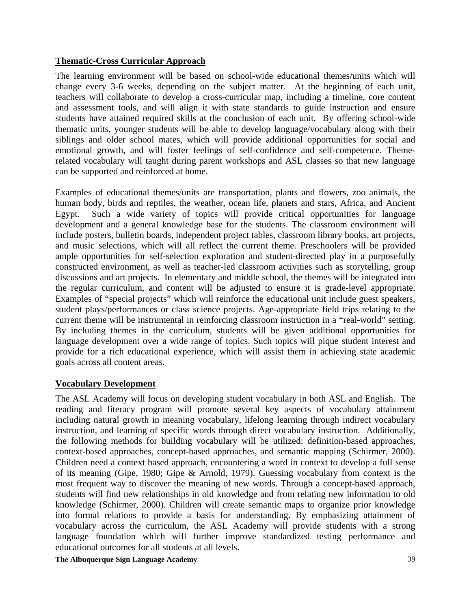# **Thematic-Cross Curricular Approach**

The learning environment will be based on school-wide educational themes/units which will change every 3-6 weeks, depending on the subject matter. At the beginning of each unit, teachers will collaborate to develop a cross-curricular map, including a timeline, core content and assessment tools, and will align it with state standards to guide instruction and ensure students have attained required skills at the conclusion of each unit. By offering school-wide thematic units, younger students will be able to develop language/vocabulary along with their siblings and older school mates, which will provide additional opportunities for social and emotional growth, and will foster feelings of self-confidence and self-competence. Themerelated vocabulary will taught during parent workshops and ASL classes so that new language can be supported and reinforced at home.

Examples of educational themes/units are transportation, plants and flowers, zoo animals, the human body, birds and reptiles, the weather, ocean life, planets and stars, Africa, and Ancient Egypt. Such a wide variety of topics will provide critical opportunities for language development and a general knowledge base for the students. The classroom environment will include posters, bulletin boards, independent project tables, classroom library books, art projects, and music selections, which will all reflect the current theme. Preschoolers will be provided ample opportunities for self-selection exploration and student-directed play in a purposefully constructed environment, as well as teacher-led classroom activities such as storytelling, group discussions and art projects. In elementary and middle school, the themes will be integrated into the regular curriculum, and content will be adjusted to ensure it is grade-level appropriate. Examples of "special projects" which will reinforce the educational unit include guest speakers, student plays/performances or class science projects. Age-appropriate field trips relating to the current theme will be instrumental in reinforcing classroom instruction in a "real-world" setting. By including themes in the curriculum, students will be given additional opportunities for language development over a wide range of topics. Such topics will pique student interest and provide for a rich educational experience, which will assist them in achieving state academic goals across all content areas.

# **Vocabulary Development**

The ASL Academy will focus on developing student vocabulary in both ASL and English. The reading and literacy program will promote several key aspects of vocabulary attainment including natural growth in meaning vocabulary, lifelong learning through indirect vocabulary instruction, and learning of specific words through direct vocabulary instruction. Additionally, the following methods for building vocabulary will be utilized: definition-based approaches, context-based approaches, concept-based approaches, and semantic mapping (Schirmer, 2000). Children need a context based approach, encountering a word in context to develop a full sense of its meaning (Gipe, 1980; Gipe & Arnold, 1979). Guessing vocabulary from context is the most frequent way to discover the meaning of new words. Through a concept-based approach, students will find new relationships in old knowledge and from relating new information to old knowledge (Schirmer, 2000). Children will create semantic maps to organize prior knowledge into formal relations to provide a basis for understanding. By emphasizing attainment of vocabulary across the curriculum, the ASL Academy will provide students with a strong language foundation which will further improve standardized testing performance and educational outcomes for all students at all levels.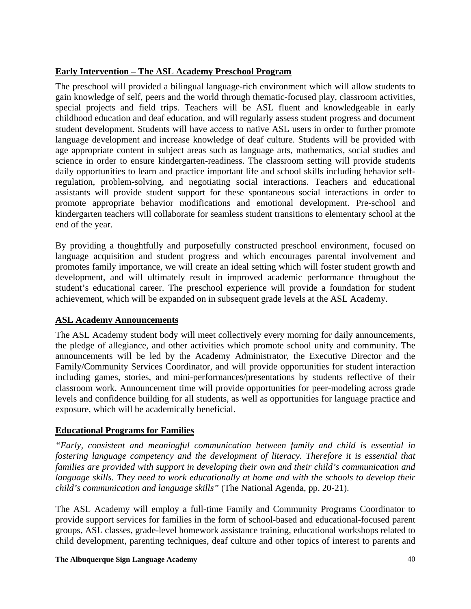# **Early Intervention – The ASL Academy Preschool Program**

The preschool will provided a bilingual language-rich environment which will allow students to gain knowledge of self, peers and the world through thematic-focused play, classroom activities, special projects and field trips. Teachers will be ASL fluent and knowledgeable in early childhood education and deaf education, and will regularly assess student progress and document student development. Students will have access to native ASL users in order to further promote language development and increase knowledge of deaf culture. Students will be provided with age appropriate content in subject areas such as language arts, mathematics, social studies and science in order to ensure kindergarten-readiness. The classroom setting will provide students daily opportunities to learn and practice important life and school skills including behavior selfregulation, problem-solving, and negotiating social interactions. Teachers and educational assistants will provide student support for these spontaneous social interactions in order to promote appropriate behavior modifications and emotional development. Pre-school and kindergarten teachers will collaborate for seamless student transitions to elementary school at the end of the year.

By providing a thoughtfully and purposefully constructed preschool environment, focused on language acquisition and student progress and which encourages parental involvement and promotes family importance, we will create an ideal setting which will foster student growth and development, and will ultimately result in improved academic performance throughout the student's educational career. The preschool experience will provide a foundation for student achievement, which will be expanded on in subsequent grade levels at the ASL Academy.

# **ASL Academy Announcements**

The ASL Academy student body will meet collectively every morning for daily announcements, the pledge of allegiance, and other activities which promote school unity and community. The announcements will be led by the Academy Administrator, the Executive Director and the Family/Community Services Coordinator, and will provide opportunities for student interaction including games, stories, and mini-performances/presentations by students reflective of their classroom work. Announcement time will provide opportunities for peer-modeling across grade levels and confidence building for all students, as well as opportunities for language practice and exposure, which will be academically beneficial.

# **Educational Programs for Families**

*"Early, consistent and meaningful communication between family and child is essential in fostering language competency and the development of literacy. Therefore it is essential that families are provided with support in developing their own and their child's communication and*  language skills. They need to work educationally at home and with the schools to develop their *child's communication and language skills"* (The National Agenda, pp. 20-21).

The ASL Academy will employ a full-time Family and Community Programs Coordinator to provide support services for families in the form of school-based and educational-focused parent groups, ASL classes, grade-level homework assistance training, educational workshops related to child development, parenting techniques, deaf culture and other topics of interest to parents and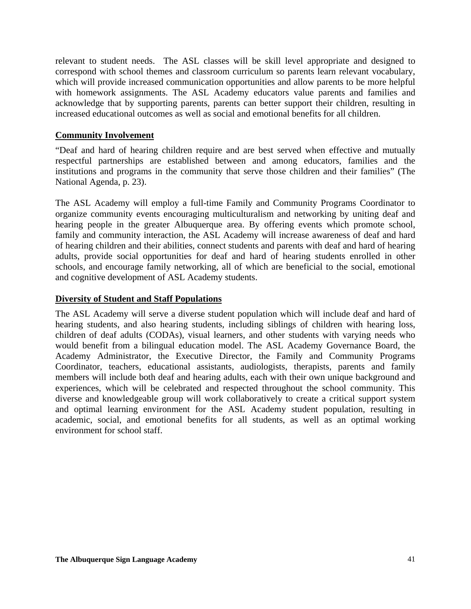relevant to student needs. The ASL classes will be skill level appropriate and designed to correspond with school themes and classroom curriculum so parents learn relevant vocabulary, which will provide increased communication opportunities and allow parents to be more helpful with homework assignments. The ASL Academy educators value parents and families and acknowledge that by supporting parents, parents can better support their children, resulting in increased educational outcomes as well as social and emotional benefits for all children.

### **Community Involvement**

"Deaf and hard of hearing children require and are best served when effective and mutually respectful partnerships are established between and among educators, families and the institutions and programs in the community that serve those children and their families" (The National Agenda, p. 23).

The ASL Academy will employ a full-time Family and Community Programs Coordinator to organize community events encouraging multiculturalism and networking by uniting deaf and hearing people in the greater Albuquerque area. By offering events which promote school, family and community interaction, the ASL Academy will increase awareness of deaf and hard of hearing children and their abilities, connect students and parents with deaf and hard of hearing adults, provide social opportunities for deaf and hard of hearing students enrolled in other schools, and encourage family networking, all of which are beneficial to the social, emotional and cognitive development of ASL Academy students.

### **Diversity of Student and Staff Populations**

The ASL Academy will serve a diverse student population which will include deaf and hard of hearing students, and also hearing students, including siblings of children with hearing loss, children of deaf adults (CODAs), visual learners, and other students with varying needs who would benefit from a bilingual education model. The ASL Academy Governance Board, the Academy Administrator, the Executive Director, the Family and Community Programs Coordinator, teachers, educational assistants, audiologists, therapists, parents and family members will include both deaf and hearing adults, each with their own unique background and experiences, which will be celebrated and respected throughout the school community. This diverse and knowledgeable group will work collaboratively to create a critical support system and optimal learning environment for the ASL Academy student population, resulting in academic, social, and emotional benefits for all students, as well as an optimal working environment for school staff.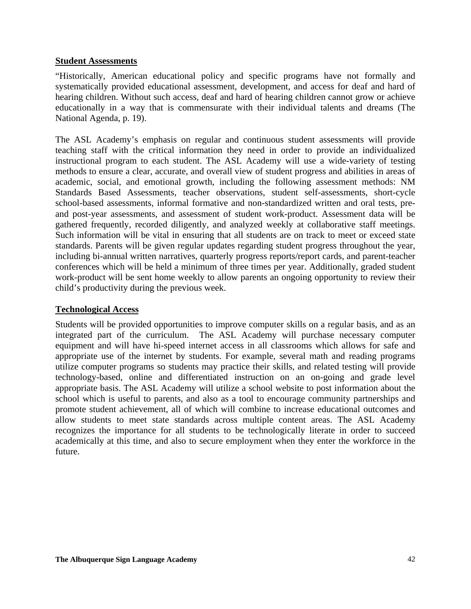### **Student Assessments**

"Historically, American educational policy and specific programs have not formally and systematically provided educational assessment, development, and access for deaf and hard of hearing children. Without such access, deaf and hard of hearing children cannot grow or achieve educationally in a way that is commensurate with their individual talents and dreams (The National Agenda, p. 19).

The ASL Academy's emphasis on regular and continuous student assessments will provide teaching staff with the critical information they need in order to provide an individualized instructional program to each student. The ASL Academy will use a wide-variety of testing methods to ensure a clear, accurate, and overall view of student progress and abilities in areas of academic, social, and emotional growth, including the following assessment methods: NM Standards Based Assessments, teacher observations, student self-assessments, short-cycle school-based assessments, informal formative and non-standardized written and oral tests, preand post-year assessments, and assessment of student work-product. Assessment data will be gathered frequently, recorded diligently, and analyzed weekly at collaborative staff meetings. Such information will be vital in ensuring that all students are on track to meet or exceed state standards. Parents will be given regular updates regarding student progress throughout the year, including bi-annual written narratives, quarterly progress reports/report cards, and parent-teacher conferences which will be held a minimum of three times per year. Additionally, graded student work-product will be sent home weekly to allow parents an ongoing opportunity to review their child's productivity during the previous week.

### **Technological Access**

Students will be provided opportunities to improve computer skills on a regular basis, and as an integrated part of the curriculum. The ASL Academy will purchase necessary computer equipment and will have hi-speed internet access in all classrooms which allows for safe and appropriate use of the internet by students. For example, several math and reading programs utilize computer programs so students may practice their skills, and related testing will provide technology-based, online and differentiated instruction on an on-going and grade level appropriate basis. The ASL Academy will utilize a school website to post information about the school which is useful to parents, and also as a tool to encourage community partnerships and promote student achievement, all of which will combine to increase educational outcomes and allow students to meet state standards across multiple content areas. The ASL Academy recognizes the importance for all students to be technologically literate in order to succeed academically at this time, and also to secure employment when they enter the workforce in the future.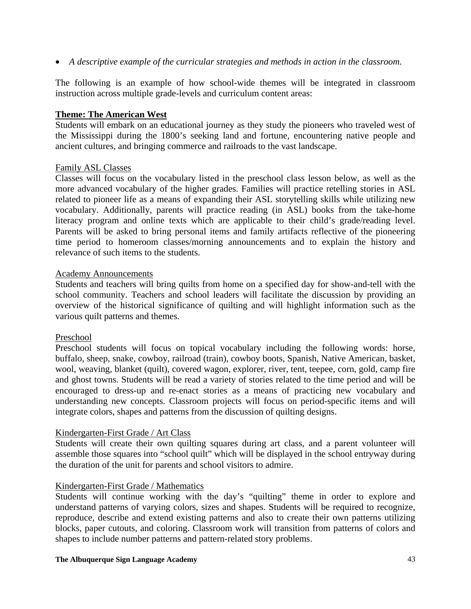• *A descriptive example of the curricular strategies and methods in action in the classroom.*

The following is an example of how school-wide themes will be integrated in classroom instruction across multiple grade-levels and curriculum content areas:

### **Theme: The American West**

Students will embark on an educational journey as they study the pioneers who traveled west of the Mississippi during the 1800's seeking land and fortune, encountering native people and ancient cultures, and bringing commerce and railroads to the vast landscape.

### Family ASL Classes

Classes will focus on the vocabulary listed in the preschool class lesson below, as well as the more advanced vocabulary of the higher grades. Families will practice retelling stories in ASL related to pioneer life as a means of expanding their ASL storytelling skills while utilizing new vocabulary. Additionally, parents will practice reading (in ASL) books from the take-home literacy program and online texts which are applicable to their child's grade/reading level. Parents will be asked to bring personal items and family artifacts reflective of the pioneering time period to homeroom classes/morning announcements and to explain the history and relevance of such items to the students.

### Academy Announcements

Students and teachers will bring quilts from home on a specified day for show-and-tell with the school community. Teachers and school leaders will facilitate the discussion by providing an overview of the historical significance of quilting and will highlight information such as the various quilt patterns and themes.

### Preschool

Preschool students will focus on topical vocabulary including the following words: horse, buffalo, sheep, snake, cowboy, railroad (train), cowboy boots, Spanish, Native American, basket, wool, weaving, blanket (quilt), covered wagon, explorer, river, tent, teepee, corn, gold, camp fire and ghost towns. Students will be read a variety of stories related to the time period and will be encouraged to dress-up and re-enact stories as a means of practicing new vocabulary and understanding new concepts. Classroom projects will focus on period-specific items and will integrate colors, shapes and patterns from the discussion of quilting designs.

### Kindergarten-First Grade / Art Class

Students will create their own quilting squares during art class, and a parent volunteer will assemble those squares into "school quilt" which will be displayed in the school entryway during the duration of the unit for parents and school visitors to admire.

### Kindergarten-First Grade / Mathematics

Students will continue working with the day's "quilting" theme in order to explore and understand patterns of varying colors, sizes and shapes. Students will be required to recognize, reproduce, describe and extend existing patterns and also to create their own patterns utilizing blocks, paper cutouts, and coloring. Classroom work will transition from patterns of colors and shapes to include number patterns and pattern-related story problems.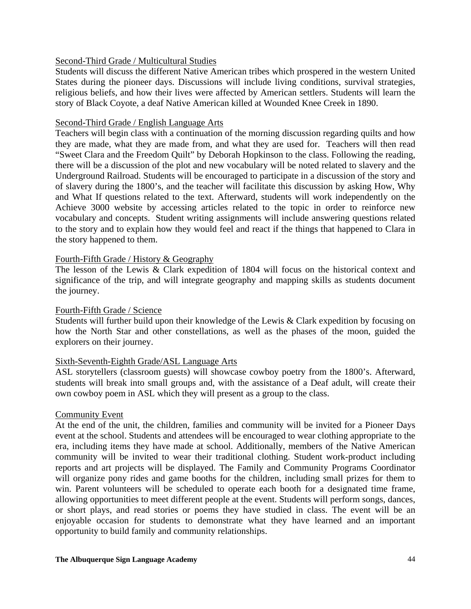### Second-Third Grade / Multicultural Studies

Students will discuss the different Native American tribes which prospered in the western United States during the pioneer days. Discussions will include living conditions, survival strategies, religious beliefs, and how their lives were affected by American settlers. Students will learn the story of Black Coyote, a deaf Native American killed at Wounded Knee Creek in 1890.

#### Second-Third Grade / English Language Arts

Teachers will begin class with a continuation of the morning discussion regarding quilts and how they are made, what they are made from, and what they are used for. Teachers will then read "Sweet Clara and the Freedom Quilt" by Deborah Hopkinson to the class. Following the reading, there will be a discussion of the plot and new vocabulary will be noted related to slavery and the Underground Railroad. Students will be encouraged to participate in a discussion of the story and of slavery during the 1800's, and the teacher will facilitate this discussion by asking How, Why and What If questions related to the text. Afterward, students will work independently on the Achieve 3000 website by accessing articles related to the topic in order to reinforce new vocabulary and concepts. Student writing assignments will include answering questions related to the story and to explain how they would feel and react if the things that happened to Clara in the story happened to them.

### Fourth-Fifth Grade / History & Geography

The lesson of the Lewis & Clark expedition of 1804 will focus on the historical context and significance of the trip, and will integrate geography and mapping skills as students document the journey.

### Fourth-Fifth Grade / Science

Students will further build upon their knowledge of the Lewis & Clark expedition by focusing on how the North Star and other constellations, as well as the phases of the moon, guided the explorers on their journey.

### Sixth-Seventh-Eighth Grade/ASL Language Arts

ASL storytellers (classroom guests) will showcase cowboy poetry from the 1800's. Afterward, students will break into small groups and, with the assistance of a Deaf adult, will create their own cowboy poem in ASL which they will present as a group to the class.

#### Community Event

At the end of the unit, the children, families and community will be invited for a Pioneer Days event at the school. Students and attendees will be encouraged to wear clothing appropriate to the era, including items they have made at school. Additionally, members of the Native American community will be invited to wear their traditional clothing. Student work-product including reports and art projects will be displayed. The Family and Community Programs Coordinator will organize pony rides and game booths for the children, including small prizes for them to win. Parent volunteers will be scheduled to operate each booth for a designated time frame, allowing opportunities to meet different people at the event. Students will perform songs, dances, or short plays, and read stories or poems they have studied in class. The event will be an enjoyable occasion for students to demonstrate what they have learned and an important opportunity to build family and community relationships.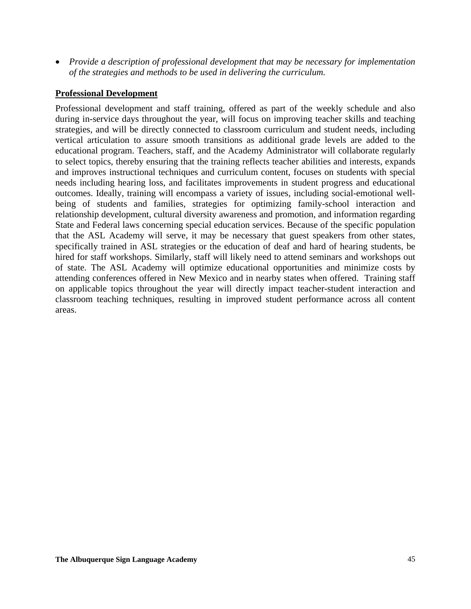• *Provide a description of professional development that may be necessary for implementation of the strategies and methods to be used in delivering the curriculum.*

### **Professional Development**

Professional development and staff training, offered as part of the weekly schedule and also during in-service days throughout the year, will focus on improving teacher skills and teaching strategies, and will be directly connected to classroom curriculum and student needs, including vertical articulation to assure smooth transitions as additional grade levels are added to the educational program. Teachers, staff, and the Academy Administrator will collaborate regularly to select topics, thereby ensuring that the training reflects teacher abilities and interests, expands and improves instructional techniques and curriculum content, focuses on students with special needs including hearing loss, and facilitates improvements in student progress and educational outcomes. Ideally, training will encompass a variety of issues, including social-emotional wellbeing of students and families, strategies for optimizing family-school interaction and relationship development, cultural diversity awareness and promotion, and information regarding State and Federal laws concerning special education services. Because of the specific population that the ASL Academy will serve, it may be necessary that guest speakers from other states, specifically trained in ASL strategies or the education of deaf and hard of hearing students, be hired for staff workshops. Similarly, staff will likely need to attend seminars and workshops out of state. The ASL Academy will optimize educational opportunities and minimize costs by attending conferences offered in New Mexico and in nearby states when offered. Training staff on applicable topics throughout the year will directly impact teacher-student interaction and classroom teaching techniques, resulting in improved student performance across all content areas.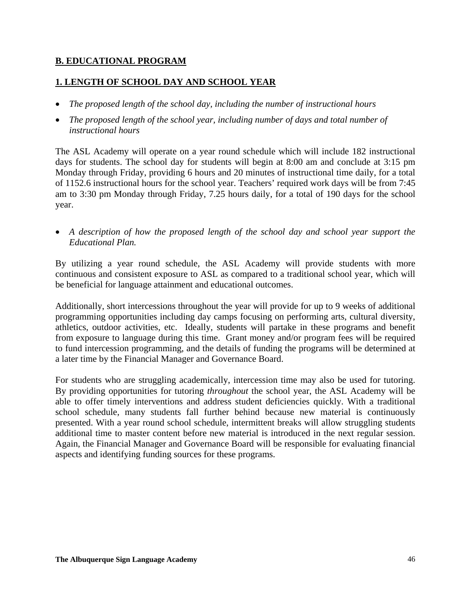# **B. EDUCATIONAL PROGRAM**

# **1. LENGTH OF SCHOOL DAY AND SCHOOL YEAR**

- *The proposed length of the school day, including the number of instructional hours*
- *The proposed length of the school year, including number of days and total number of instructional hours*

The ASL Academy will operate on a year round schedule which will include 182 instructional days for students. The school day for students will begin at 8:00 am and conclude at 3:15 pm Monday through Friday, providing 6 hours and 20 minutes of instructional time daily, for a total of 1152.6 instructional hours for the school year. Teachers' required work days will be from 7:45 am to 3:30 pm Monday through Friday, 7.25 hours daily, for a total of 190 days for the school year.

• *A description of how the proposed length of the school day and school year support the Educational Plan.* 

By utilizing a year round schedule, the ASL Academy will provide students with more continuous and consistent exposure to ASL as compared to a traditional school year, which will be beneficial for language attainment and educational outcomes.

Additionally, short intercessions throughout the year will provide for up to 9 weeks of additional programming opportunities including day camps focusing on performing arts, cultural diversity, athletics, outdoor activities, etc. Ideally, students will partake in these programs and benefit from exposure to language during this time. Grant money and/or program fees will be required to fund intercession programming, and the details of funding the programs will be determined at a later time by the Financial Manager and Governance Board.

For students who are struggling academically, intercession time may also be used for tutoring. By providing opportunities for tutoring *throughout* the school year, the ASL Academy will be able to offer timely interventions and address student deficiencies quickly. With a traditional school schedule, many students fall further behind because new material is continuously presented. With a year round school schedule, intermittent breaks will allow struggling students additional time to master content before new material is introduced in the next regular session. Again, the Financial Manager and Governance Board will be responsible for evaluating financial aspects and identifying funding sources for these programs.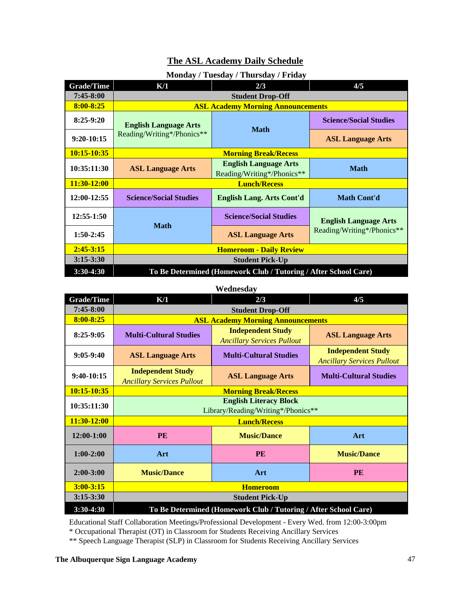# **The ASL Academy Daily Schedule**

|                   |                               | $= 100$ and $(100)$                                             |                               |
|-------------------|-------------------------------|-----------------------------------------------------------------|-------------------------------|
| <b>Grade/Time</b> | K/1                           | 2/3                                                             | 4/5                           |
| $7:45 - 8:00$     |                               | <b>Student Drop-Off</b>                                         |                               |
| $8:00 - 8:25$     |                               | <b>ASL Academy Morning Announcements</b>                        |                               |
| $8:25-9:20$       | <b>English Language Arts</b>  | <b>Math</b>                                                     | <b>Science/Social Studies</b> |
| 9:20-10:15        | Reading/Writing*/Phonics**    |                                                                 | <b>ASL Language Arts</b>      |
| $10:15 - 10:35$   |                               | <b>Morning Break/Recess</b>                                     |                               |
| 10:35:11:30       | <b>ASL Language Arts</b>      | <b>English Language Arts</b><br>Reading/Writing*/Phonics**      | <b>Math</b>                   |
| 11:30-12:00       |                               | <b>Lunch/Recess</b>                                             |                               |
| 12:00-12:55       | <b>Science/Social Studies</b> | <b>English Lang. Arts Cont'd</b>                                | <b>Math Cont'd</b>            |
| 12:55-1:50        | <b>Math</b>                   | <b>Science/Social Studies</b>                                   | <b>English Language Arts</b>  |
| $1:50-2:45$       |                               | <b>ASL Language Arts</b>                                        | Reading/Writing*/Phonics**    |
| $2:45 - 3:15$     |                               | <b>Homeroom - Daily Review</b>                                  |                               |
| $3:15 - 3:30$     |                               | <b>Student Pick-Up</b>                                          |                               |
| $3:30-4:30$       |                               | To Be Determined (Homework Club / Tutoring / After School Care) |                               |

### **Monday / Tuesday / Thursday / Friday**

#### **Wednesday**

| <b>Grade/Time</b> | K/1                                                             | 2/3                                                                 | 4/5                                                           |  |  |  |  |  |  |  |  |  |  |
|-------------------|-----------------------------------------------------------------|---------------------------------------------------------------------|---------------------------------------------------------------|--|--|--|--|--|--|--|--|--|--|
| $7:45-8:00$       |                                                                 | <b>Student Drop-Off</b>                                             |                                                               |  |  |  |  |  |  |  |  |  |  |
| 8:00-8:25         |                                                                 | <b>ASL Academy Morning Announcements</b>                            |                                                               |  |  |  |  |  |  |  |  |  |  |
| $8:25-9:05$       | <b>Multi-Cultural Studies</b>                                   | <b>Independent Study</b><br><b>Ancillary Services Pullout</b>       | <b>ASL Language Arts</b>                                      |  |  |  |  |  |  |  |  |  |  |
| $9:05-9:40$       | <b>ASL Language Arts</b>                                        | <b>Multi-Cultural Studies</b>                                       | <b>Independent Study</b><br><b>Ancillary Services Pullout</b> |  |  |  |  |  |  |  |  |  |  |
| $9:40-10:15$      | <b>Independent Study</b><br><b>Ancillary Services Pullout</b>   | <b>ASL Language Arts</b>                                            | <b>Multi-Cultural Studies</b>                                 |  |  |  |  |  |  |  |  |  |  |
| 10:15-10:35       |                                                                 | <b>Morning Break/Recess</b>                                         |                                                               |  |  |  |  |  |  |  |  |  |  |
| 10:35:11:30       |                                                                 | <b>English Literacy Block</b><br>Library/Reading/Writing*/Phonics** |                                                               |  |  |  |  |  |  |  |  |  |  |
| 11:30-12:00       |                                                                 | <b>Lunch/Recess</b>                                                 |                                                               |  |  |  |  |  |  |  |  |  |  |
| $12:00-1:00$      | <b>PE</b>                                                       | <b>Music/Dance</b>                                                  | Art                                                           |  |  |  |  |  |  |  |  |  |  |
| $1:00-2:00$       | Art                                                             | <b>PE</b>                                                           | <b>Music/Dance</b>                                            |  |  |  |  |  |  |  |  |  |  |
| $2:00 - 3:00$     | <b>Music/Dance</b>                                              | Art                                                                 | <b>PE</b>                                                     |  |  |  |  |  |  |  |  |  |  |
| $3:00 - 3:15$     |                                                                 | <b>Homeroom</b>                                                     |                                                               |  |  |  |  |  |  |  |  |  |  |
| $3:15 - 3:30$     |                                                                 | <b>Student Pick-Up</b>                                              |                                                               |  |  |  |  |  |  |  |  |  |  |
| 3:30-4:30         | To Be Determined (Homework Club / Tutoring / After School Care) |                                                                     |                                                               |  |  |  |  |  |  |  |  |  |  |

Educational Staff Collaboration Meetings/Professional Development - Every Wed. from 12:00-3:00pm

\* Occupational Therapist (OT) in Classroom for Students Receiving Ancillary Services

\*\* Speech Language Therapist (SLP) in Classroom for Students Receiving Ancillary Services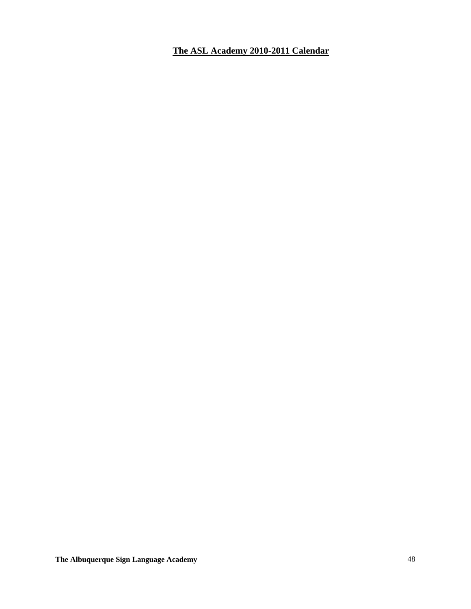**The ASL Academy 2010-2011 Calendar**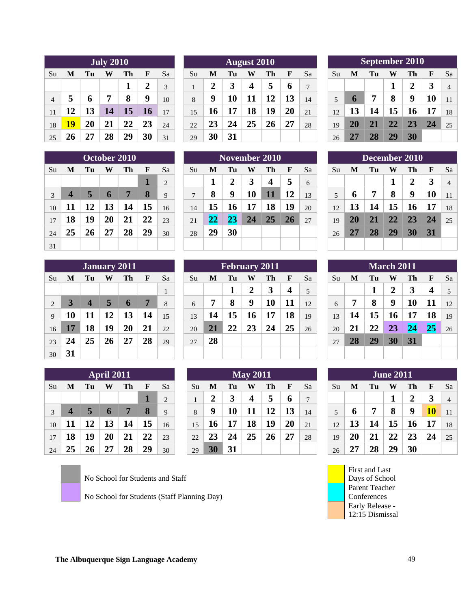|                | <b>July 2010</b> |    |    |    |           |    |  |  |  |  |  |  |  |  |
|----------------|------------------|----|----|----|-----------|----|--|--|--|--|--|--|--|--|
| Su             | M                | Tu | W  | Th | F         | Sa |  |  |  |  |  |  |  |  |
|                |                  |    |    | 1  | 2         | 3  |  |  |  |  |  |  |  |  |
| $\overline{4}$ | 5                | 6  | 7  | 8  | 9         | 10 |  |  |  |  |  |  |  |  |
| 11             | 12               | 13 | 14 | 15 | <b>16</b> | 17 |  |  |  |  |  |  |  |  |
| 18             | 19               | 20 | 21 | 22 | 23        | 24 |  |  |  |  |  |  |  |  |
| 25             | 26               | 27 | 28 | 29 | 30        | 31 |  |  |  |  |  |  |  |  |

| 25 | 26                      | 27             | 28          | 29           | 30 | 31             | 29            | 30 | 31 |                 |               |    |    | 26 | 27 | <b>28</b> | <b>29</b> | 30            |             |                |
|----|-------------------------|----------------|-------------|--------------|----|----------------|---------------|----|----|-----------------|---------------|----|----|----|----|-----------|-----------|---------------|-------------|----------------|
|    |                         |                |             | October 2010 |    |                |               |    |    |                 | November 2010 |    |    |    |    |           |           | December 2010 |             |                |
| Su | M                       | Tu             | W           | Th           | F  | Sa             | Su            | M  | Tu | W               | Th            | F  | Sa | Su | M  | Tu        | W         | Th            | $\mathbf F$ | Sa             |
|    |                         |                |             |              |    | $\overline{c}$ |               |    | 2  | 3               | 4             | 5  | 6  |    |    |           | л         | ን<br>▵        | 3           | $\overline{4}$ |
| 3  | $\overline{\mathbf{4}}$ | 5              | $\mathbf 6$ | 7            | 8  | 9              | $\mathcal{I}$ | 8  | 9  | 10              | 11            | 12 | 13 | 5  | 6  | 7         | 8         | 9             | 10          | 11             |
| 10 | 11                      | $\overline{2}$ | 13          | 14           | 15 | 16             | 14            | 15 | 16 | $\overline{17}$ | 18            | 19 | 20 | 12 | 13 | 14        | 15        | 16            | 17          | 18             |
| 17 | 18                      | 19             | 20          | 21           | 22 | 23             | 21            | 22 | 23 | 24              | 25            | 26 | 27 | 19 | 20 | 21        | 22        | 23            | 24          | 25             |
| 24 | 25                      | 26             | 27          | 28           | 29 | 30             | 28            | 29 | 30 |                 |               |    |    | 26 | 27 | 28        | <b>29</b> | 30            | 31          |                |
| 31 |                         |                |             |              |    |                |               |    |    |                 |               |    |    |    |    |           |           |               |             |                |

|    | <b>January 2011</b> |                  |    |    |    |    |  |  |  |  |  |  |  |  |  |
|----|---------------------|------------------|----|----|----|----|--|--|--|--|--|--|--|--|--|
| Su | M                   | Tu               | W  | Th | F  | Sa |  |  |  |  |  |  |  |  |  |
|    |                     |                  |    |    |    | 1  |  |  |  |  |  |  |  |  |  |
| 2  | 3                   | $\boldsymbol{4}$ | 5  | 6  | 7  | 8  |  |  |  |  |  |  |  |  |  |
| 9  | 10                  | 11               | 12 | 13 | 14 | 15 |  |  |  |  |  |  |  |  |  |
| 16 | 17                  | 18               | 19 | 20 | 21 | 22 |  |  |  |  |  |  |  |  |  |
| 23 | 24                  | 25               | 26 | 27 | 28 | 29 |  |  |  |  |  |  |  |  |  |
| 30 | 31                  |                  |    |    |    |    |  |  |  |  |  |  |  |  |  |

|    | April 2011       |    |    |    |    |    |  |  |  |  |  |  |  |  |  |
|----|------------------|----|----|----|----|----|--|--|--|--|--|--|--|--|--|
| Su | M                | Tu | W  | Th | F  | Sa |  |  |  |  |  |  |  |  |  |
|    |                  |    |    |    | 1  | 2  |  |  |  |  |  |  |  |  |  |
| 3  | $\boldsymbol{4}$ | 5  | 6  | 7  | 8  | 9  |  |  |  |  |  |  |  |  |  |
| 10 | 11               | 12 | 13 | 14 | 15 | 16 |  |  |  |  |  |  |  |  |  |
| 17 | 18               | 19 | 20 | 21 | 22 | 23 |  |  |  |  |  |  |  |  |  |
| 24 | 25               | 26 | 27 | 28 | 29 | 30 |  |  |  |  |  |  |  |  |  |

No School for Students and Staff

No School for Students (Staff Planning Day)

| September 2010 |                |
|----------------|----------------|
| F              | Sa             |
| 3              | $\overline{4}$ |
| 10             | 11             |
|                | 18             |
| 24             | 25             |
|                |                |
|                |                |

|           |    | <b>October 2010</b> |    |                |    |    |                |    | November 2010 |           |           |                |    |    | December 2010 |    |  |
|-----------|----|---------------------|----|----------------|----|----|----------------|----|---------------|-----------|-----------|----------------|----|----|---------------|----|--|
| Tu        | W  | Th                  | F  | Sa             | Su | M  | Tu             | W  | Th            | F         | <b>Sa</b> | 'Su            | M  | Tu | W             | Th |  |
|           |    |                     |    | $\mathfrak{D}$ |    | 1  | $\overline{2}$ | 3  | 4             | 5         | 6         |                |    |    |               | 2  |  |
|           | h  | 7                   | 8  | 9              | 7  | 8  | 9              | 10 | 11            | 12        | 13        | $\overline{5}$ | h  | 7  | 8             | 9  |  |
| 12        | 13 | 14                  | 15 | 16             | 14 | 15 | 16             | 17 | 18            | 19        | 20        | 12             | 13 | 14 | 15            | 16 |  |
| 19        | 20 | 21                  | 22 | 23             | 21 | 22 | 23             | 24 | 25            | <b>26</b> | 27        | 19             | 20 | 21 | 22            | 23 |  |
| <b>26</b> | 27 | 28                  | 29 | 30             | 28 | 29 | 30             |    |               |           |           | 26             | 27 | 28 | 29            | 30 |  |
|           |    |                     |    |                |    |    |                |    |               |           |           |                |    |    |               |    |  |

|                 |    |                         | <b>January 2011</b> |             |    |    |    |    |    |    | February 2011 |    |    |    |    |    | <b>March 2011</b> |    |           |                |
|-----------------|----|-------------------------|---------------------|-------------|----|----|----|----|----|----|---------------|----|----|----|----|----|-------------------|----|-----------|----------------|
| Su              | M  | ľп                      | W                   | Th          | H  | Sa | Su | M  | Tu | W  | Th            | F  | Sa | Su | M  | Tu | W                 | Th | F         | Sa             |
|                 |    |                         |                     |             |    |    |    |    |    | 2  | 3             | 4  | 5  |    |    |    | 2                 |    | 4         | $\overline{5}$ |
| 2               |    | $\overline{\mathbf{4}}$ | $\overline{5}$      | $\mathbf 0$ | 7  | 8  | 6  | 7  | 8  | 9  | 10            | 11 | 12 | 6  | 7  | 8  | 9                 | 10 | 11        | 12             |
| 9               | 10 | 11                      | 12                  | 13          | 14 | 15 | 13 | 14 | 15 | 16 | 17            | 18 | 19 | 13 | 14 | 15 | 16                | 17 | 18        | 19             |
| 16              | 17 | 18                      | 19                  | 20          | 21 | 22 | 20 | 21 | 22 | 23 | 24            | 25 | 26 | 20 | 21 | 22 | 23                | 24 | <b>25</b> | 26             |
| 23              | 24 | 25                      | 26                  | 27          | 28 | 29 | 27 | 28 |    |    |               |    |    | 27 | 28 | 29 | 30                | 31 |           |                |
| 30 <sup>2</sup> | 31 |                         |                     |             |    |    |    |    |    |    |               |    |    |    |    |    |                   |    |           |                |

|    |          |              | <b>April 2011</b> |    |    |                | <b>May 2011</b> |    |    |    |              |             |              |  |    |    |    | <b>June 2011</b> |    |           |                |
|----|----------|--------------|-------------------|----|----|----------------|-----------------|----|----|----|--------------|-------------|--------------|--|----|----|----|------------------|----|-----------|----------------|
| Su | M        | Гu           | W                 | Th | F  | Sa             | Su              | M  | Tu | W  | Th           | F           | Sa           |  | Su | M  | Tu | W                |    | F         | Sa             |
|    |          |              |                   |    |    | $\overline{2}$ |                 | 2  |    | 4  | $\mathbf{5}$ | $\mathbf b$ | $\mathbf{7}$ |  |    |    |    |                  |    | 3         | $\overline{4}$ |
| 3  | 4        |              | $\mathbf{p}$      | 7  | 8  | 9              | 8               | 9  | 10 |    | 12           | 13          | 14           |  |    | O  |    | 8                | q  | <b>10</b> | 11             |
| 10 | $\bf{1}$ | $\mathbf{2}$ | 13                | 14 | 15 | 16             | 15              | 16 | 7  | 18 | 19           | 20          | 21           |  | 12 | 13 | 4ء | 15               | 10 | 17        | 18             |
| 17 | 18       | 19           | 20                | 21 | 22 | 23             | 22              | 23 | 24 | 25 | 26           | 27          | 28           |  | 19 | 20 | 21 | 22               | 23 | 24        | 25             |
| 24 | 25       | Zh           | דר                | 28 | 29 | 30             | 29              | 30 | 31 |    |              |             |              |  | 26 | 27 | 28 | 29               | 30 |           |                |

|    |    |    |    | <b>September 2010</b> |    |    |
|----|----|----|----|-----------------------|----|----|
| Su | M  | Tu | W  | Th                    | F  | Sa |
|    |    |    | 1  | 2                     | 3  | 4  |
| 5  | 6  | 7  | 8  | 9                     | 10 | 11 |
| 12 | 13 | 14 | 15 | 16                    | 17 | 18 |
| 19 | 20 | 21 | 22 | 23                    | 24 | 25 |
| 26 | 27 | 28 | 29 | 30                    |    |    |

|                                     | December 2010 |    |    |    |    |    |  |  |  |  |  |  |  |  |  |
|-------------------------------------|---------------|----|----|----|----|----|--|--|--|--|--|--|--|--|--|
| F<br>Su<br>Tu<br>Sa<br>Th<br>M<br>W |               |    |    |    |    |    |  |  |  |  |  |  |  |  |  |
|                                     |               |    | 1  | 2  | 3  | 4  |  |  |  |  |  |  |  |  |  |
| 5                                   | 6             | 7  | 8  | 9  | 10 | 11 |  |  |  |  |  |  |  |  |  |
| 12                                  | 13            | 14 | 15 | 16 | 17 | 18 |  |  |  |  |  |  |  |  |  |
| 19                                  | 20            | 21 | 22 | 23 | 24 | 25 |  |  |  |  |  |  |  |  |  |
| 26                                  | 27            | 28 | 29 | 30 | 31 |    |  |  |  |  |  |  |  |  |  |
|                                     |               |    |    |    |    |    |  |  |  |  |  |  |  |  |  |

| <b>March 2011</b> |    |    |    |    |    |    |
|-------------------|----|----|----|----|----|----|
| Su                | M  | Tu | W  | Th | F  | Sa |
|                   |    | 1  | 2  | 3  | 4  | 5  |
| 6                 | 7  | 8  | 9  | 10 | 11 | 12 |
| 13                | 14 | 15 | 16 | 17 | 18 | 19 |
| 20                | 21 | 22 | 23 | 24 | 25 | 26 |
| 27                | 28 | 29 | 30 | 31 |    |    |
|                   |    |    |    |    |    |    |

| <b>June 2011</b> |    |    |    |    |           |                |
|------------------|----|----|----|----|-----------|----------------|
| Su               | M  | Tu | W  | Th | F         | Sa             |
|                  |    |    | 1  | 2  | 3         | $\overline{4}$ |
| 5                | 6  | 7  | 8  | 9  | <b>10</b> | 11             |
| 12               | 13 | 14 | 15 | 16 | 17        | 18             |
| 19               | 20 | 21 | 22 | 23 | 24        | 25             |
| 26               | 27 | 28 | 29 | 30 |           |                |

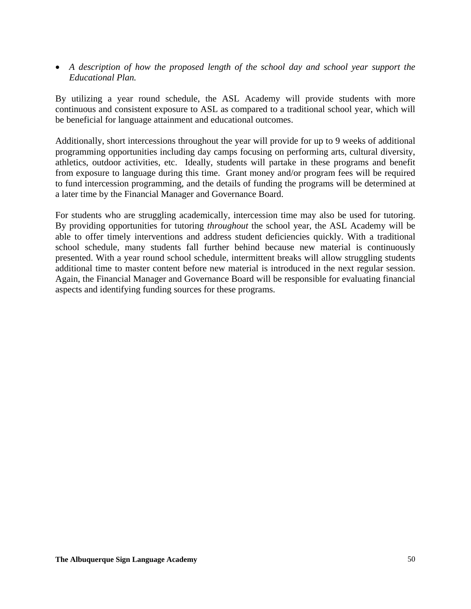• *A description of how the proposed length of the school day and school year support the Educational Plan.* 

By utilizing a year round schedule, the ASL Academy will provide students with more continuous and consistent exposure to ASL as compared to a traditional school year, which will be beneficial for language attainment and educational outcomes.

Additionally, short intercessions throughout the year will provide for up to 9 weeks of additional programming opportunities including day camps focusing on performing arts, cultural diversity, athletics, outdoor activities, etc. Ideally, students will partake in these programs and benefit from exposure to language during this time. Grant money and/or program fees will be required to fund intercession programming, and the details of funding the programs will be determined at a later time by the Financial Manager and Governance Board.

For students who are struggling academically, intercession time may also be used for tutoring. By providing opportunities for tutoring *throughout* the school year, the ASL Academy will be able to offer timely interventions and address student deficiencies quickly. With a traditional school schedule, many students fall further behind because new material is continuously presented. With a year round school schedule, intermittent breaks will allow struggling students additional time to master content before new material is introduced in the next regular session. Again, the Financial Manager and Governance Board will be responsible for evaluating financial aspects and identifying funding sources for these programs.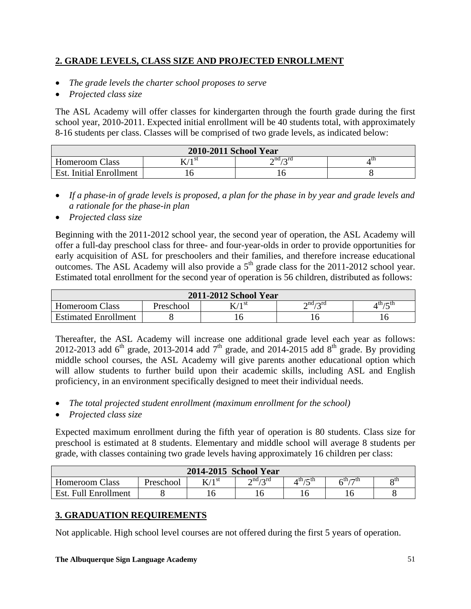# **2. GRADE LEVELS, CLASS SIZE AND PROJECTED ENROLLMENT**

- *The grade levels the charter school proposes to serve*
- *Projected class size*

The ASL Academy will offer classes for kindergarten through the fourth grade during the first school year, 2010-2011. Expected initial enrollment will be 40 students total, with approximately 8-16 students per class. Classes will be comprised of two grade levels, as indicated below:

| 2010-2011 School Year          |          |                         |      |  |
|--------------------------------|----------|-------------------------|------|--|
| <b>Homeroom Class</b>          | 7 / 1 SU | $\gamma$ nd $\gamma$ rd | 4 LL |  |
| <b>Est.</b> Initial Enrollment |          |                         |      |  |

- *If a phase-in of grade levels is proposed, a plan for the phase in by year and grade levels and a rationale for the phase-in plan*
- *Projected class size*

Beginning with the 2011-2012 school year, the second year of operation, the ASL Academy will offer a full-day preschool class for three- and four-year-olds in order to provide opportunities for early acquisition of ASL for preschoolers and their families, and therefore increase educational outcomes. The ASL Academy will also provide a  $5<sup>th</sup>$  grade class for the 2011-2012 school year. Estimated total enrollment for the second year of operation is 56 children, distributed as follows:

| 2011-2012 School Year       |           |                    |                     |         |
|-----------------------------|-----------|--------------------|---------------------|---------|
| <b>Homeroom Class</b>       | Preschool | $\mathbf{v}$ /1 st | $\cap$ nd $\cap$ rd | th / th |
| <b>Estimated Enrollment</b> |           |                    |                     |         |

Thereafter, the ASL Academy will increase one additional grade level each year as follows: 2012-2013 add 6<sup>th</sup> grade, 2013-2014 add 7<sup>th</sup> grade, and 2014-2015 add 8<sup>th</sup> grade. By providing middle school courses, the ASL Academy will give parents another educational option which will allow students to further build upon their academic skills, including ASL and English proficiency, in an environment specifically designed to meet their individual needs.

- *The total projected student enrollment (maximum enrollment for the school)*
- *Projected class size*

Expected maximum enrollment during the fifth year of operation is 80 students. Class size for preschool is estimated at 8 students. Elementary and middle school will average 8 students per grade, with classes containing two grade levels having approximately 16 children per class:

| 2014-2015 School Year |                  |          |                              |                 |                             |     |
|-----------------------|------------------|----------|------------------------------|-----------------|-----------------------------|-----|
| <b>Homeroom Class</b> | <b>Preschool</b> | $V/1$ st | $\gamma$ nd $\gamma$ rd<br>∸ | $_4$ th $_7$ th | $\epsilon$ th $\epsilon$ th | oth |
| Est. Full Enrollment  |                  |          |                              | 16              |                             |     |

# **3. GRADUATION REQUIREMENTS**

Not applicable. High school level courses are not offered during the first 5 years of operation.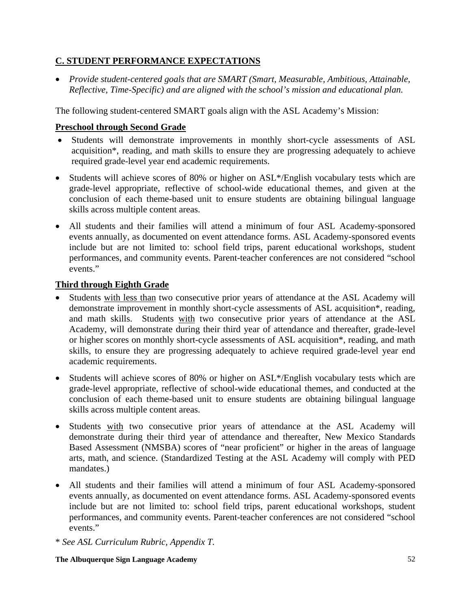# **C. STUDENT PERFORMANCE EXPECTATIONS**

• *Provide student-centered goals that are SMART (Smart, Measurable, Ambitious, Attainable, Reflective, Time-Specific) and are aligned with the school's mission and educational plan.* 

The following student-centered SMART goals align with the ASL Academy's Mission:

# **Preschool through Second Grade**

- Students will demonstrate improvements in monthly short-cycle assessments of ASL acquisition\*, reading, and math skills to ensure they are progressing adequately to achieve required grade-level year end academic requirements.
- Students will achieve scores of 80% or higher on ASL\*/English vocabulary tests which are grade-level appropriate, reflective of school-wide educational themes, and given at the conclusion of each theme-based unit to ensure students are obtaining bilingual language skills across multiple content areas.
- All students and their families will attend a minimum of four ASL Academy-sponsored events annually, as documented on event attendance forms. ASL Academy-sponsored events include but are not limited to: school field trips, parent educational workshops, student performances, and community events. Parent-teacher conferences are not considered "school events."

# **Third through Eighth Grade**

- Students with less than two consecutive prior years of attendance at the ASL Academy will demonstrate improvement in monthly short-cycle assessments of ASL acquisition\*, reading, and math skills. Students with two consecutive prior years of attendance at the ASL Academy, will demonstrate during their third year of attendance and thereafter, grade-level or higher scores on monthly short-cycle assessments of ASL acquisition\*, reading, and math skills, to ensure they are progressing adequately to achieve required grade-level year end academic requirements.
- Students will achieve scores of 80% or higher on ASL\*/English vocabulary tests which are grade-level appropriate, reflective of school-wide educational themes, and conducted at the conclusion of each theme-based unit to ensure students are obtaining bilingual language skills across multiple content areas.
- Students with two consecutive prior years of attendance at the ASL Academy will demonstrate during their third year of attendance and thereafter, New Mexico Standards Based Assessment (NMSBA) scores of "near proficient" or higher in the areas of language arts, math, and science. (Standardized Testing at the ASL Academy will comply with PED mandates.)
- All students and their families will attend a minimum of four ASL Academy-sponsored events annually, as documented on event attendance forms. ASL Academy-sponsored events include but are not limited to: school field trips, parent educational workshops, student performances, and community events. Parent-teacher conferences are not considered "school events."
- \* *See ASL Curriculum Rubric, Appendix T.*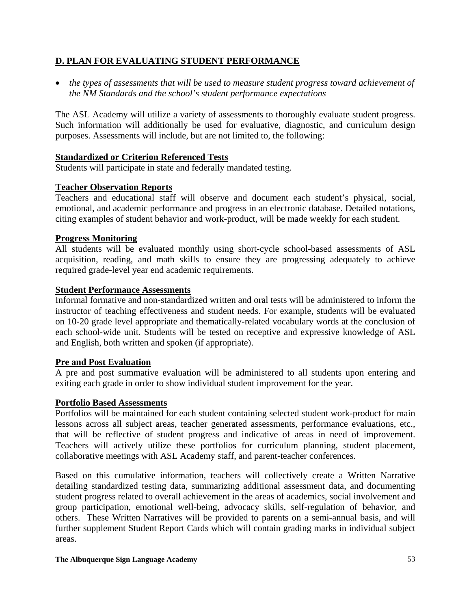# **D. PLAN FOR EVALUATING STUDENT PERFORMANCE**

• *the types of assessments that will be used to measure student progress toward achievement of the NM Standards and the school's student performance expectations* 

The ASL Academy will utilize a variety of assessments to thoroughly evaluate student progress. Such information will additionally be used for evaluative, diagnostic, and curriculum design purposes. Assessments will include, but are not limited to, the following:

# **Standardized or Criterion Referenced Tests**

Students will participate in state and federally mandated testing.

# **Teacher Observation Reports**

Teachers and educational staff will observe and document each student's physical, social, emotional, and academic performance and progress in an electronic database. Detailed notations, citing examples of student behavior and work-product, will be made weekly for each student.

# **Progress Monitoring**

All students will be evaluated monthly using short-cycle school-based assessments of ASL acquisition, reading, and math skills to ensure they are progressing adequately to achieve required grade-level year end academic requirements.

### **Student Performance Assessments**

Informal formative and non-standardized written and oral tests will be administered to inform the instructor of teaching effectiveness and student needs. For example, students will be evaluated on 10-20 grade level appropriate and thematically-related vocabulary words at the conclusion of each school-wide unit. Students will be tested on receptive and expressive knowledge of ASL and English, both written and spoken (if appropriate).

### **Pre and Post Evaluation**

A pre and post summative evaluation will be administered to all students upon entering and exiting each grade in order to show individual student improvement for the year.

### **Portfolio Based Assessments**

Portfolios will be maintained for each student containing selected student work-product for main lessons across all subject areas, teacher generated assessments, performance evaluations, etc., that will be reflective of student progress and indicative of areas in need of improvement. Teachers will actively utilize these portfolios for curriculum planning, student placement, collaborative meetings with ASL Academy staff, and parent-teacher conferences.

Based on this cumulative information, teachers will collectively create a Written Narrative detailing standardized testing data, summarizing additional assessment data, and documenting student progress related to overall achievement in the areas of academics, social involvement and group participation, emotional well-being, advocacy skills, self-regulation of behavior, and others. These Written Narratives will be provided to parents on a semi-annual basis, and will further supplement Student Report Cards which will contain grading marks in individual subject areas.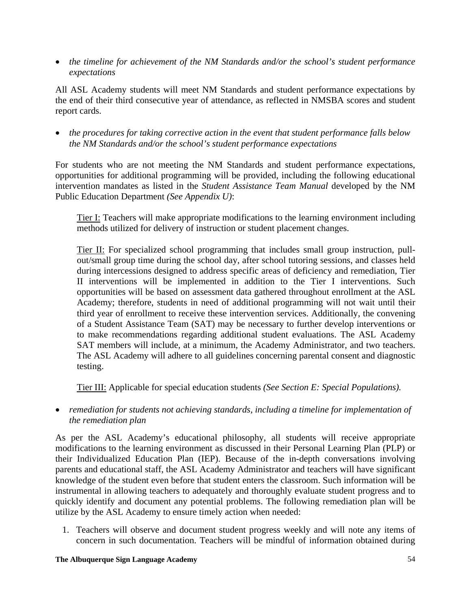• *the timeline for achievement of the NM Standards and/or the school's student performance expectations* 

All ASL Academy students will meet NM Standards and student performance expectations by the end of their third consecutive year of attendance, as reflected in NMSBA scores and student report cards.

• *the procedures for taking corrective action in the event that student performance falls below the NM Standards and/or the school's student performance expectations* 

For students who are not meeting the NM Standards and student performance expectations, opportunities for additional programming will be provided, including the following educational intervention mandates as listed in the *Student Assistance Team Manual* developed by the NM Public Education Department *(See Appendix U)*:

Tier I: Teachers will make appropriate modifications to the learning environment including methods utilized for delivery of instruction or student placement changes.

Tier II: For specialized school programming that includes small group instruction, pullout/small group time during the school day, after school tutoring sessions, and classes held during intercessions designed to address specific areas of deficiency and remediation, Tier II interventions will be implemented in addition to the Tier I interventions. Such opportunities will be based on assessment data gathered throughout enrollment at the ASL Academy; therefore, students in need of additional programming will not wait until their third year of enrollment to receive these intervention services. Additionally, the convening of a Student Assistance Team (SAT) may be necessary to further develop interventions or to make recommendations regarding additional student evaluations. The ASL Academy SAT members will include, at a minimum, the Academy Administrator, and two teachers. The ASL Academy will adhere to all guidelines concerning parental consent and diagnostic testing.

Tier III: Applicable for special education students *(See Section E: Special Populations).* 

• *remediation for students not achieving standards, including a timeline for implementation of the remediation plan* 

As per the ASL Academy's educational philosophy, all students will receive appropriate modifications to the learning environment as discussed in their Personal Learning Plan (PLP) or their Individualized Education Plan (IEP). Because of the in-depth conversations involving parents and educational staff, the ASL Academy Administrator and teachers will have significant knowledge of the student even before that student enters the classroom. Such information will be instrumental in allowing teachers to adequately and thoroughly evaluate student progress and to quickly identify and document any potential problems. The following remediation plan will be utilize by the ASL Academy to ensure timely action when needed:

1. Teachers will observe and document student progress weekly and will note any items of concern in such documentation. Teachers will be mindful of information obtained during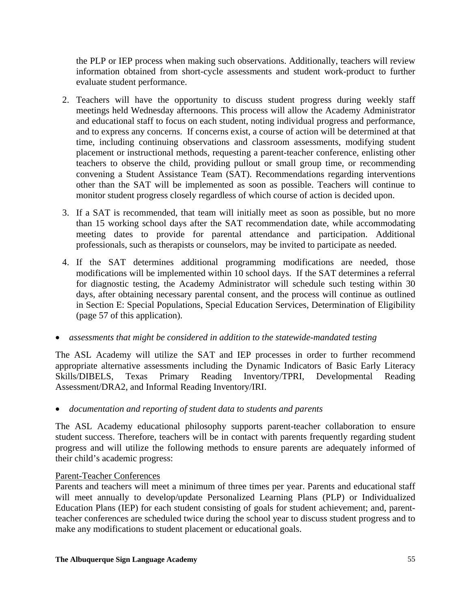the PLP or IEP process when making such observations. Additionally, teachers will review information obtained from short-cycle assessments and student work-product to further evaluate student performance.

- 2. Teachers will have the opportunity to discuss student progress during weekly staff meetings held Wednesday afternoons. This process will allow the Academy Administrator and educational staff to focus on each student, noting individual progress and performance, and to express any concerns. If concerns exist, a course of action will be determined at that time, including continuing observations and classroom assessments, modifying student placement or instructional methods, requesting a parent-teacher conference, enlisting other teachers to observe the child, providing pullout or small group time, or recommending convening a Student Assistance Team (SAT). Recommendations regarding interventions other than the SAT will be implemented as soon as possible. Teachers will continue to monitor student progress closely regardless of which course of action is decided upon.
- 3. If a SAT is recommended, that team will initially meet as soon as possible, but no more than 15 working school days after the SAT recommendation date, while accommodating meeting dates to provide for parental attendance and participation. Additional professionals, such as therapists or counselors, may be invited to participate as needed.
- 4. If the SAT determines additional programming modifications are needed, those modifications will be implemented within 10 school days. If the SAT determines a referral for diagnostic testing, the Academy Administrator will schedule such testing within 30 days, after obtaining necessary parental consent, and the process will continue as outlined in Section E: Special Populations, Special Education Services, Determination of Eligibility (page 57 of this application).
- *assessments that might be considered in addition to the statewide-mandated testing*

The ASL Academy will utilize the SAT and IEP processes in order to further recommend appropriate alternative assessments including the Dynamic Indicators of Basic Early Literacy Skills/DIBELS, Texas Primary Reading Inventory/TPRI, Developmental Reading Assessment/DRA2, and Informal Reading Inventory/IRI.

• *documentation and reporting of student data to students and parents* 

The ASL Academy educational philosophy supports parent-teacher collaboration to ensure student success. Therefore, teachers will be in contact with parents frequently regarding student progress and will utilize the following methods to ensure parents are adequately informed of their child's academic progress:

### Parent-Teacher Conferences

Parents and teachers will meet a minimum of three times per year. Parents and educational staff will meet annually to develop/update Personalized Learning Plans (PLP) or Individualized Education Plans (IEP) for each student consisting of goals for student achievement; and, parentteacher conferences are scheduled twice during the school year to discuss student progress and to make any modifications to student placement or educational goals.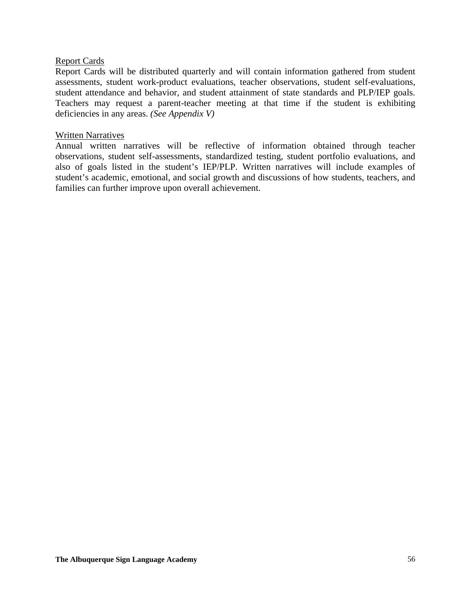### Report Cards

Report Cards will be distributed quarterly and will contain information gathered from student assessments, student work-product evaluations, teacher observations, student self-evaluations, student attendance and behavior, and student attainment of state standards and PLP/IEP goals. Teachers may request a parent-teacher meeting at that time if the student is exhibiting deficiencies in any areas. *(See Appendix V)* 

### Written Narratives

Annual written narratives will be reflective of information obtained through teacher observations, student self-assessments, standardized testing, student portfolio evaluations, and also of goals listed in the student's IEP/PLP. Written narratives will include examples of student's academic, emotional, and social growth and discussions of how students, teachers, and families can further improve upon overall achievement.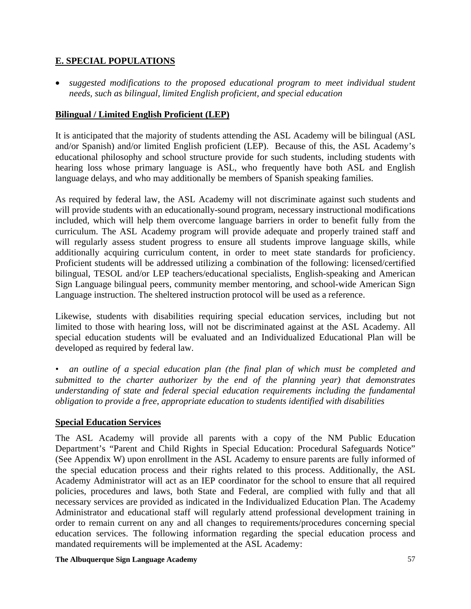# **E. SPECIAL POPULATIONS**

• *suggested modifications to the proposed educational program to meet individual student needs, such as bilingual, limited English proficient, and special education* 

# **Bilingual / Limited English Proficient (LEP)**

It is anticipated that the majority of students attending the ASL Academy will be bilingual (ASL and/or Spanish) and/or limited English proficient (LEP). Because of this, the ASL Academy's educational philosophy and school structure provide for such students, including students with hearing loss whose primary language is ASL, who frequently have both ASL and English language delays, and who may additionally be members of Spanish speaking families.

As required by federal law, the ASL Academy will not discriminate against such students and will provide students with an educationally-sound program, necessary instructional modifications included, which will help them overcome language barriers in order to benefit fully from the curriculum. The ASL Academy program will provide adequate and properly trained staff and will regularly assess student progress to ensure all students improve language skills, while additionally acquiring curriculum content, in order to meet state standards for proficiency. Proficient students will be addressed utilizing a combination of the following: licensed/certified bilingual, TESOL and/or LEP teachers/educational specialists, English-speaking and American Sign Language bilingual peers, community member mentoring, and school-wide American Sign Language instruction. The sheltered instruction protocol will be used as a reference.

Likewise, students with disabilities requiring special education services, including but not limited to those with hearing loss, will not be discriminated against at the ASL Academy. All special education students will be evaluated and an Individualized Educational Plan will be developed as required by federal law.

*• an outline of a special education plan (the final plan of which must be completed and submitted to the charter authorizer by the end of the planning year) that demonstrates understanding of state and federal special education requirements including the fundamental obligation to provide a free, appropriate education to students identified with disabilities* 

# **Special Education Services**

The ASL Academy will provide all parents with a copy of the NM Public Education Department's "Parent and Child Rights in Special Education: Procedural Safeguards Notice" (See Appendix W) upon enrollment in the ASL Academy to ensure parents are fully informed of the special education process and their rights related to this process. Additionally, the ASL Academy Administrator will act as an IEP coordinator for the school to ensure that all required policies, procedures and laws, both State and Federal, are complied with fully and that all necessary services are provided as indicated in the Individualized Education Plan. The Academy Administrator and educational staff will regularly attend professional development training in order to remain current on any and all changes to requirements/procedures concerning special education services. The following information regarding the special education process and mandated requirements will be implemented at the ASL Academy: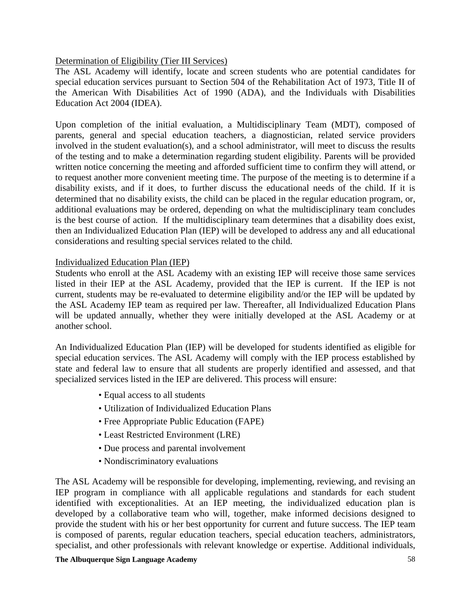# Determination of Eligibility (Tier III Services)

The ASL Academy will identify, locate and screen students who are potential candidates for special education services pursuant to Section 504 of the Rehabilitation Act of 1973, Title II of the American With Disabilities Act of 1990 (ADA), and the Individuals with Disabilities Education Act 2004 (IDEA).

Upon completion of the initial evaluation, a Multidisciplinary Team (MDT), composed of parents, general and special education teachers, a diagnostician, related service providers involved in the student evaluation(s), and a school administrator, will meet to discuss the results of the testing and to make a determination regarding student eligibility. Parents will be provided written notice concerning the meeting and afforded sufficient time to confirm they will attend, or to request another more convenient meeting time. The purpose of the meeting is to determine if a disability exists, and if it does, to further discuss the educational needs of the child. If it is determined that no disability exists, the child can be placed in the regular education program, or, additional evaluations may be ordered, depending on what the multidisciplinary team concludes is the best course of action. If the multidisciplinary team determines that a disability does exist, then an Individualized Education Plan (IEP) will be developed to address any and all educational considerations and resulting special services related to the child.

# Individualized Education Plan (IEP)

Students who enroll at the ASL Academy with an existing IEP will receive those same services listed in their IEP at the ASL Academy, provided that the IEP is current. If the IEP is not current, students may be re-evaluated to determine eligibility and/or the IEP will be updated by the ASL Academy IEP team as required per law. Thereafter, all Individualized Education Plans will be updated annually, whether they were initially developed at the ASL Academy or at another school.

An Individualized Education Plan (IEP) will be developed for students identified as eligible for special education services. The ASL Academy will comply with the IEP process established by state and federal law to ensure that all students are properly identified and assessed, and that specialized services listed in the IEP are delivered. This process will ensure:

- Equal access to all students
- Utilization of Individualized Education Plans
- Free Appropriate Public Education (FAPE)
- Least Restricted Environment (LRE)
- Due process and parental involvement
- Nondiscriminatory evaluations

The ASL Academy will be responsible for developing, implementing, reviewing, and revising an IEP program in compliance with all applicable regulations and standards for each student identified with exceptionalities. At an IEP meeting, the individualized education plan is developed by a collaborative team who will, together, make informed decisions designed to provide the student with his or her best opportunity for current and future success. The IEP team is composed of parents, regular education teachers, special education teachers, administrators, specialist, and other professionals with relevant knowledge or expertise. Additional individuals,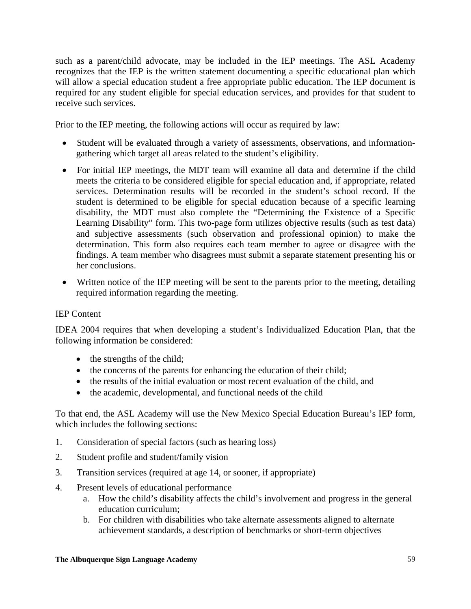such as a parent/child advocate, may be included in the IEP meetings. The ASL Academy recognizes that the IEP is the written statement documenting a specific educational plan which will allow a special education student a free appropriate public education. The IEP document is required for any student eligible for special education services, and provides for that student to receive such services.

Prior to the IEP meeting, the following actions will occur as required by law:

- Student will be evaluated through a variety of assessments, observations, and informationgathering which target all areas related to the student's eligibility.
- For initial IEP meetings, the MDT team will examine all data and determine if the child meets the criteria to be considered eligible for special education and, if appropriate, related services. Determination results will be recorded in the student's school record. If the student is determined to be eligible for special education because of a specific learning disability, the MDT must also complete the "Determining the Existence of a Specific Learning Disability" form. This two-page form utilizes objective results (such as test data) and subjective assessments (such observation and professional opinion) to make the determination. This form also requires each team member to agree or disagree with the findings. A team member who disagrees must submit a separate statement presenting his or her conclusions.
- Written notice of the IEP meeting will be sent to the parents prior to the meeting, detailing required information regarding the meeting.

# IEP Content

IDEA 2004 requires that when developing a student's Individualized Education Plan, that the following information be considered:

- the strengths of the child;
- the concerns of the parents for enhancing the education of their child;
- the results of the initial evaluation or most recent evaluation of the child, and
- the academic, developmental, and functional needs of the child

To that end, the ASL Academy will use the New Mexico Special Education Bureau's IEP form, which includes the following sections:

- 1. Consideration of special factors (such as hearing loss)
- 2. Student profile and student/family vision
- 3. Transition services (required at age 14, or sooner, if appropriate)
- 4. Present levels of educational performance
	- a. How the child's disability affects the child's involvement and progress in the general education curriculum;
	- b. For children with disabilities who take alternate assessments aligned to alternate achievement standards, a description of benchmarks or short-term objectives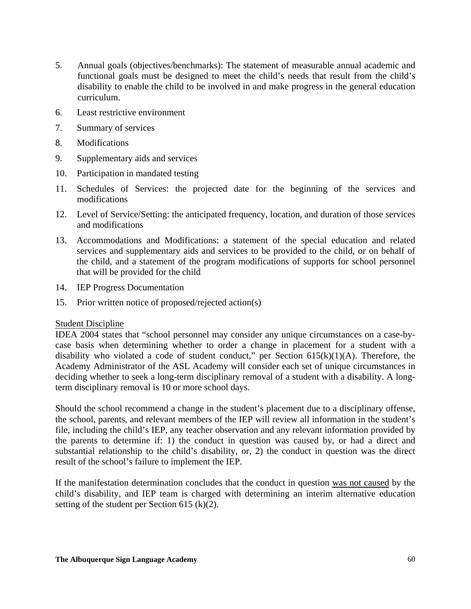- 5. Annual goals (objectives/benchmarks): The statement of measurable annual academic and functional goals must be designed to meet the child's needs that result from the child's disability to enable the child to be involved in and make progress in the general education curriculum.
- 6. Least restrictive environment
- 7. Summary of services
- 8. Modifications
- 9. Supplementary aids and services
- 10. Participation in mandated testing
- 11. Schedules of Services: the projected date for the beginning of the services and modifications
- 12. Level of Service/Setting: the anticipated frequency, location, and duration of those services and modifications
- 13. Accommodations and Modifications: a statement of the special education and related services and supplementary aids and services to be provided to the child, or on behalf of the child, and a statement of the program modifications of supports for school personnel that will be provided for the child
- 14. IEP Progress Documentation
- 15. Prior written notice of proposed/rejected action(s)

### Student Discipline

IDEA 2004 states that "school personnel may consider any unique circumstances on a case-bycase basis when determining whether to order a change in placement for a student with a disability who violated a code of student conduct," per Section  $615(k)(1)(A)$ . Therefore, the Academy Administrator of the ASL Academy will consider each set of unique circumstances in deciding whether to seek a long-term disciplinary removal of a student with a disability. A longterm disciplinary removal is 10 or more school days.

Should the school recommend a change in the student's placement due to a disciplinary offense, the school, parents, and relevant members of the IEP will review all information in the student's file, including the child's IEP, any teacher observation and any relevant information provided by the parents to determine if: 1) the conduct in question was caused by, or had a direct and substantial relationship to the child's disability, or, 2) the conduct in question was the direct result of the school's failure to implement the IEP.

If the manifestation determination concludes that the conduct in question was not caused by the child's disability, and IEP team is charged with determining an interim alternative education setting of the student per Section 615 (k)(2).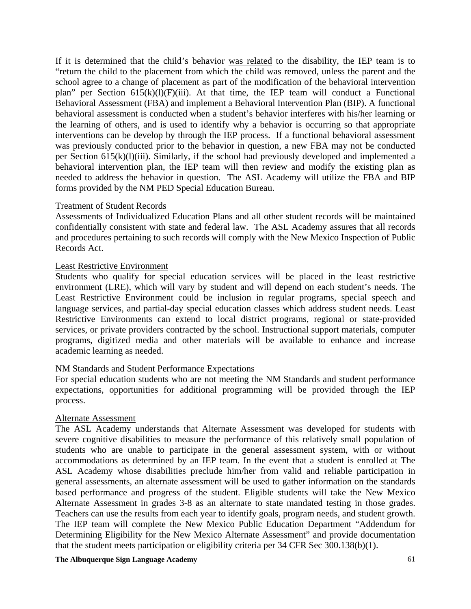If it is determined that the child's behavior was related to the disability, the IEP team is to "return the child to the placement from which the child was removed, unless the parent and the school agree to a change of placement as part of the modification of the behavioral intervention plan" per Section 615(k)(l)(F)(iii). At that time, the IEP team will conduct a Functional Behavioral Assessment (FBA) and implement a Behavioral Intervention Plan (BIP). A functional behavioral assessment is conducted when a student's behavior interferes with his/her learning or the learning of others, and is used to identify why a behavior is occurring so that appropriate interventions can be develop by through the IEP process. If a functional behavioral assessment was previously conducted prior to the behavior in question, a new FBA may not be conducted per Section 615(k)(l)(iii). Similarly, if the school had previously developed and implemented a behavioral intervention plan, the IEP team will then review and modify the existing plan as needed to address the behavior in question. The ASL Academy will utilize the FBA and BIP forms provided by the NM PED Special Education Bureau.

### Treatment of Student Records

Assessments of Individualized Education Plans and all other student records will be maintained confidentially consistent with state and federal law. The ASL Academy assures that all records and procedures pertaining to such records will comply with the New Mexico Inspection of Public Records Act.

### Least Restrictive Environment

Students who qualify for special education services will be placed in the least restrictive environment (LRE), which will vary by student and will depend on each student's needs. The Least Restrictive Environment could be inclusion in regular programs, special speech and language services, and partial-day special education classes which address student needs. Least Restrictive Environments can extend to local district programs, regional or state-provided services, or private providers contracted by the school. Instructional support materials, computer programs, digitized media and other materials will be available to enhance and increase academic learning as needed.

### NM Standards and Student Performance Expectations

For special education students who are not meeting the NM Standards and student performance expectations, opportunities for additional programming will be provided through the IEP process.

#### Alternate Assessment

The ASL Academy understands that Alternate Assessment was developed for students with severe cognitive disabilities to measure the performance of this relatively small population of students who are unable to participate in the general assessment system, with or without accommodations as determined by an IEP team. In the event that a student is enrolled at The ASL Academy whose disabilities preclude him/her from valid and reliable participation in general assessments, an alternate assessment will be used to gather information on the standards based performance and progress of the student. Eligible students will take the New Mexico Alternate Assessment in grades 3-8 as an alternate to state mandated testing in those grades. Teachers can use the results from each year to identify goals, program needs, and student growth. The IEP team will complete the New Mexico Public Education Department "Addendum for Determining Eligibility for the New Mexico Alternate Assessment" and provide documentation that the student meets participation or eligibility criteria per 34 CFR Sec 300.138(b)(1).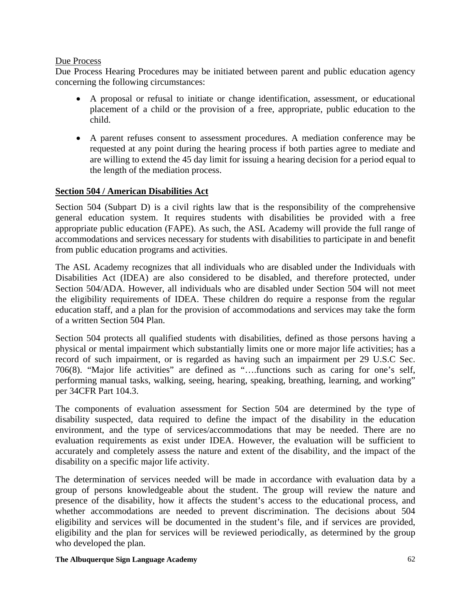### Due Process

Due Process Hearing Procedures may be initiated between parent and public education agency concerning the following circumstances:

- A proposal or refusal to initiate or change identification, assessment, or educational placement of a child or the provision of a free, appropriate, public education to the child.
- A parent refuses consent to assessment procedures. A mediation conference may be requested at any point during the hearing process if both parties agree to mediate and are willing to extend the 45 day limit for issuing a hearing decision for a period equal to the length of the mediation process.

# **Section 504 / American Disabilities Act**

Section 504 (Subpart D) is a civil rights law that is the responsibility of the comprehensive general education system. It requires students with disabilities be provided with a free appropriate public education (FAPE). As such, the ASL Academy will provide the full range of accommodations and services necessary for students with disabilities to participate in and benefit from public education programs and activities.

The ASL Academy recognizes that all individuals who are disabled under the Individuals with Disabilities Act (IDEA) are also considered to be disabled, and therefore protected, under Section 504/ADA. However, all individuals who are disabled under Section 504 will not meet the eligibility requirements of IDEA. These children do require a response from the regular education staff, and a plan for the provision of accommodations and services may take the form of a written Section 504 Plan.

Section 504 protects all qualified students with disabilities, defined as those persons having a physical or mental impairment which substantially limits one or more major life activities; has a record of such impairment, or is regarded as having such an impairment per 29 U.S.C Sec. 706(8). "Major life activities" are defined as "….functions such as caring for one's self, performing manual tasks, walking, seeing, hearing, speaking, breathing, learning, and working" per 34CFR Part 104.3.

The components of evaluation assessment for Section 504 are determined by the type of disability suspected, data required to define the impact of the disability in the education environment, and the type of services/accommodations that may be needed. There are no evaluation requirements as exist under IDEA. However, the evaluation will be sufficient to accurately and completely assess the nature and extent of the disability, and the impact of the disability on a specific major life activity.

The determination of services needed will be made in accordance with evaluation data by a group of persons knowledgeable about the student. The group will review the nature and presence of the disability, how it affects the student's access to the educational process, and whether accommodations are needed to prevent discrimination. The decisions about 504 eligibility and services will be documented in the student's file, and if services are provided, eligibility and the plan for services will be reviewed periodically, as determined by the group who developed the plan.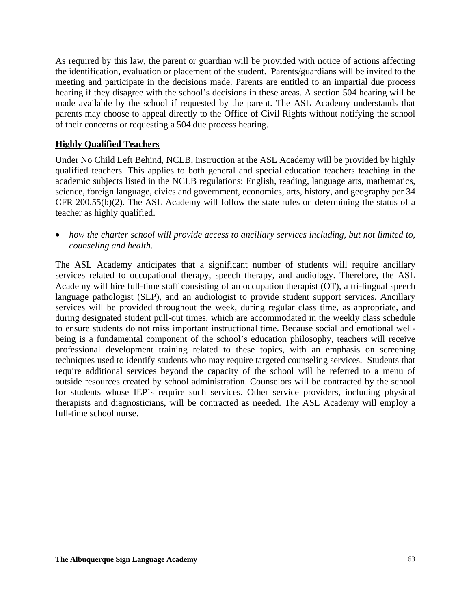As required by this law, the parent or guardian will be provided with notice of actions affecting the identification, evaluation or placement of the student. Parents/guardians will be invited to the meeting and participate in the decisions made. Parents are entitled to an impartial due process hearing if they disagree with the school's decisions in these areas. A section 504 hearing will be made available by the school if requested by the parent. The ASL Academy understands that parents may choose to appeal directly to the Office of Civil Rights without notifying the school of their concerns or requesting a 504 due process hearing.

### **Highly Qualified Teachers**

Under No Child Left Behind, NCLB, instruction at the ASL Academy will be provided by highly qualified teachers. This applies to both general and special education teachers teaching in the academic subjects listed in the NCLB regulations: English, reading, language arts, mathematics, science, foreign language, civics and government, economics, arts, history, and geography per 34 CFR 200.55(b)(2). The ASL Academy will follow the state rules on determining the status of a teacher as highly qualified.

• *how the charter school will provide access to ancillary services including, but not limited to, counseling and health.* 

The ASL Academy anticipates that a significant number of students will require ancillary services related to occupational therapy, speech therapy, and audiology. Therefore, the ASL Academy will hire full-time staff consisting of an occupation therapist (OT), a tri-lingual speech language pathologist (SLP), and an audiologist to provide student support services. Ancillary services will be provided throughout the week, during regular class time, as appropriate, and during designated student pull-out times, which are accommodated in the weekly class schedule to ensure students do not miss important instructional time. Because social and emotional wellbeing is a fundamental component of the school's education philosophy, teachers will receive professional development training related to these topics, with an emphasis on screening techniques used to identify students who may require targeted counseling services. Students that require additional services beyond the capacity of the school will be referred to a menu of outside resources created by school administration. Counselors will be contracted by the school for students whose IEP's require such services. Other service providers, including physical therapists and diagnosticians, will be contracted as needed. The ASL Academy will employ a full-time school nurse.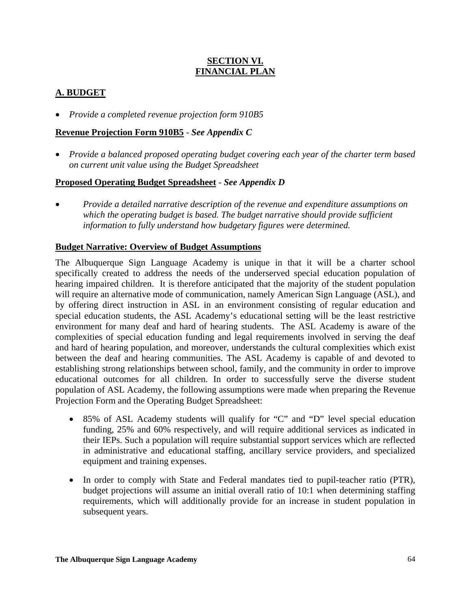# **SECTION VI. FINANCIAL PLAN**

# **A. BUDGET**

• *Provide a completed revenue projection form 910B5*

# **Revenue Projection Form 910B5** - *See Appendix C*

• *Provide a balanced proposed operating budget covering each year of the charter term based on current unit value using the Budget Spreadsheet*

# **Proposed Operating Budget Spreadsheet** - *See Appendix D*

• *Provide a detailed narrative description of the revenue and expenditure assumptions on*  which the operating budget is based. The budget narrative should provide sufficient *information to fully understand how budgetary figures were determined.*

# **Budget Narrative: Overview of Budget Assumptions**

The Albuquerque Sign Language Academy is unique in that it will be a charter school specifically created to address the needs of the underserved special education population of hearing impaired children. It is therefore anticipated that the majority of the student population will require an alternative mode of communication, namely American Sign Language (ASL), and by offering direct instruction in ASL in an environment consisting of regular education and special education students, the ASL Academy's educational setting will be the least restrictive environment for many deaf and hard of hearing students. The ASL Academy is aware of the complexities of special education funding and legal requirements involved in serving the deaf and hard of hearing population, and moreover, understands the cultural complexities which exist between the deaf and hearing communities. The ASL Academy is capable of and devoted to establishing strong relationships between school, family, and the community in order to improve educational outcomes for all children. In order to successfully serve the diverse student population of ASL Academy, the following assumptions were made when preparing the Revenue Projection Form and the Operating Budget Spreadsheet:

- 85% of ASL Academy students will qualify for "C" and "D" level special education funding, 25% and 60% respectively, and will require additional services as indicated in their IEPs. Such a population will require substantial support services which are reflected in administrative and educational staffing, ancillary service providers, and specialized equipment and training expenses.
- In order to comply with State and Federal mandates tied to pupil-teacher ratio (PTR), budget projections will assume an initial overall ratio of 10:1 when determining staffing requirements, which will additionally provide for an increase in student population in subsequent years.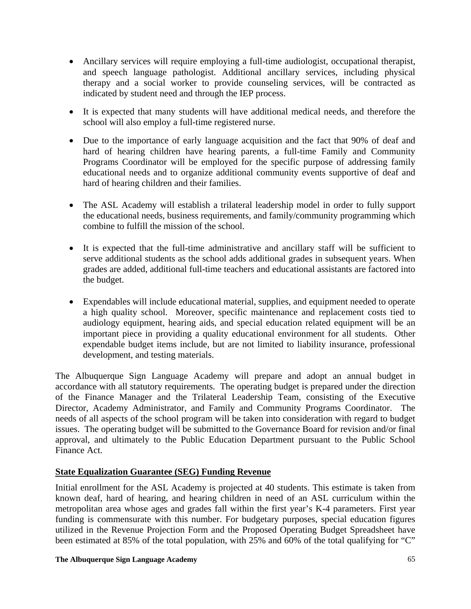- Ancillary services will require employing a full-time audiologist, occupational therapist, and speech language pathologist. Additional ancillary services, including physical therapy and a social worker to provide counseling services, will be contracted as indicated by student need and through the IEP process.
- It is expected that many students will have additional medical needs, and therefore the school will also employ a full-time registered nurse.
- Due to the importance of early language acquisition and the fact that 90% of deaf and hard of hearing children have hearing parents, a full-time Family and Community Programs Coordinator will be employed for the specific purpose of addressing family educational needs and to organize additional community events supportive of deaf and hard of hearing children and their families.
- The ASL Academy will establish a trilateral leadership model in order to fully support the educational needs, business requirements, and family/community programming which combine to fulfill the mission of the school.
- It is expected that the full-time administrative and ancillary staff will be sufficient to serve additional students as the school adds additional grades in subsequent years. When grades are added, additional full-time teachers and educational assistants are factored into the budget.
- Expendables will include educational material, supplies, and equipment needed to operate a high quality school. Moreover, specific maintenance and replacement costs tied to audiology equipment, hearing aids, and special education related equipment will be an important piece in providing a quality educational environment for all students. Other expendable budget items include, but are not limited to liability insurance, professional development, and testing materials.

The Albuquerque Sign Language Academy will prepare and adopt an annual budget in accordance with all statutory requirements. The operating budget is prepared under the direction of the Finance Manager and the Trilateral Leadership Team, consisting of the Executive Director, Academy Administrator, and Family and Community Programs Coordinator. The needs of all aspects of the school program will be taken into consideration with regard to budget issues. The operating budget will be submitted to the Governance Board for revision and/or final approval, and ultimately to the Public Education Department pursuant to the Public School Finance Act.

# **State Equalization Guarantee (SEG) Funding Revenue**

Initial enrollment for the ASL Academy is projected at 40 students. This estimate is taken from known deaf, hard of hearing, and hearing children in need of an ASL curriculum within the metropolitan area whose ages and grades fall within the first year's K-4 parameters. First year funding is commensurate with this number. For budgetary purposes, special education figures utilized in the Revenue Projection Form and the Proposed Operating Budget Spreadsheet have been estimated at 85% of the total population, with 25% and 60% of the total qualifying for "C"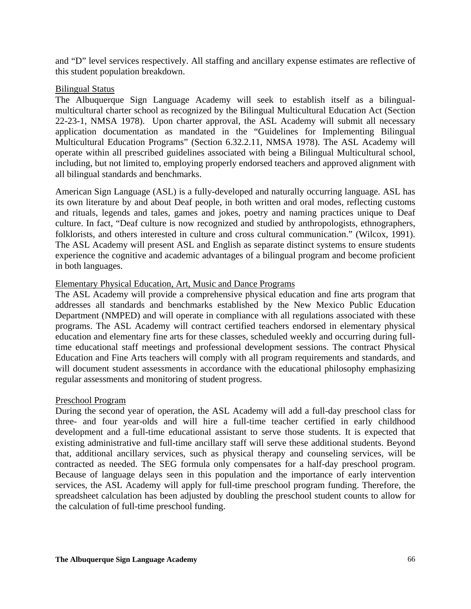and "D" level services respectively. All staffing and ancillary expense estimates are reflective of this student population breakdown.

### Bilingual Status

The Albuquerque Sign Language Academy will seek to establish itself as a bilingualmulticultural charter school as recognized by the Bilingual Multicultural Education Act (Section 22-23-1, NMSA 1978). Upon charter approval, the ASL Academy will submit all necessary application documentation as mandated in the "Guidelines for Implementing Bilingual Multicultural Education Programs" (Section 6.32.2.11, NMSA 1978). The ASL Academy will operate within all prescribed guidelines associated with being a Bilingual Multicultural school, including, but not limited to, employing properly endorsed teachers and approved alignment with all bilingual standards and benchmarks.

American Sign Language (ASL) is a fully-developed and naturally occurring language. ASL has its own literature by and about Deaf people, in both written and oral modes, reflecting customs and rituals, legends and tales, games and jokes, poetry and naming practices unique to Deaf culture. In fact, "Deaf culture is now recognized and studied by anthropologists, ethnographers, folklorists, and others interested in culture and cross cultural communication." (Wilcox, 1991). The ASL Academy will present ASL and English as separate distinct systems to ensure students experience the cognitive and academic advantages of a bilingual program and become proficient in both languages.

### Elementary Physical Education, Art, Music and Dance Programs

The ASL Academy will provide a comprehensive physical education and fine arts program that addresses all standards and benchmarks established by the New Mexico Public Education Department (NMPED) and will operate in compliance with all regulations associated with these programs. The ASL Academy will contract certified teachers endorsed in elementary physical education and elementary fine arts for these classes, scheduled weekly and occurring during fulltime educational staff meetings and professional development sessions. The contract Physical Education and Fine Arts teachers will comply with all program requirements and standards, and will document student assessments in accordance with the educational philosophy emphasizing regular assessments and monitoring of student progress.

### Preschool Program

During the second year of operation, the ASL Academy will add a full-day preschool class for three- and four year-olds and will hire a full-time teacher certified in early childhood development and a full-time educational assistant to serve those students. It is expected that existing administrative and full-time ancillary staff will serve these additional students. Beyond that, additional ancillary services, such as physical therapy and counseling services, will be contracted as needed. The SEG formula only compensates for a half-day preschool program. Because of language delays seen in this population and the importance of early intervention services, the ASL Academy will apply for full-time preschool program funding. Therefore, the spreadsheet calculation has been adjusted by doubling the preschool student counts to allow for the calculation of full-time preschool funding.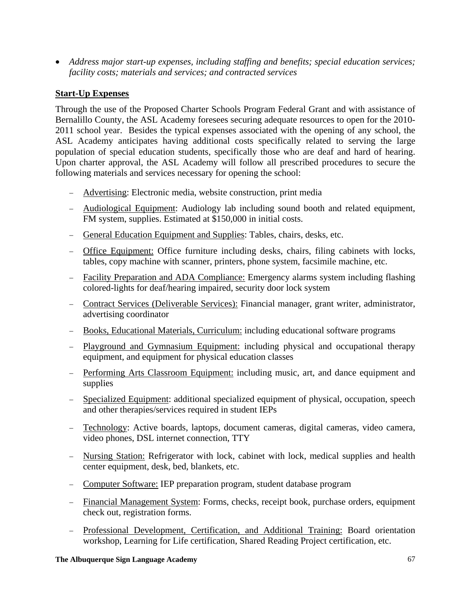• *Address major start-up expenses, including staffing and benefits; special education services; facility costs; materials and services; and contracted services* 

# **Start-Up Expenses**

Through the use of the Proposed Charter Schools Program Federal Grant and with assistance of Bernalillo County, the ASL Academy foresees securing adequate resources to open for the 2010- 2011 school year. Besides the typical expenses associated with the opening of any school, the ASL Academy anticipates having additional costs specifically related to serving the large population of special education students, specifically those who are deaf and hard of hearing. Upon charter approval, the ASL Academy will follow all prescribed procedures to secure the following materials and services necessary for opening the school:

- − Advertising: Electronic media, website construction, print media
- − Audiological Equipment: Audiology lab including sound booth and related equipment, FM system, supplies. Estimated at \$150,000 in initial costs.
- − General Education Equipment and Supplies: Tables, chairs, desks, etc.
- − Office Equipment: Office furniture including desks, chairs, filing cabinets with locks, tables, copy machine with scanner, printers, phone system, facsimile machine, etc.
- − Facility Preparation and ADA Compliance: Emergency alarms system including flashing colored-lights for deaf/hearing impaired, security door lock system
- − Contract Services (Deliverable Services): Financial manager, grant writer, administrator, advertising coordinator
- − Books, Educational Materials, Curriculum: including educational software programs
- − Playground and Gymnasium Equipment: including physical and occupational therapy equipment, and equipment for physical education classes
- − Performing Arts Classroom Equipment: including music, art, and dance equipment and supplies
- − Specialized Equipment: additional specialized equipment of physical, occupation, speech and other therapies/services required in student IEPs
- − Technology: Active boards, laptops, document cameras, digital cameras, video camera, video phones, DSL internet connection, TTY
- − Nursing Station: Refrigerator with lock, cabinet with lock, medical supplies and health center equipment, desk, bed, blankets, etc.
- − Computer Software: IEP preparation program, student database program
- − Financial Management System: Forms, checks, receipt book, purchase orders, equipment check out, registration forms.
- − Professional Development, Certification, and Additional Training: Board orientation workshop, Learning for Life certification, Shared Reading Project certification, etc.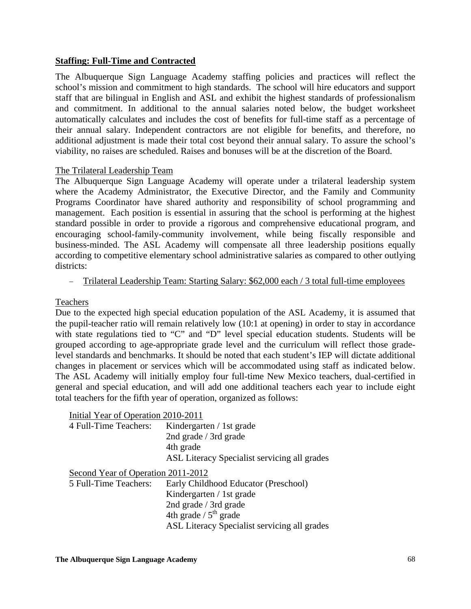# **Staffing: Full-Time and Contracted**

The Albuquerque Sign Language Academy staffing policies and practices will reflect the school's mission and commitment to high standards. The school will hire educators and support staff that are bilingual in English and ASL and exhibit the highest standards of professionalism and commitment. In additional to the annual salaries noted below, the budget worksheet automatically calculates and includes the cost of benefits for full-time staff as a percentage of their annual salary. Independent contractors are not eligible for benefits, and therefore, no additional adjustment is made their total cost beyond their annual salary. To assure the school's viability, no raises are scheduled. Raises and bonuses will be at the discretion of the Board.

### The Trilateral Leadership Team

The Albuquerque Sign Language Academy will operate under a trilateral leadership system where the Academy Administrator, the Executive Director, and the Family and Community Programs Coordinator have shared authority and responsibility of school programming and management. Each position is essential in assuring that the school is performing at the highest standard possible in order to provide a rigorous and comprehensive educational program, and encouraging school-family-community involvement, while being fiscally responsible and business-minded. The ASL Academy will compensate all three leadership positions equally according to competitive elementary school administrative salaries as compared to other outlying districts:

### − Trilateral Leadership Team: Starting Salary: \$62,000 each / 3 total full-time employees

# Teachers

Due to the expected high special education population of the ASL Academy, it is assumed that the pupil-teacher ratio will remain relatively low (10:1 at opening) in order to stay in accordance with state regulations tied to "C" and "D" level special education students. Students will be grouped according to age-appropriate grade level and the curriculum will reflect those gradelevel standards and benchmarks. It should be noted that each student's IEP will dictate additional changes in placement or services which will be accommodated using staff as indicated below. The ASL Academy will initially employ four full-time New Mexico teachers, dual-certified in general and special education, and will add one additional teachers each year to include eight total teachers for the fifth year of operation, organized as follows:

| Initial Year of Operation 2010-2011 |                                              |  |  |  |  |  |
|-------------------------------------|----------------------------------------------|--|--|--|--|--|
| 4 Full-Time Teachers:               | Kindergarten / 1st grade                     |  |  |  |  |  |
|                                     | 2nd grade / 3rd grade                        |  |  |  |  |  |
|                                     | 4th grade                                    |  |  |  |  |  |
|                                     | ASL Literacy Specialist servicing all grades |  |  |  |  |  |
| Second Year of Operation 2011-2012  |                                              |  |  |  |  |  |
| 5 Full-Time Teachers:               | Early Childhood Educator (Preschool)         |  |  |  |  |  |
|                                     | Kindergarten / 1st grade                     |  |  |  |  |  |
|                                     | 2nd grade / 3rd grade                        |  |  |  |  |  |
|                                     | 4th grade $/5^{th}$ grade                    |  |  |  |  |  |
|                                     | ASL Literacy Specialist servicing all grades |  |  |  |  |  |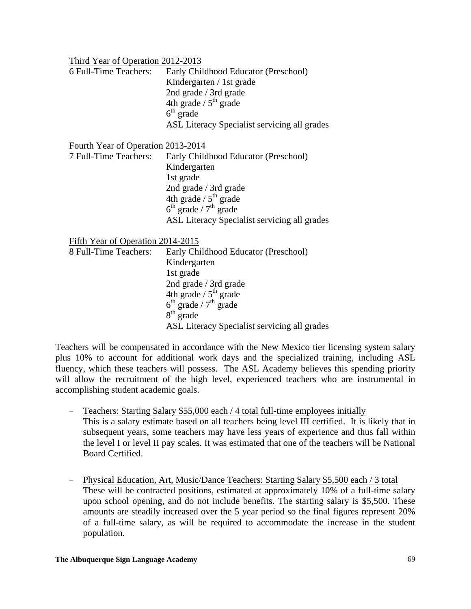| Third Year of Operation 2012-2013         |                                                     |
|-------------------------------------------|-----------------------------------------------------|
| 6 Full-Time Teachers:                     | Early Childhood Educator (Preschool)                |
|                                           | Kindergarten / 1st grade                            |
|                                           | 2nd grade / 3rd grade                               |
|                                           | 4th grade $/5th$ grade                              |
|                                           | $6th$ grade                                         |
|                                           | ASL Literacy Specialist servicing all grades        |
| <b>Fourth Year of Operation 2013-2014</b> |                                                     |
| 7 Full-Time Teachers:                     | Early Childhood Educator (Preschool)                |
|                                           | Kindergarten                                        |
|                                           | 1st grade                                           |
|                                           | 2nd grade / 3rd grade                               |
|                                           | 4th grade $/5^{th}$ grade                           |
|                                           | $6th$ grade / $7th$ grade                           |
|                                           | <b>ASL Literacy Specialist servicing all grades</b> |
| Fifth Year of Operation 2014-2015         |                                                     |
| 8 Full-Time Teachers:                     | Early Childhood Educator (Preschool)                |
|                                           | Kindergarten                                        |
|                                           | 1st grade                                           |
|                                           | 2nd grade / 3rd grade                               |
|                                           | 4th grade $/5^{th}$ grade                           |
|                                           | $6th$ grade / $7th$ grade                           |
|                                           | $8th$ grade                                         |

ASL Literacy Specialist servicing all grades

Teachers will be compensated in accordance with the New Mexico tier licensing system salary plus 10% to account for additional work days and the specialized training, including ASL fluency, which these teachers will possess. The ASL Academy believes this spending priority will allow the recruitment of the high level, experienced teachers who are instrumental in accomplishing student academic goals.

- − Teachers: Starting Salary \$55,000 each / 4 total full-time employees initially This is a salary estimate based on all teachers being level III certified. It is likely that in subsequent years, some teachers may have less years of experience and thus fall within the level I or level II pay scales. It was estimated that one of the teachers will be National Board Certified.
- − Physical Education, Art, Music/Dance Teachers: Starting Salary \$5,500 each / 3 total These will be contracted positions, estimated at approximately 10% of a full-time salary upon school opening, and do not include benefits. The starting salary is \$5,500. These amounts are steadily increased over the 5 year period so the final figures represent 20% of a full-time salary, as will be required to accommodate the increase in the student population.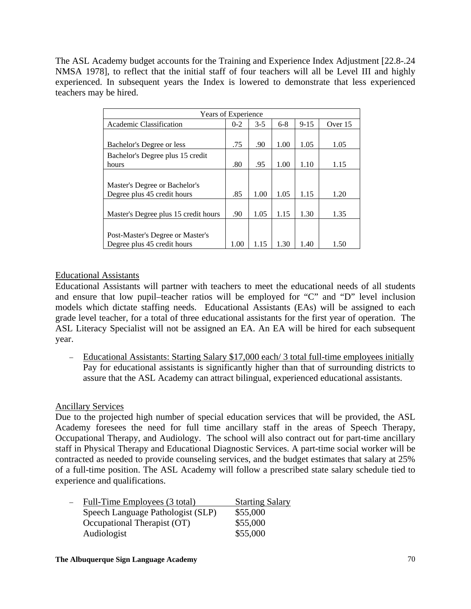The ASL Academy budget accounts for the Training and Experience Index Adjustment [22.8-.24 NMSA 1978], to reflect that the initial staff of four teachers will all be Level III and highly experienced. In subsequent years the Index is lowered to demonstrate that less experienced teachers may be hired.

| Years of Experience                  |         |         |         |          |         |
|--------------------------------------|---------|---------|---------|----------|---------|
| Academic Classification              | $0 - 2$ | $3 - 5$ | $6 - 8$ | $9 - 15$ | Over 15 |
|                                      |         |         |         |          |         |
| Bachelor's Degree or less            | .75     | .90     | 1.00    | 1.05     | 1.05    |
| Bachelor's Degree plus 15 credit     |         |         |         |          |         |
| hours                                | .80     | .95     | 1.00    | 1.10     | 1.15    |
|                                      |         |         |         |          |         |
| Master's Degree or Bachelor's        |         |         |         |          |         |
| Degree plus 45 credit hours          | .85     | 1.00    | 1.05    | 1.15     | 1.20    |
|                                      |         |         |         |          |         |
| Master's Degree plus 15 credit hours | .90     | 1.05    | 1.15    | 1.30     | 1.35    |
|                                      |         |         |         |          |         |
| Post-Master's Degree or Master's     |         |         |         |          |         |
| Degree plus 45 credit hours          | 1.00    | 1.15    | 1.30    | 1.40     | 1.50    |

# Educational Assistants

Educational Assistants will partner with teachers to meet the educational needs of all students and ensure that low pupil–teacher ratios will be employed for "C" and "D" level inclusion models which dictate staffing needs. Educational Assistants (EAs) will be assigned to each grade level teacher, for a total of three educational assistants for the first year of operation. The ASL Literacy Specialist will not be assigned an EA. An EA will be hired for each subsequent year.

− Educational Assistants: Starting Salary \$17,000 each/ 3 total full-time employees initially Pay for educational assistants is significantly higher than that of surrounding districts to assure that the ASL Academy can attract bilingual, experienced educational assistants.

# Ancillary Services

Due to the projected high number of special education services that will be provided, the ASL Academy foresees the need for full time ancillary staff in the areas of Speech Therapy, Occupational Therapy, and Audiology. The school will also contract out for part-time ancillary staff in Physical Therapy and Educational Diagnostic Services. A part-time social worker will be contracted as needed to provide counseling services, and the budget estimates that salary at 25% of a full-time position. The ASL Academy will follow a prescribed state salary schedule tied to experience and qualifications.

| Full-Time Employees (3 total)     | <b>Starting Salary</b> |
|-----------------------------------|------------------------|
| Speech Language Pathologist (SLP) | \$55,000               |
| Occupational Therapist (OT)       | \$55,000               |
| Audiologist                       | \$55,000               |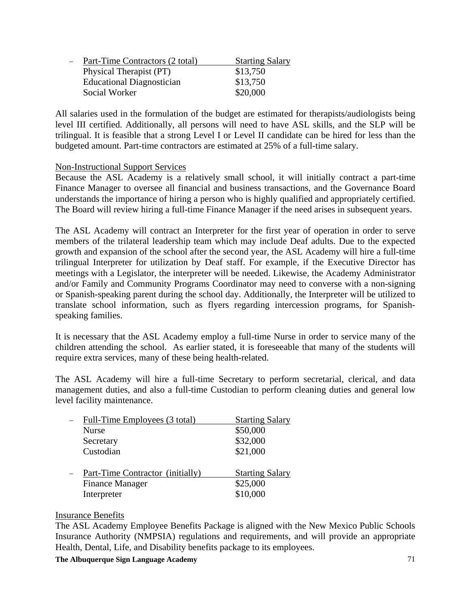| $\overline{\phantom{0}}$ | Part-Time Contractors (2 total)  | <b>Starting Salary</b> |
|--------------------------|----------------------------------|------------------------|
|                          | Physical Therapist (PT)          | \$13,750               |
|                          | <b>Educational Diagnostician</b> | \$13,750               |
|                          | Social Worker                    | \$20,000               |

All salaries used in the formulation of the budget are estimated for therapists/audiologists being level III certified. Additionally, all persons will need to have ASL skills, and the SLP will be trilingual. It is feasible that a strong Level I or Level II candidate can be hired for less than the budgeted amount. Part-time contractors are estimated at 25% of a full-time salary.

# Non-Instructional Support Services

Because the ASL Academy is a relatively small school, it will initially contract a part-time Finance Manager to oversee all financial and business transactions, and the Governance Board understands the importance of hiring a person who is highly qualified and appropriately certified. The Board will review hiring a full-time Finance Manager if the need arises in subsequent years.

The ASL Academy will contract an Interpreter for the first year of operation in order to serve members of the trilateral leadership team which may include Deaf adults. Due to the expected growth and expansion of the school after the second year, the ASL Academy will hire a full-time trilingual Interpreter for utilization by Deaf staff. For example, if the Executive Director has meetings with a Legislator, the interpreter will be needed. Likewise, the Academy Administrator and/or Family and Community Programs Coordinator may need to converse with a non-signing or Spanish-speaking parent during the school day. Additionally, the Interpreter will be utilized to translate school information, such as flyers regarding intercession programs, for Spanishspeaking families.

It is necessary that the ASL Academy employ a full-time Nurse in order to service many of the children attending the school. As earlier stated, it is foreseeable that many of the students will require extra services, many of these being health-related.

The ASL Academy will hire a full-time Secretary to perform secretarial, clerical, and data management duties, and also a full-time Custodian to perform cleaning duties and general low level facility maintenance.

| Full-Time Employees (3 total)    | <b>Starting Salary</b> |
|----------------------------------|------------------------|
| <b>Nurse</b>                     | \$50,000               |
| Secretary                        | \$32,000               |
| Custodian                        | \$21,000               |
| Part-Time Contractor (initially) | <b>Starting Salary</b> |
| <b>Finance Manager</b>           | \$25,000               |
| Interpreter                      | \$10,000               |

### Insurance Benefits

The ASL Academy Employee Benefits Package is aligned with the New Mexico Public Schools Insurance Authority (NMPSIA) regulations and requirements, and will provide an appropriate Health, Dental, Life, and Disability benefits package to its employees.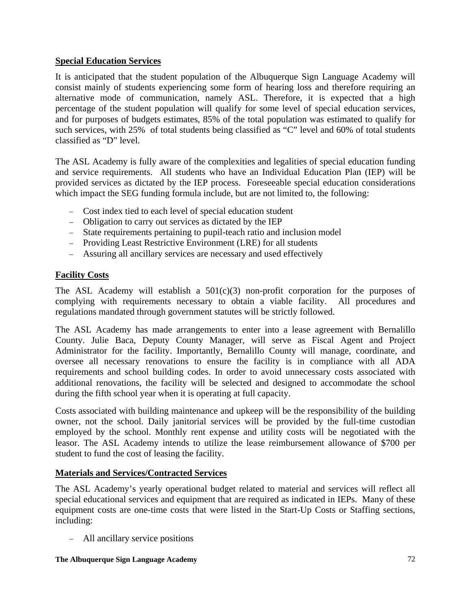# **Special Education Services**

It is anticipated that the student population of the Albuquerque Sign Language Academy will consist mainly of students experiencing some form of hearing loss and therefore requiring an alternative mode of communication, namely ASL. Therefore, it is expected that a high percentage of the student population will qualify for some level of special education services, and for purposes of budgets estimates, 85% of the total population was estimated to qualify for such services, with 25% of total students being classified as "C" level and 60% of total students classified as "D" level.

The ASL Academy is fully aware of the complexities and legalities of special education funding and service requirements. All students who have an Individual Education Plan (IEP) will be provided services as dictated by the IEP process. Foreseeable special education considerations which impact the SEG funding formula include, but are not limited to, the following:

- − Cost index tied to each level of special education student
- − Obligation to carry out services as dictated by the IEP
- − State requirements pertaining to pupil-teach ratio and inclusion model
- − Providing Least Restrictive Environment (LRE) for all students
- − Assuring all ancillary services are necessary and used effectively

# **Facility Costs**

The ASL Academy will establish a  $501(c)(3)$  non-profit corporation for the purposes of complying with requirements necessary to obtain a viable facility. All procedures and regulations mandated through government statutes will be strictly followed.

The ASL Academy has made arrangements to enter into a lease agreement with Bernalillo County. Julie Baca, Deputy County Manager, will serve as Fiscal Agent and Project Administrator for the facility. Importantly, Bernalillo County will manage, coordinate, and oversee all necessary renovations to ensure the facility is in compliance with all ADA requirements and school building codes. In order to avoid unnecessary costs associated with additional renovations, the facility will be selected and designed to accommodate the school during the fifth school year when it is operating at full capacity.

Costs associated with building maintenance and upkeep will be the responsibility of the building owner, not the school. Daily janitorial services will be provided by the full-time custodian employed by the school. Monthly rent expense and utility costs will be negotiated with the leasor. The ASL Academy intends to utilize the lease reimbursement allowance of \$700 per student to fund the cost of leasing the facility.

# **Materials and Services/Contracted Services**

The ASL Academy's yearly operational budget related to material and services will reflect all special educational services and equipment that are required as indicated in IEPs. Many of these equipment costs are one-time costs that were listed in the Start-Up Costs or Staffing sections, including:

− All ancillary service positions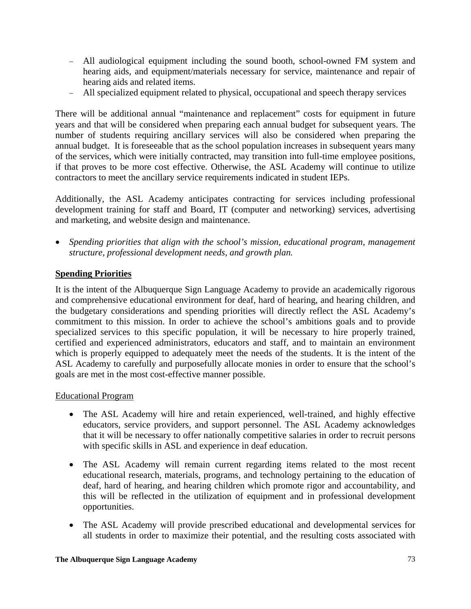- − All audiological equipment including the sound booth, school-owned FM system and hearing aids, and equipment/materials necessary for service, maintenance and repair of hearing aids and related items.
- − All specialized equipment related to physical, occupational and speech therapy services

There will be additional annual "maintenance and replacement" costs for equipment in future years and that will be considered when preparing each annual budget for subsequent years. The number of students requiring ancillary services will also be considered when preparing the annual budget. It is foreseeable that as the school population increases in subsequent years many of the services, which were initially contracted, may transition into full-time employee positions, if that proves to be more cost effective. Otherwise, the ASL Academy will continue to utilize contractors to meet the ancillary service requirements indicated in student IEPs.

Additionally, the ASL Academy anticipates contracting for services including professional development training for staff and Board, IT (computer and networking) services, advertising and marketing, and website design and maintenance.

• *Spending priorities that align with the school's mission, educational program, management structure, professional development needs, and growth plan.*

# **Spending Priorities**

It is the intent of the Albuquerque Sign Language Academy to provide an academically rigorous and comprehensive educational environment for deaf, hard of hearing, and hearing children, and the budgetary considerations and spending priorities will directly reflect the ASL Academy's commitment to this mission. In order to achieve the school's ambitions goals and to provide specialized services to this specific population, it will be necessary to hire properly trained, certified and experienced administrators, educators and staff, and to maintain an environment which is properly equipped to adequately meet the needs of the students. It is the intent of the ASL Academy to carefully and purposefully allocate monies in order to ensure that the school's goals are met in the most cost-effective manner possible.

### Educational Program

- The ASL Academy will hire and retain experienced, well-trained, and highly effective educators, service providers, and support personnel. The ASL Academy acknowledges that it will be necessary to offer nationally competitive salaries in order to recruit persons with specific skills in ASL and experience in deaf education.
- The ASL Academy will remain current regarding items related to the most recent educational research, materials, programs, and technology pertaining to the education of deaf, hard of hearing, and hearing children which promote rigor and accountability, and this will be reflected in the utilization of equipment and in professional development opportunities.
- The ASL Academy will provide prescribed educational and developmental services for all students in order to maximize their potential, and the resulting costs associated with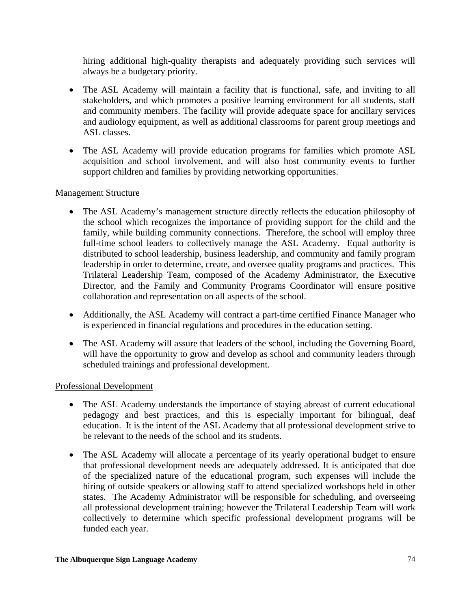hiring additional high-quality therapists and adequately providing such services will always be a budgetary priority.

- The ASL Academy will maintain a facility that is functional, safe, and inviting to all stakeholders, and which promotes a positive learning environment for all students, staff and community members. The facility will provide adequate space for ancillary services and audiology equipment, as well as additional classrooms for parent group meetings and ASL classes.
- The ASL Academy will provide education programs for families which promote ASL acquisition and school involvement, and will also host community events to further support children and families by providing networking opportunities.

# Management Structure

- The ASL Academy's management structure directly reflects the education philosophy of the school which recognizes the importance of providing support for the child and the family, while building community connections. Therefore, the school will employ three full-time school leaders to collectively manage the ASL Academy. Equal authority is distributed to school leadership, business leadership, and community and family program leadership in order to determine, create, and oversee quality programs and practices. This Trilateral Leadership Team, composed of the Academy Administrator, the Executive Director, and the Family and Community Programs Coordinator will ensure positive collaboration and representation on all aspects of the school.
- Additionally, the ASL Academy will contract a part-time certified Finance Manager who is experienced in financial regulations and procedures in the education setting.
- The ASL Academy will assure that leaders of the school, including the Governing Board, will have the opportunity to grow and develop as school and community leaders through scheduled trainings and professional development.

# Professional Development

- The ASL Academy understands the importance of staying abreast of current educational pedagogy and best practices, and this is especially important for bilingual, deaf education. It is the intent of the ASL Academy that all professional development strive to be relevant to the needs of the school and its students.
- The ASL Academy will allocate a percentage of its yearly operational budget to ensure that professional development needs are adequately addressed. It is anticipated that due of the specialized nature of the educational program, such expenses will include the hiring of outside speakers or allowing staff to attend specialized workshops held in other states. The Academy Administrator will be responsible for scheduling, and overseeing all professional development training; however the Trilateral Leadership Team will work collectively to determine which specific professional development programs will be funded each year.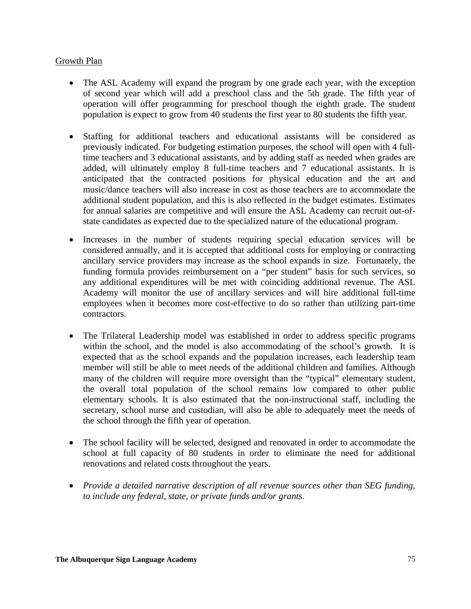### Growth Plan

- The ASL Academy will expand the program by one grade each year, with the exception of second year which will add a preschool class and the 5th grade. The fifth year of operation will offer programming for preschool though the eighth grade. The student population is expect to grow from 40 students the first year to 80 students the fifth year.
- Staffing for additional teachers and educational assistants will be considered as previously indicated. For budgeting estimation purposes, the school will open with 4 fulltime teachers and 3 educational assistants, and by adding staff as needed when grades are added, will ultimately employ 8 full-time teachers and 7 educational assistants. It is anticipated that the contracted positions for physical education and the art and music/dance teachers will also increase in cost as those teachers are to accommodate the additional student population, and this is also reflected in the budget estimates. Estimates for annual salaries are competitive and will ensure the ASL Academy can recruit out-ofstate candidates as expected due to the specialized nature of the educational program.
- Increases in the number of students requiring special education services will be considered annually, and it is accepted that additional costs for employing or contracting ancillary service providers may increase as the school expands in size. Fortunately, the funding formula provides reimbursement on a "per student" basis for such services, so any additional expenditures will be met with coinciding additional revenue. The ASL Academy will monitor the use of ancillary services and will hire additional full-time employees when it becomes more cost-effective to do so rather than utilizing part-time contractors.
- The Trilateral Leadership model was established in order to address specific programs within the school, and the model is also accommodating of the school's growth. It is expected that as the school expands and the population increases, each leadership team member will still be able to meet needs of the additional children and families. Although many of the children will require more oversight than the "typical" elementary student, the overall total population of the school remains low compared to other public elementary schools. It is also estimated that the non-instructional staff, including the secretary, school nurse and custodian, will also be able to adequately meet the needs of the school through the fifth year of operation.
- The school facility will be selected, designed and renovated in order to accommodate the school at full capacity of 80 students in order to eliminate the need for additional renovations and related costs throughout the years.
- *Provide a detailed narrative description of all revenue sources other than SEG funding, to include any federal, state, or private funds and/or grants.*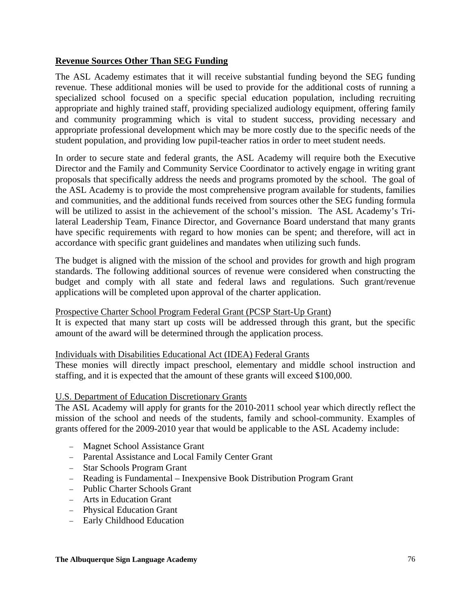# **Revenue Sources Other Than SEG Funding**

The ASL Academy estimates that it will receive substantial funding beyond the SEG funding revenue. These additional monies will be used to provide for the additional costs of running a specialized school focused on a specific special education population, including recruiting appropriate and highly trained staff, providing specialized audiology equipment, offering family and community programming which is vital to student success, providing necessary and appropriate professional development which may be more costly due to the specific needs of the student population, and providing low pupil-teacher ratios in order to meet student needs.

In order to secure state and federal grants, the ASL Academy will require both the Executive Director and the Family and Community Service Coordinator to actively engage in writing grant proposals that specifically address the needs and programs promoted by the school. The goal of the ASL Academy is to provide the most comprehensive program available for students, families and communities, and the additional funds received from sources other the SEG funding formula will be utilized to assist in the achievement of the school's mission. The ASL Academy's Trilateral Leadership Team, Finance Director, and Governance Board understand that many grants have specific requirements with regard to how monies can be spent; and therefore, will act in accordance with specific grant guidelines and mandates when utilizing such funds.

The budget is aligned with the mission of the school and provides for growth and high program standards. The following additional sources of revenue were considered when constructing the budget and comply with all state and federal laws and regulations. Such grant/revenue applications will be completed upon approval of the charter application.

### Prospective Charter School Program Federal Grant (PCSP Start-Up Grant)

It is expected that many start up costs will be addressed through this grant, but the specific amount of the award will be determined through the application process.

### Individuals with Disabilities Educational Act (IDEA) Federal Grants

These monies will directly impact preschool, elementary and middle school instruction and staffing, and it is expected that the amount of these grants will exceed \$100,000.

### U.S. Department of Education Discretionary Grants

The ASL Academy will apply for grants for the 2010-2011 school year which directly reflect the mission of the school and needs of the students, family and school-community. Examples of grants offered for the 2009-2010 year that would be applicable to the ASL Academy include:

- − Magnet School Assistance Grant
- − Parental Assistance and Local Family Center Grant
- − Star Schools Program Grant
- − Reading is Fundamental Inexpensive Book Distribution Program Grant
- − Public Charter Schools Grant
- − Arts in Education Grant
- − Physical Education Grant
- − Early Childhood Education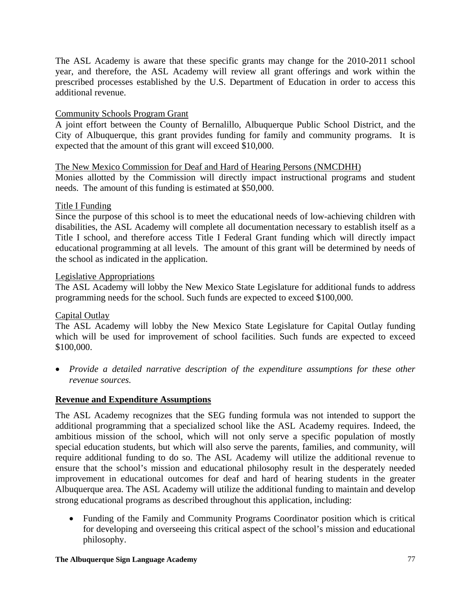The ASL Academy is aware that these specific grants may change for the 2010-2011 school year, and therefore, the ASL Academy will review all grant offerings and work within the prescribed processes established by the U.S. Department of Education in order to access this additional revenue.

# Community Schools Program Grant

A joint effort between the County of Bernalillo, Albuquerque Public School District, and the City of Albuquerque, this grant provides funding for family and community programs. It is expected that the amount of this grant will exceed \$10,000.

### The New Mexico Commission for Deaf and Hard of Hearing Persons (NMCDHH)

Monies allotted by the Commission will directly impact instructional programs and student needs. The amount of this funding is estimated at \$50,000.

### Title I Funding

Since the purpose of this school is to meet the educational needs of low-achieving children with disabilities, the ASL Academy will complete all documentation necessary to establish itself as a Title I school, and therefore access Title I Federal Grant funding which will directly impact educational programming at all levels. The amount of this grant will be determined by needs of the school as indicated in the application.

### Legislative Appropriations

The ASL Academy will lobby the New Mexico State Legislature for additional funds to address programming needs for the school. Such funds are expected to exceed \$100,000.

# Capital Outlay

The ASL Academy will lobby the New Mexico State Legislature for Capital Outlay funding which will be used for improvement of school facilities. Such funds are expected to exceed \$100,000.

• *Provide a detailed narrative description of the expenditure assumptions for these other revenue sources.*

# **Revenue and Expenditure Assumptions**

The ASL Academy recognizes that the SEG funding formula was not intended to support the additional programming that a specialized school like the ASL Academy requires. Indeed, the ambitious mission of the school, which will not only serve a specific population of mostly special education students, but which will also serve the parents, families, and community, will require additional funding to do so. The ASL Academy will utilize the additional revenue to ensure that the school's mission and educational philosophy result in the desperately needed improvement in educational outcomes for deaf and hard of hearing students in the greater Albuquerque area. The ASL Academy will utilize the additional funding to maintain and develop strong educational programs as described throughout this application, including:

• Funding of the Family and Community Programs Coordinator position which is critical for developing and overseeing this critical aspect of the school's mission and educational philosophy.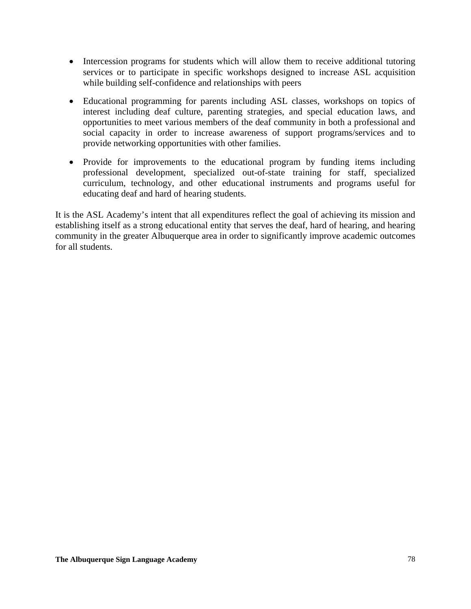- Intercession programs for students which will allow them to receive additional tutoring services or to participate in specific workshops designed to increase ASL acquisition while building self-confidence and relationships with peers
- Educational programming for parents including ASL classes, workshops on topics of interest including deaf culture, parenting strategies, and special education laws, and opportunities to meet various members of the deaf community in both a professional and social capacity in order to increase awareness of support programs/services and to provide networking opportunities with other families.
- Provide for improvements to the educational program by funding items including professional development, specialized out-of-state training for staff, specialized curriculum, technology, and other educational instruments and programs useful for educating deaf and hard of hearing students.

It is the ASL Academy's intent that all expenditures reflect the goal of achieving its mission and establishing itself as a strong educational entity that serves the deaf, hard of hearing, and hearing community in the greater Albuquerque area in order to significantly improve academic outcomes for all students.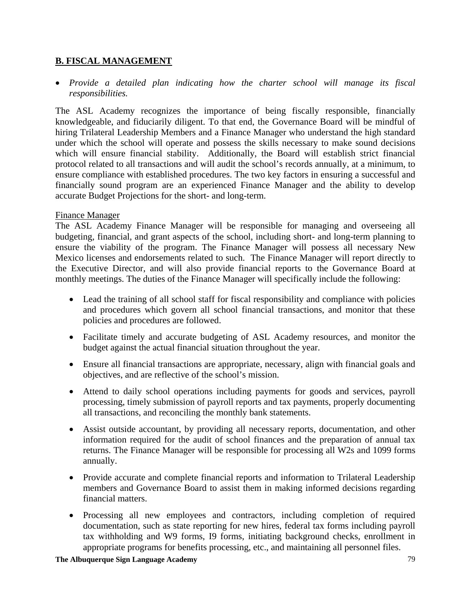# **B. FISCAL MANAGEMENT**

• *Provide a detailed plan indicating how the charter school will manage its fiscal responsibilities.* 

The ASL Academy recognizes the importance of being fiscally responsible, financially knowledgeable, and fiduciarily diligent. To that end, the Governance Board will be mindful of hiring Trilateral Leadership Members and a Finance Manager who understand the high standard under which the school will operate and possess the skills necessary to make sound decisions which will ensure financial stability. Additionally, the Board will establish strict financial protocol related to all transactions and will audit the school's records annually, at a minimum, to ensure compliance with established procedures. The two key factors in ensuring a successful and financially sound program are an experienced Finance Manager and the ability to develop accurate Budget Projections for the short- and long-term.

### Finance Manager

The ASL Academy Finance Manager will be responsible for managing and overseeing all budgeting, financial, and grant aspects of the school, including short- and long-term planning to ensure the viability of the program. The Finance Manager will possess all necessary New Mexico licenses and endorsements related to such. The Finance Manager will report directly to the Executive Director, and will also provide financial reports to the Governance Board at monthly meetings. The duties of the Finance Manager will specifically include the following:

- Lead the training of all school staff for fiscal responsibility and compliance with policies and procedures which govern all school financial transactions, and monitor that these policies and procedures are followed.
- Facilitate timely and accurate budgeting of ASL Academy resources, and monitor the budget against the actual financial situation throughout the year.
- Ensure all financial transactions are appropriate, necessary, align with financial goals and objectives, and are reflective of the school's mission.
- Attend to daily school operations including payments for goods and services, payroll processing, timely submission of payroll reports and tax payments, properly documenting all transactions, and reconciling the monthly bank statements.
- Assist outside accountant, by providing all necessary reports, documentation, and other information required for the audit of school finances and the preparation of annual tax returns. The Finance Manager will be responsible for processing all W2s and 1099 forms annually.
- Provide accurate and complete financial reports and information to Trilateral Leadership members and Governance Board to assist them in making informed decisions regarding financial matters.
- Processing all new employees and contractors, including completion of required documentation, such as state reporting for new hires, federal tax forms including payroll tax withholding and W9 forms, I9 forms, initiating background checks, enrollment in appropriate programs for benefits processing, etc., and maintaining all personnel files.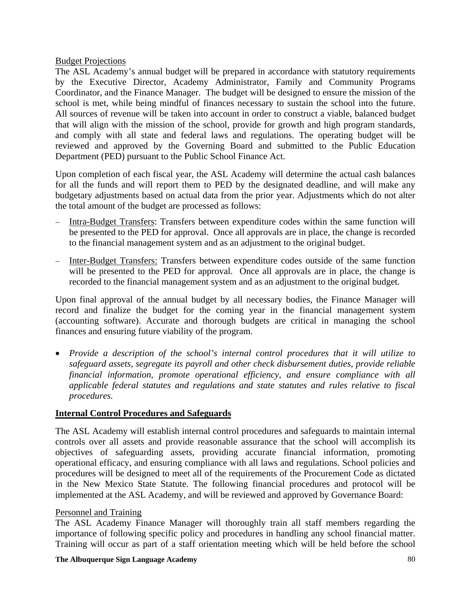## Budget Projections

The ASL Academy's annual budget will be prepared in accordance with statutory requirements by the Executive Director, Academy Administrator, Family and Community Programs Coordinator, and the Finance Manager. The budget will be designed to ensure the mission of the school is met, while being mindful of finances necessary to sustain the school into the future. All sources of revenue will be taken into account in order to construct a viable, balanced budget that will align with the mission of the school, provide for growth and high program standards, and comply with all state and federal laws and regulations. The operating budget will be reviewed and approved by the Governing Board and submitted to the Public Education Department (PED) pursuant to the Public School Finance Act.

Upon completion of each fiscal year, the ASL Academy will determine the actual cash balances for all the funds and will report them to PED by the designated deadline, and will make any budgetary adjustments based on actual data from the prior year. Adjustments which do not alter the total amount of the budget are processed as follows:

- − Intra-Budget Transfers: Transfers between expenditure codes within the same function will be presented to the PED for approval. Once all approvals are in place, the change is recorded to the financial management system and as an adjustment to the original budget.
- Inter-Budget Transfers: Transfers between expenditure codes outside of the same function will be presented to the PED for approval. Once all approvals are in place, the change is recorded to the financial management system and as an adjustment to the original budget.

Upon final approval of the annual budget by all necessary bodies, the Finance Manager will record and finalize the budget for the coming year in the financial management system (accounting software). Accurate and thorough budgets are critical in managing the school finances and ensuring future viability of the program.

• *Provide a description of the school's internal control procedures that it will utilize to safeguard assets, segregate its payroll and other check disbursement duties, provide reliable financial information, promote operational efficiency, and ensure compliance with all applicable federal statutes and regulations and state statutes and rules relative to fiscal procedures.* 

# **Internal Control Procedures and Safeguards**

The ASL Academy will establish internal control procedures and safeguards to maintain internal controls over all assets and provide reasonable assurance that the school will accomplish its objectives of safeguarding assets, providing accurate financial information, promoting operational efficacy, and ensuring compliance with all laws and regulations. School policies and procedures will be designed to meet all of the requirements of the Procurement Code as dictated in the New Mexico State Statute. The following financial procedures and protocol will be implemented at the ASL Academy, and will be reviewed and approved by Governance Board:

# Personnel and Training

The ASL Academy Finance Manager will thoroughly train all staff members regarding the importance of following specific policy and procedures in handling any school financial matter. Training will occur as part of a staff orientation meeting which will be held before the school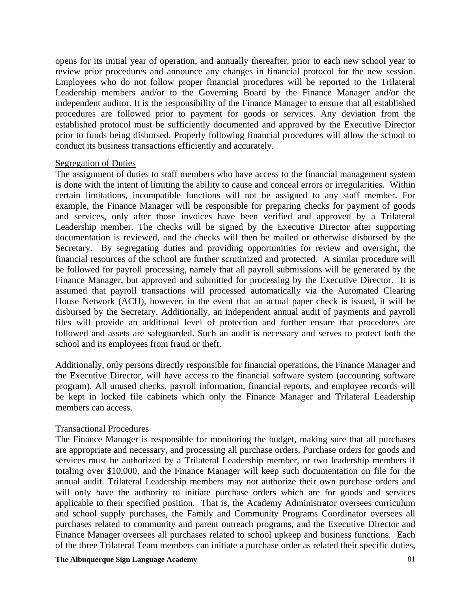opens for its initial year of operation, and annually thereafter, prior to each new school year to review prior procedures and announce any changes in financial protocol for the new session. Employees who do not follow proper financial procedures will be reported to the Trilateral Leadership members and/or to the Governing Board by the Finance Manager and/or the independent auditor. It is the responsibility of the Finance Manager to ensure that all established procedures are followed prior to payment for goods or services. Any deviation from the established protocol must be sufficiently documented and approved by the Executive Director prior to funds being disbursed. Properly following financial procedures will allow the school to conduct its business transactions efficiently and accurately.

### Segregation of Duties

The assignment of duties to staff members who have access to the financial management system is done with the intent of limiting the ability to cause and conceal errors or irregularities. Within certain limitations, incompatible functions will not be assigned to any staff member. For example, the Finance Manager will be responsible for preparing checks for payment of goods and services, only after those invoices have been verified and approved by a Trilateral Leadership member. The checks will be signed by the Executive Director after supporting documentation is reviewed, and the checks will then be mailed or otherwise disbursed by the Secretary. By segregating duties and providing opportunities for review and oversight, the financial resources of the school are further scrutinized and protected. A similar procedure will be followed for payroll processing, namely that all payroll submissions will be generated by the Finance Manager, but approved and submitted for processing by the Executive Director. It is assumed that payroll transactions will processed automatically via the Automated Clearing House Network (ACH), however, in the event that an actual paper check is issued, it will be disbursed by the Secretary. Additionally, an independent annual audit of payments and payroll files will provide an additional level of protection and further ensure that procedures are followed and assets are safeguarded. Such an audit is necessary and serves to protect both the school and its employees from fraud or theft.

Additionally, only persons directly responsible for financial operations, the Finance Manager and the Executive Director, will have access to the financial software system (accounting software program). All unused checks, payroll information, financial reports, and employee records will be kept in locked file cabinets which only the Finance Manager and Trilateral Leadership members can access.

### Transactional Procedures

The Finance Manager is responsible for monitoring the budget, making sure that all purchases are appropriate and necessary, and processing all purchase orders. Purchase orders for goods and services must be authorized by a Trilateral Leadership member, or two leadership members if totaling over \$10,000, and the Finance Manager will keep such documentation on file for the annual audit. Trilateral Leadership members may not authorize their own purchase orders and will only have the authority to initiate purchase orders which are for goods and services applicable to their specified position. That is, the Academy Administrator oversees curriculum and school supply purchases, the Family and Community Programs Coordinator oversees all purchases related to community and parent outreach programs, and the Executive Director and Finance Manager oversees all purchases related to school upkeep and business functions. Each of the three Trilateral Team members can initiate a purchase order as related their specific duties,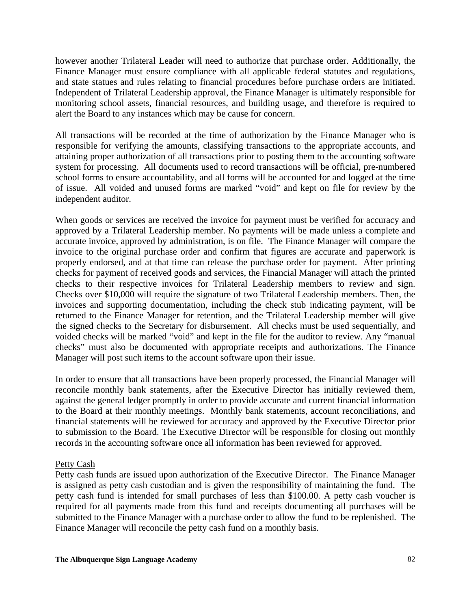however another Trilateral Leader will need to authorize that purchase order. Additionally, the Finance Manager must ensure compliance with all applicable federal statutes and regulations, and state statues and rules relating to financial procedures before purchase orders are initiated. Independent of Trilateral Leadership approval, the Finance Manager is ultimately responsible for monitoring school assets, financial resources, and building usage, and therefore is required to alert the Board to any instances which may be cause for concern.

All transactions will be recorded at the time of authorization by the Finance Manager who is responsible for verifying the amounts, classifying transactions to the appropriate accounts, and attaining proper authorization of all transactions prior to posting them to the accounting software system for processing. All documents used to record transactions will be official, pre-numbered school forms to ensure accountability, and all forms will be accounted for and logged at the time of issue. All voided and unused forms are marked "void" and kept on file for review by the independent auditor.

When goods or services are received the invoice for payment must be verified for accuracy and approved by a Trilateral Leadership member. No payments will be made unless a complete and accurate invoice, approved by administration, is on file. The Finance Manager will compare the invoice to the original purchase order and confirm that figures are accurate and paperwork is properly endorsed, and at that time can release the purchase order for payment. After printing checks for payment of received goods and services, the Financial Manager will attach the printed checks to their respective invoices for Trilateral Leadership members to review and sign. Checks over \$10,000 will require the signature of two Trilateral Leadership members. Then, the invoices and supporting documentation, including the check stub indicating payment, will be returned to the Finance Manager for retention, and the Trilateral Leadership member will give the signed checks to the Secretary for disbursement. All checks must be used sequentially, and voided checks will be marked "void" and kept in the file for the auditor to review. Any "manual checks" must also be documented with appropriate receipts and authorizations. The Finance Manager will post such items to the account software upon their issue.

In order to ensure that all transactions have been properly processed, the Financial Manager will reconcile monthly bank statements, after the Executive Director has initially reviewed them, against the general ledger promptly in order to provide accurate and current financial information to the Board at their monthly meetings. Monthly bank statements, account reconciliations, and financial statements will be reviewed for accuracy and approved by the Executive Director prior to submission to the Board. The Executive Director will be responsible for closing out monthly records in the accounting software once all information has been reviewed for approved.

### Petty Cash

Petty cash funds are issued upon authorization of the Executive Director. The Finance Manager is assigned as petty cash custodian and is given the responsibility of maintaining the fund. The petty cash fund is intended for small purchases of less than \$100.00. A petty cash voucher is required for all payments made from this fund and receipts documenting all purchases will be submitted to the Finance Manager with a purchase order to allow the fund to be replenished. The Finance Manager will reconcile the petty cash fund on a monthly basis.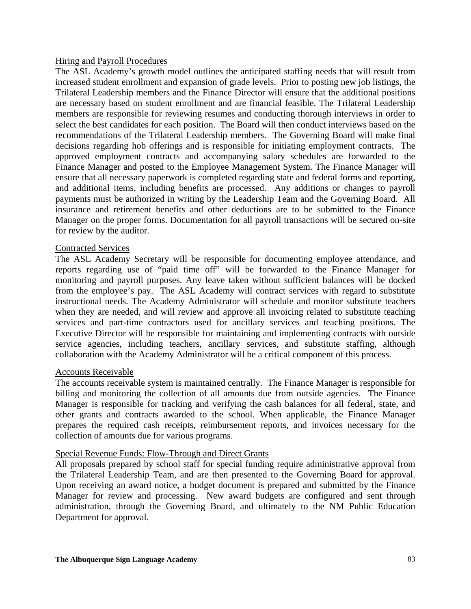### Hiring and Payroll Procedures

The ASL Academy's growth model outlines the anticipated staffing needs that will result from increased student enrollment and expansion of grade levels. Prior to posting new job listings, the Trilateral Leadership members and the Finance Director will ensure that the additional positions are necessary based on student enrollment and are financial feasible. The Trilateral Leadership members are responsible for reviewing resumes and conducting thorough interviews in order to select the best candidates for each position. The Board will then conduct interviews based on the recommendations of the Trilateral Leadership members. The Governing Board will make final decisions regarding hob offerings and is responsible for initiating employment contracts. The approved employment contracts and accompanying salary schedules are forwarded to the Finance Manager and posted to the Employee Management System. The Finance Manager will ensure that all necessary paperwork is completed regarding state and federal forms and reporting, and additional items, including benefits are processed. Any additions or changes to payroll payments must be authorized in writing by the Leadership Team and the Governing Board. All insurance and retirement benefits and other deductions are to be submitted to the Finance Manager on the proper forms. Documentation for all payroll transactions will be secured on-site for review by the auditor.

### Contracted Services

The ASL Academy Secretary will be responsible for documenting employee attendance, and reports regarding use of "paid time off" will be forwarded to the Finance Manager for monitoring and payroll purposes. Any leave taken without sufficient balances will be docked from the employee's pay. The ASL Academy will contract services with regard to substitute instructional needs. The Academy Administrator will schedule and monitor substitute teachers when they are needed, and will review and approve all invoicing related to substitute teaching services and part-time contractors used for ancillary services and teaching positions. The Executive Director will be responsible for maintaining and implementing contracts with outside service agencies, including teachers, ancillary services, and substitute staffing, although collaboration with the Academy Administrator will be a critical component of this process.

### Accounts Receivable

The accounts receivable system is maintained centrally. The Finance Manager is responsible for billing and monitoring the collection of all amounts due from outside agencies. The Finance Manager is responsible for tracking and verifying the cash balances for all federal, state, and other grants and contracts awarded to the school. When applicable, the Finance Manager prepares the required cash receipts, reimbursement reports, and invoices necessary for the collection of amounts due for various programs.

### Special Revenue Funds: Flow-Through and Direct Grants

All proposals prepared by school staff for special funding require administrative approval from the Trilateral Leadership Team, and are then presented to the Governing Board for approval. Upon receiving an award notice, a budget document is prepared and submitted by the Finance Manager for review and processing. New award budgets are configured and sent through administration, through the Governing Board, and ultimately to the NM Public Education Department for approval.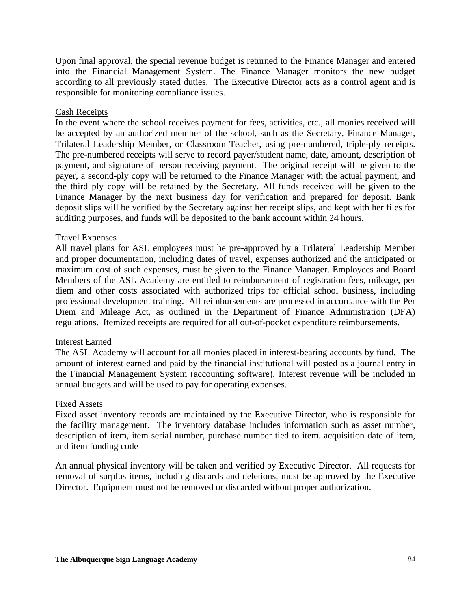Upon final approval, the special revenue budget is returned to the Finance Manager and entered into the Financial Management System. The Finance Manager monitors the new budget according to all previously stated duties. The Executive Director acts as a control agent and is responsible for monitoring compliance issues.

### Cash Receipts

In the event where the school receives payment for fees, activities, etc., all monies received will be accepted by an authorized member of the school, such as the Secretary, Finance Manager, Trilateral Leadership Member, or Classroom Teacher, using pre-numbered, triple-ply receipts. The pre-numbered receipts will serve to record payer/student name, date, amount, description of payment, and signature of person receiving payment. The original receipt will be given to the payer, a second-ply copy will be returned to the Finance Manager with the actual payment, and the third ply copy will be retained by the Secretary. All funds received will be given to the Finance Manager by the next business day for verification and prepared for deposit. Bank deposit slips will be verified by the Secretary against her receipt slips, and kept with her files for auditing purposes, and funds will be deposited to the bank account within 24 hours.

### Travel Expenses

All travel plans for ASL employees must be pre-approved by a Trilateral Leadership Member and proper documentation, including dates of travel, expenses authorized and the anticipated or maximum cost of such expenses, must be given to the Finance Manager. Employees and Board Members of the ASL Academy are entitled to reimbursement of registration fees, mileage, per diem and other costs associated with authorized trips for official school business, including professional development training. All reimbursements are processed in accordance with the Per Diem and Mileage Act, as outlined in the Department of Finance Administration (DFA) regulations. Itemized receipts are required for all out-of-pocket expenditure reimbursements.

#### Interest Earned

The ASL Academy will account for all monies placed in interest-bearing accounts by fund. The amount of interest earned and paid by the financial institutional will posted as a journal entry in the Financial Management System (accounting software). Interest revenue will be included in annual budgets and will be used to pay for operating expenses.

#### Fixed Assets

Fixed asset inventory records are maintained by the Executive Director, who is responsible for the facility management. The inventory database includes information such as asset number, description of item, item serial number, purchase number tied to item. acquisition date of item, and item funding code

An annual physical inventory will be taken and verified by Executive Director. All requests for removal of surplus items, including discards and deletions, must be approved by the Executive Director. Equipment must not be removed or discarded without proper authorization.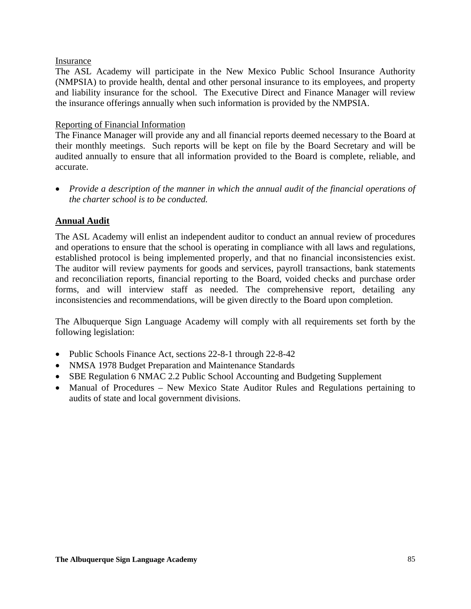### Insurance

The ASL Academy will participate in the New Mexico Public School Insurance Authority (NMPSIA) to provide health, dental and other personal insurance to its employees, and property and liability insurance for the school. The Executive Direct and Finance Manager will review the insurance offerings annually when such information is provided by the NMPSIA.

## Reporting of Financial Information

The Finance Manager will provide any and all financial reports deemed necessary to the Board at their monthly meetings. Such reports will be kept on file by the Board Secretary and will be audited annually to ensure that all information provided to the Board is complete, reliable, and accurate.

• *Provide a description of the manner in which the annual audit of the financial operations of the charter school is to be conducted.* 

# **Annual Audit**

The ASL Academy will enlist an independent auditor to conduct an annual review of procedures and operations to ensure that the school is operating in compliance with all laws and regulations, established protocol is being implemented properly, and that no financial inconsistencies exist. The auditor will review payments for goods and services, payroll transactions, bank statements and reconciliation reports, financial reporting to the Board, voided checks and purchase order forms, and will interview staff as needed. The comprehensive report, detailing any inconsistencies and recommendations, will be given directly to the Board upon completion.

The Albuquerque Sign Language Academy will comply with all requirements set forth by the following legislation:

- Public Schools Finance Act, sections 22-8-1 through 22-8-42
- NMSA 1978 Budget Preparation and Maintenance Standards
- SBE Regulation 6 NMAC 2.2 Public School Accounting and Budgeting Supplement
- Manual of Procedures New Mexico State Auditor Rules and Regulations pertaining to audits of state and local government divisions.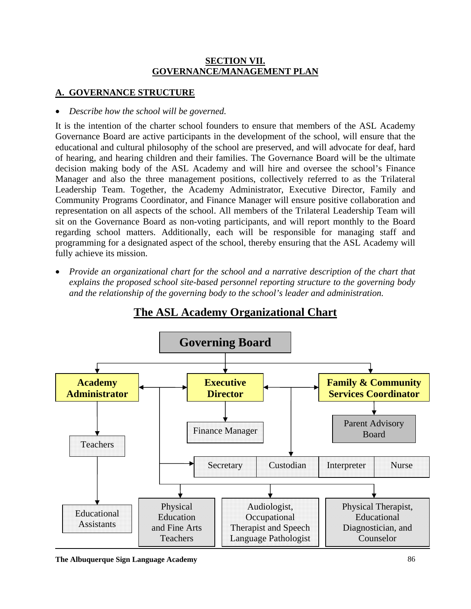# **SECTION VII. GOVERNANCE/MANAGEMENT PLAN**

# **A. GOVERNANCE STRUCTURE**

# • *Describe how the school will be governed.*

It is the intention of the charter school founders to ensure that members of the ASL Academy Governance Board are active participants in the development of the school, will ensure that the educational and cultural philosophy of the school are preserved, and will advocate for deaf, hard of hearing, and hearing children and their families. The Governance Board will be the ultimate decision making body of the ASL Academy and will hire and oversee the school's Finance Manager and also the three management positions, collectively referred to as the Trilateral Leadership Team. Together, the Academy Administrator, Executive Director, Family and Community Programs Coordinator, and Finance Manager will ensure positive collaboration and representation on all aspects of the school. All members of the Trilateral Leadership Team will sit on the Governance Board as non-voting participants, and will report monthly to the Board regarding school matters. Additionally, each will be responsible for managing staff and programming for a designated aspect of the school, thereby ensuring that the ASL Academy will fully achieve its mission.

• *Provide an organizational chart for the school and a narrative description of the chart that explains the proposed school site-based personnel reporting structure to the governing body and the relationship of the governing body to the school's leader and administration.* 



**The ASL Academy Organizational Chart**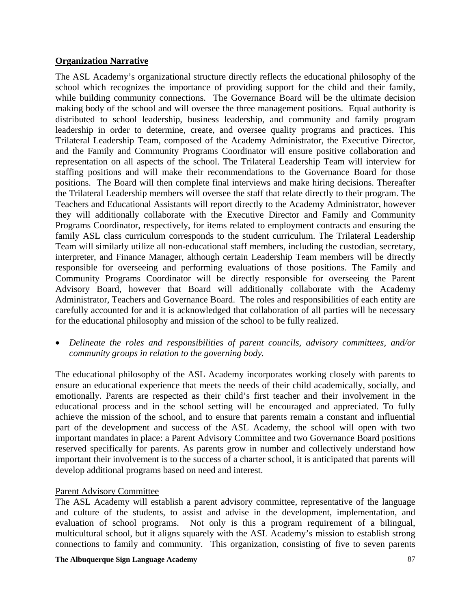### **Organization Narrative**

The ASL Academy's organizational structure directly reflects the educational philosophy of the school which recognizes the importance of providing support for the child and their family, while building community connections. The Governance Board will be the ultimate decision making body of the school and will oversee the three management positions. Equal authority is distributed to school leadership, business leadership, and community and family program leadership in order to determine, create, and oversee quality programs and practices. This Trilateral Leadership Team, composed of the Academy Administrator, the Executive Director, and the Family and Community Programs Coordinator will ensure positive collaboration and representation on all aspects of the school. The Trilateral Leadership Team will interview for staffing positions and will make their recommendations to the Governance Board for those positions. The Board will then complete final interviews and make hiring decisions. Thereafter the Trilateral Leadership members will oversee the staff that relate directly to their program. The Teachers and Educational Assistants will report directly to the Academy Administrator, however they will additionally collaborate with the Executive Director and Family and Community Programs Coordinator, respectively, for items related to employment contracts and ensuring the family ASL class curriculum corresponds to the student curriculum. The Trilateral Leadership Team will similarly utilize all non-educational staff members, including the custodian, secretary, interpreter, and Finance Manager, although certain Leadership Team members will be directly responsible for overseeing and performing evaluations of those positions. The Family and Community Programs Coordinator will be directly responsible for overseeing the Parent Advisory Board, however that Board will additionally collaborate with the Academy Administrator, Teachers and Governance Board. The roles and responsibilities of each entity are carefully accounted for and it is acknowledged that collaboration of all parties will be necessary for the educational philosophy and mission of the school to be fully realized.

• *Delineate the roles and responsibilities of parent councils, advisory committees, and/or community groups in relation to the governing body.* 

The educational philosophy of the ASL Academy incorporates working closely with parents to ensure an educational experience that meets the needs of their child academically, socially, and emotionally. Parents are respected as their child's first teacher and their involvement in the educational process and in the school setting will be encouraged and appreciated. To fully achieve the mission of the school, and to ensure that parents remain a constant and influential part of the development and success of the ASL Academy, the school will open with two important mandates in place: a Parent Advisory Committee and two Governance Board positions reserved specifically for parents. As parents grow in number and collectively understand how important their involvement is to the success of a charter school, it is anticipated that parents will develop additional programs based on need and interest.

# Parent Advisory Committee

The ASL Academy will establish a parent advisory committee, representative of the language and culture of the students, to assist and advise in the development, implementation, and evaluation of school programs. Not only is this a program requirement of a bilingual, multicultural school, but it aligns squarely with the ASL Academy's mission to establish strong connections to family and community. This organization, consisting of five to seven parents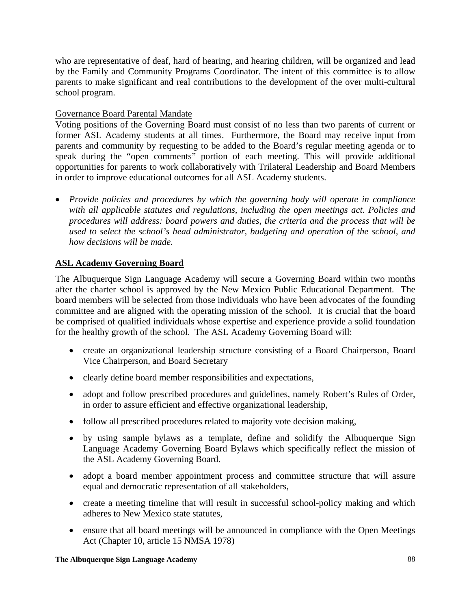who are representative of deaf, hard of hearing, and hearing children, will be organized and lead by the Family and Community Programs Coordinator. The intent of this committee is to allow parents to make significant and real contributions to the development of the over multi-cultural school program.

# Governance Board Parental Mandate

Voting positions of the Governing Board must consist of no less than two parents of current or former ASL Academy students at all times. Furthermore, the Board may receive input from parents and community by requesting to be added to the Board's regular meeting agenda or to speak during the "open comments" portion of each meeting. This will provide additional opportunities for parents to work collaboratively with Trilateral Leadership and Board Members in order to improve educational outcomes for all ASL Academy students.

• *Provide policies and procedures by which the governing body will operate in compliance with all applicable statutes and regulations, including the open meetings act. Policies and procedures will address: board powers and duties, the criteria and the process that will be used to select the school's head administrator, budgeting and operation of the school, and how decisions will be made.* 

# **ASL Academy Governing Board**

The Albuquerque Sign Language Academy will secure a Governing Board within two months after the charter school is approved by the New Mexico Public Educational Department. The board members will be selected from those individuals who have been advocates of the founding committee and are aligned with the operating mission of the school. It is crucial that the board be comprised of qualified individuals whose expertise and experience provide a solid foundation for the healthy growth of the school. The ASL Academy Governing Board will:

- create an organizational leadership structure consisting of a Board Chairperson, Board Vice Chairperson, and Board Secretary
- clearly define board member responsibilities and expectations,
- adopt and follow prescribed procedures and guidelines, namely Robert's Rules of Order, in order to assure efficient and effective organizational leadership,
- follow all prescribed procedures related to majority vote decision making,
- by using sample bylaws as a template, define and solidify the Albuquerque Sign Language Academy Governing Board Bylaws which specifically reflect the mission of the ASL Academy Governing Board.
- adopt a board member appointment process and committee structure that will assure equal and democratic representation of all stakeholders,
- create a meeting timeline that will result in successful school-policy making and which adheres to New Mexico state statutes,
- ensure that all board meetings will be announced in compliance with the Open Meetings Act (Chapter 10, article 15 NMSA 1978)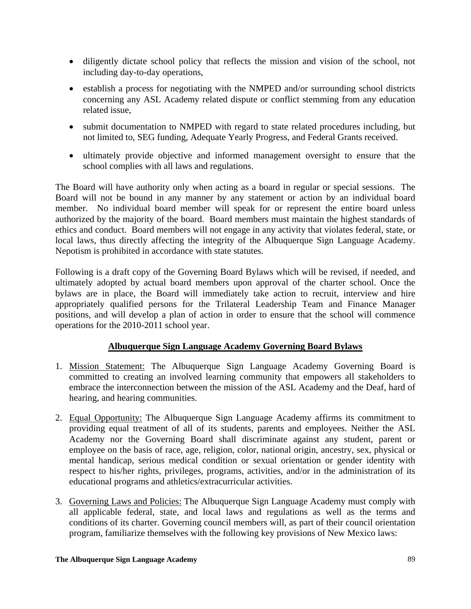- diligently dictate school policy that reflects the mission and vision of the school, not including day-to-day operations,
- establish a process for negotiating with the NMPED and/or surrounding school districts concerning any ASL Academy related dispute or conflict stemming from any education related issue,
- submit documentation to NMPED with regard to state related procedures including, but not limited to, SEG funding, Adequate Yearly Progress, and Federal Grants received.
- ultimately provide objective and informed management oversight to ensure that the school complies with all laws and regulations.

The Board will have authority only when acting as a board in regular or special sessions. The Board will not be bound in any manner by any statement or action by an individual board member. No individual board member will speak for or represent the entire board unless authorized by the majority of the board. Board members must maintain the highest standards of ethics and conduct. Board members will not engage in any activity that violates federal, state, or local laws, thus directly affecting the integrity of the Albuquerque Sign Language Academy. Nepotism is prohibited in accordance with state statutes.

Following is a draft copy of the Governing Board Bylaws which will be revised, if needed, and ultimately adopted by actual board members upon approval of the charter school. Once the bylaws are in place, the Board will immediately take action to recruit, interview and hire appropriately qualified persons for the Trilateral Leadership Team and Finance Manager positions, and will develop a plan of action in order to ensure that the school will commence operations for the 2010-2011 school year.

# **Albuquerque Sign Language Academy Governing Board Bylaws**

- 1. Mission Statement: The Albuquerque Sign Language Academy Governing Board is committed to creating an involved learning community that empowers all stakeholders to embrace the interconnection between the mission of the ASL Academy and the Deaf, hard of hearing, and hearing communities.
- 2. Equal Opportunity: The Albuquerque Sign Language Academy affirms its commitment to providing equal treatment of all of its students, parents and employees. Neither the ASL Academy nor the Governing Board shall discriminate against any student, parent or employee on the basis of race, age, religion, color, national origin, ancestry, sex, physical or mental handicap, serious medical condition or sexual orientation or gender identity with respect to his/her rights, privileges, programs, activities, and/or in the administration of its educational programs and athletics/extracurricular activities.
- 3. Governing Laws and Policies: The Albuquerque Sign Language Academy must comply with all applicable federal, state, and local laws and regulations as well as the terms and conditions of its charter. Governing council members will, as part of their council orientation program, familiarize themselves with the following key provisions of New Mexico laws: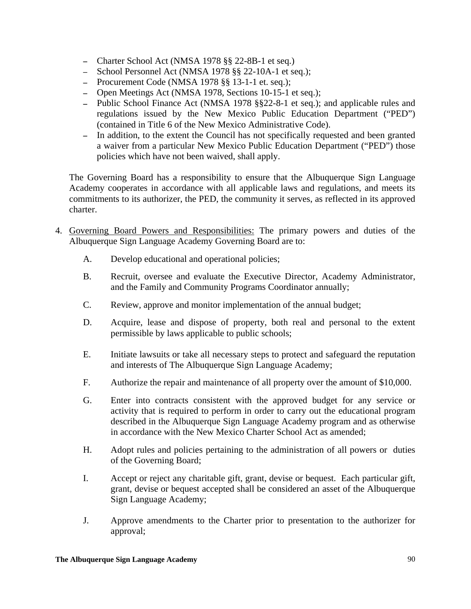- − Charter School Act (NMSA 1978 §§ 22-8B-1 et seq.)
- − School Personnel Act (NMSA 1978 §§ 22-10A-1 et seq.);
- − Procurement Code (NMSA 1978 §§ 13-1-1 et. seq.);
- − Open Meetings Act (NMSA 1978, Sections 10-15-1 et seq.);
- − Public School Finance Act (NMSA 1978 §§22-8-1 et seq.); and applicable rules and regulations issued by the New Mexico Public Education Department ("PED") (contained in Title 6 of the New Mexico Administrative Code).
- − In addition, to the extent the Council has not specifically requested and been granted a waiver from a particular New Mexico Public Education Department ("PED") those policies which have not been waived, shall apply.

The Governing Board has a responsibility to ensure that the Albuquerque Sign Language Academy cooperates in accordance with all applicable laws and regulations, and meets its commitments to its authorizer, the PED, the community it serves, as reflected in its approved charter.

- 4. Governing Board Powers and Responsibilities: The primary powers and duties of the Albuquerque Sign Language Academy Governing Board are to:
	- A. Develop educational and operational policies;
	- B. Recruit, oversee and evaluate the Executive Director, Academy Administrator, and the Family and Community Programs Coordinator annually;
	- C. Review, approve and monitor implementation of the annual budget;
	- D. Acquire, lease and dispose of property, both real and personal to the extent permissible by laws applicable to public schools;
	- E. Initiate lawsuits or take all necessary steps to protect and safeguard the reputation and interests of The Albuquerque Sign Language Academy;
	- F. Authorize the repair and maintenance of all property over the amount of \$10,000.
	- G. Enter into contracts consistent with the approved budget for any service or activity that is required to perform in order to carry out the educational program described in the Albuquerque Sign Language Academy program and as otherwise in accordance with the New Mexico Charter School Act as amended;
	- H. Adopt rules and policies pertaining to the administration of all powers or duties of the Governing Board;
	- I. Accept or reject any charitable gift, grant, devise or bequest. Each particular gift, grant, devise or bequest accepted shall be considered an asset of the Albuquerque Sign Language Academy;
	- J. Approve amendments to the Charter prior to presentation to the authorizer for approval;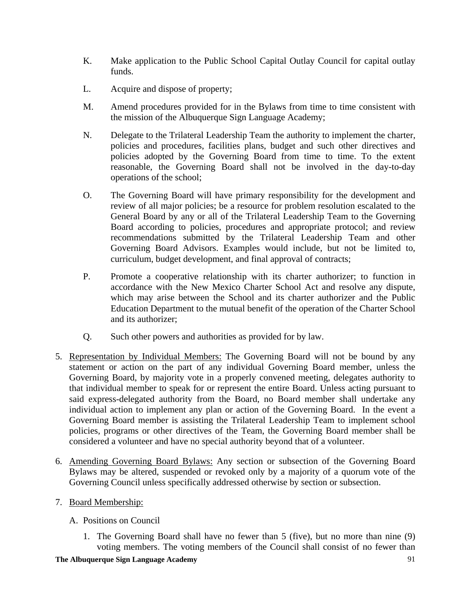- K. Make application to the Public School Capital Outlay Council for capital outlay funds.
- L. Acquire and dispose of property;
- M. Amend procedures provided for in the Bylaws from time to time consistent with the mission of the Albuquerque Sign Language Academy;
- N. Delegate to the Trilateral Leadership Team the authority to implement the charter, policies and procedures, facilities plans, budget and such other directives and policies adopted by the Governing Board from time to time. To the extent reasonable, the Governing Board shall not be involved in the day-to-day operations of the school;
- O. The Governing Board will have primary responsibility for the development and review of all major policies; be a resource for problem resolution escalated to the General Board by any or all of the Trilateral Leadership Team to the Governing Board according to policies, procedures and appropriate protocol; and review recommendations submitted by the Trilateral Leadership Team and other Governing Board Advisors. Examples would include, but not be limited to, curriculum, budget development, and final approval of contracts;
- P. Promote a cooperative relationship with its charter authorizer; to function in accordance with the New Mexico Charter School Act and resolve any dispute, which may arise between the School and its charter authorizer and the Public Education Department to the mutual benefit of the operation of the Charter School and its authorizer;
- Q. Such other powers and authorities as provided for by law.
- 5. Representation by Individual Members: The Governing Board will not be bound by any statement or action on the part of any individual Governing Board member, unless the Governing Board, by majority vote in a properly convened meeting, delegates authority to that individual member to speak for or represent the entire Board. Unless acting pursuant to said express-delegated authority from the Board, no Board member shall undertake any individual action to implement any plan or action of the Governing Board. In the event a Governing Board member is assisting the Trilateral Leadership Team to implement school policies, programs or other directives of the Team, the Governing Board member shall be considered a volunteer and have no special authority beyond that of a volunteer.
- 6. Amending Governing Board Bylaws: Any section or subsection of the Governing Board Bylaws may be altered, suspended or revoked only by a majority of a quorum vote of the Governing Council unless specifically addressed otherwise by section or subsection.
- 7. Board Membership:
	- A. Positions on Council
		- 1. The Governing Board shall have no fewer than 5 (five), but no more than nine (9) voting members. The voting members of the Council shall consist of no fewer than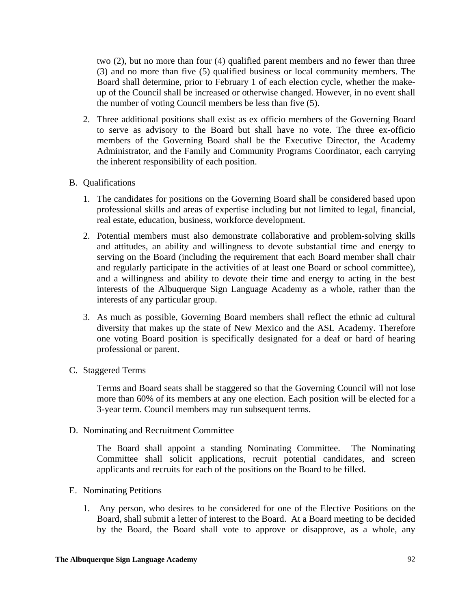two (2), but no more than four (4) qualified parent members and no fewer than three (3) and no more than five (5) qualified business or local community members. The Board shall determine, prior to February 1 of each election cycle, whether the makeup of the Council shall be increased or otherwise changed. However, in no event shall the number of voting Council members be less than five (5).

- 2. Three additional positions shall exist as ex officio members of the Governing Board to serve as advisory to the Board but shall have no vote. The three ex-officio members of the Governing Board shall be the Executive Director, the Academy Administrator, and the Family and Community Programs Coordinator, each carrying the inherent responsibility of each position.
- B. Qualifications
	- 1. The candidates for positions on the Governing Board shall be considered based upon professional skills and areas of expertise including but not limited to legal, financial, real estate, education, business, workforce development.
	- 2. Potential members must also demonstrate collaborative and problem-solving skills and attitudes, an ability and willingness to devote substantial time and energy to serving on the Board (including the requirement that each Board member shall chair and regularly participate in the activities of at least one Board or school committee), and a willingness and ability to devote their time and energy to acting in the best interests of the Albuquerque Sign Language Academy as a whole, rather than the interests of any particular group.
	- 3. As much as possible, Governing Board members shall reflect the ethnic ad cultural diversity that makes up the state of New Mexico and the ASL Academy. Therefore one voting Board position is specifically designated for a deaf or hard of hearing professional or parent.
- C. Staggered Terms

Terms and Board seats shall be staggered so that the Governing Council will not lose more than 60% of its members at any one election. Each position will be elected for a 3-year term. Council members may run subsequent terms.

D. Nominating and Recruitment Committee

The Board shall appoint a standing Nominating Committee. The Nominating Committee shall solicit applications, recruit potential candidates, and screen applicants and recruits for each of the positions on the Board to be filled.

- E. Nominating Petitions
	- 1. Any person, who desires to be considered for one of the Elective Positions on the Board, shall submit a letter of interest to the Board. At a Board meeting to be decided by the Board, the Board shall vote to approve or disapprove, as a whole, any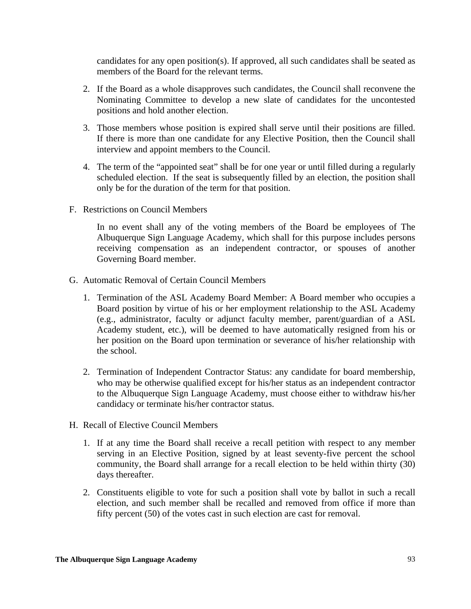candidates for any open position(s). If approved, all such candidates shall be seated as members of the Board for the relevant terms.

- 2. If the Board as a whole disapproves such candidates, the Council shall reconvene the Nominating Committee to develop a new slate of candidates for the uncontested positions and hold another election.
- 3. Those members whose position is expired shall serve until their positions are filled. If there is more than one candidate for any Elective Position, then the Council shall interview and appoint members to the Council.
- 4. The term of the "appointed seat" shall be for one year or until filled during a regularly scheduled election. If the seat is subsequently filled by an election, the position shall only be for the duration of the term for that position.
- F. Restrictions on Council Members

In no event shall any of the voting members of the Board be employees of The Albuquerque Sign Language Academy, which shall for this purpose includes persons receiving compensation as an independent contractor, or spouses of another Governing Board member.

- G. Automatic Removal of Certain Council Members
	- 1. Termination of the ASL Academy Board Member: A Board member who occupies a Board position by virtue of his or her employment relationship to the ASL Academy (e.g., administrator, faculty or adjunct faculty member, parent/guardian of a ASL Academy student, etc.), will be deemed to have automatically resigned from his or her position on the Board upon termination or severance of his/her relationship with the school.
	- 2. Termination of Independent Contractor Status: any candidate for board membership, who may be otherwise qualified except for his/her status as an independent contractor to the Albuquerque Sign Language Academy, must choose either to withdraw his/her candidacy or terminate his/her contractor status.
- H. Recall of Elective Council Members
	- 1. If at any time the Board shall receive a recall petition with respect to any member serving in an Elective Position, signed by at least seventy-five percent the school community, the Board shall arrange for a recall election to be held within thirty (30) days thereafter.
	- 2. Constituents eligible to vote for such a position shall vote by ballot in such a recall election, and such member shall be recalled and removed from office if more than fifty percent (50) of the votes cast in such election are cast for removal.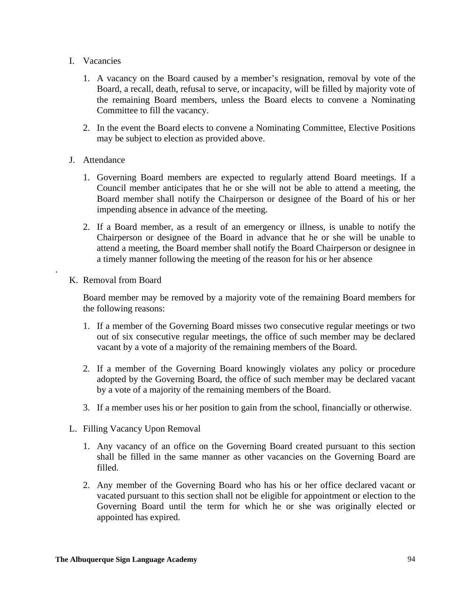- I. Vacancies
	- 1. A vacancy on the Board caused by a member's resignation, removal by vote of the Board, a recall, death, refusal to serve, or incapacity, will be filled by majority vote of the remaining Board members, unless the Board elects to convene a Nominating Committee to fill the vacancy.
	- 2. In the event the Board elects to convene a Nominating Committee, Elective Positions may be subject to election as provided above.
- J. Attendance
	- 1. Governing Board members are expected to regularly attend Board meetings. If a Council member anticipates that he or she will not be able to attend a meeting, the Board member shall notify the Chairperson or designee of the Board of his or her impending absence in advance of the meeting.
	- 2. If a Board member, as a result of an emergency or illness, is unable to notify the Chairperson or designee of the Board in advance that he or she will be unable to attend a meeting, the Board member shall notify the Board Chairperson or designee in a timely manner following the meeting of the reason for his or her absence
- K. Removal from Board

.

Board member may be removed by a majority vote of the remaining Board members for the following reasons:

- 1. If a member of the Governing Board misses two consecutive regular meetings or two out of six consecutive regular meetings, the office of such member may be declared vacant by a vote of a majority of the remaining members of the Board.
- 2. If a member of the Governing Board knowingly violates any policy or procedure adopted by the Governing Board, the office of such member may be declared vacant by a vote of a majority of the remaining members of the Board.
- 3. If a member uses his or her position to gain from the school, financially or otherwise.
- L. Filling Vacancy Upon Removal
	- 1. Any vacancy of an office on the Governing Board created pursuant to this section shall be filled in the same manner as other vacancies on the Governing Board are filled.
	- 2. Any member of the Governing Board who has his or her office declared vacant or vacated pursuant to this section shall not be eligible for appointment or election to the Governing Board until the term for which he or she was originally elected or appointed has expired.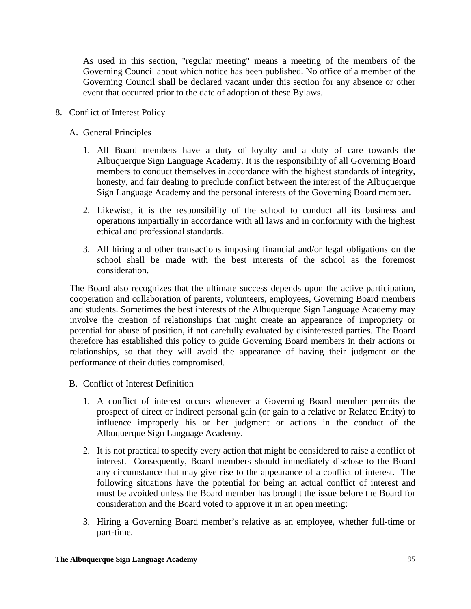As used in this section, "regular meeting" means a meeting of the members of the Governing Council about which notice has been published. No office of a member of the Governing Council shall be declared vacant under this section for any absence or other event that occurred prior to the date of adoption of these Bylaws.

# 8. Conflict of Interest Policy

# A. General Principles

- 1. All Board members have a duty of loyalty and a duty of care towards the Albuquerque Sign Language Academy. It is the responsibility of all Governing Board members to conduct themselves in accordance with the highest standards of integrity, honesty, and fair dealing to preclude conflict between the interest of the Albuquerque Sign Language Academy and the personal interests of the Governing Board member.
- 2. Likewise, it is the responsibility of the school to conduct all its business and operations impartially in accordance with all laws and in conformity with the highest ethical and professional standards.
- 3. All hiring and other transactions imposing financial and/or legal obligations on the school shall be made with the best interests of the school as the foremost consideration.

The Board also recognizes that the ultimate success depends upon the active participation, cooperation and collaboration of parents, volunteers, employees, Governing Board members and students. Sometimes the best interests of the Albuquerque Sign Language Academy may involve the creation of relationships that might create an appearance of impropriety or potential for abuse of position, if not carefully evaluated by disinterested parties. The Board therefore has established this policy to guide Governing Board members in their actions or relationships, so that they will avoid the appearance of having their judgment or the performance of their duties compromised.

- B. Conflict of Interest Definition
	- 1. A conflict of interest occurs whenever a Governing Board member permits the prospect of direct or indirect personal gain (or gain to a relative or Related Entity) to influence improperly his or her judgment or actions in the conduct of the Albuquerque Sign Language Academy.
	- 2. It is not practical to specify every action that might be considered to raise a conflict of interest. Consequently, Board members should immediately disclose to the Board any circumstance that may give rise to the appearance of a conflict of interest. The following situations have the potential for being an actual conflict of interest and must be avoided unless the Board member has brought the issue before the Board for consideration and the Board voted to approve it in an open meeting:
	- 3. Hiring a Governing Board member's relative as an employee, whether full-time or part-time.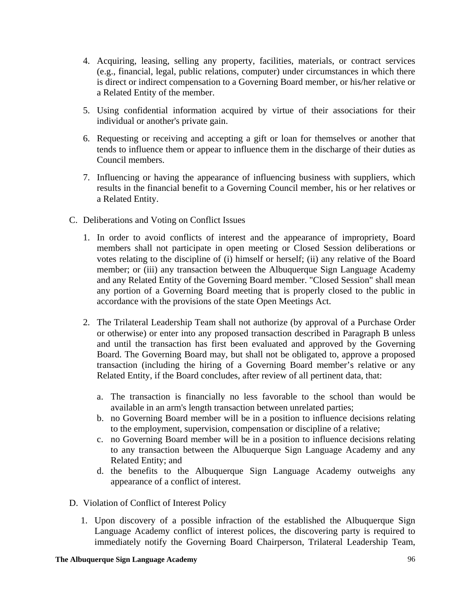- 4. Acquiring, leasing, selling any property, facilities, materials, or contract services (e.g., financial, legal, public relations, computer) under circumstances in which there is direct or indirect compensation to a Governing Board member, or his/her relative or a Related Entity of the member.
- 5. Using confidential information acquired by virtue of their associations for their individual or another's private gain.
- 6. Requesting or receiving and accepting a gift or loan for themselves or another that tends to influence them or appear to influence them in the discharge of their duties as Council members.
- 7. Influencing or having the appearance of influencing business with suppliers, which results in the financial benefit to a Governing Council member, his or her relatives or a Related Entity.
- C. Deliberations and Voting on Conflict Issues
	- 1. In order to avoid conflicts of interest and the appearance of impropriety, Board members shall not participate in open meeting or Closed Session deliberations or votes relating to the discipline of (i) himself or herself; (ii) any relative of the Board member; or (iii) any transaction between the Albuquerque Sign Language Academy and any Related Entity of the Governing Board member. "Closed Session" shall mean any portion of a Governing Board meeting that is properly closed to the public in accordance with the provisions of the state Open Meetings Act.
	- 2. The Trilateral Leadership Team shall not authorize (by approval of a Purchase Order or otherwise) or enter into any proposed transaction described in Paragraph B unless and until the transaction has first been evaluated and approved by the Governing Board. The Governing Board may, but shall not be obligated to, approve a proposed transaction (including the hiring of a Governing Board member's relative or any Related Entity, if the Board concludes, after review of all pertinent data, that:
		- a. The transaction is financially no less favorable to the school than would be available in an arm's length transaction between unrelated parties;
		- b. no Governing Board member will be in a position to influence decisions relating to the employment, supervision, compensation or discipline of a relative;
		- c. no Governing Board member will be in a position to influence decisions relating to any transaction between the Albuquerque Sign Language Academy and any Related Entity; and
		- d. the benefits to the Albuquerque Sign Language Academy outweighs any appearance of a conflict of interest.
- D. Violation of Conflict of Interest Policy
	- 1. Upon discovery of a possible infraction of the established the Albuquerque Sign Language Academy conflict of interest polices, the discovering party is required to immediately notify the Governing Board Chairperson, Trilateral Leadership Team,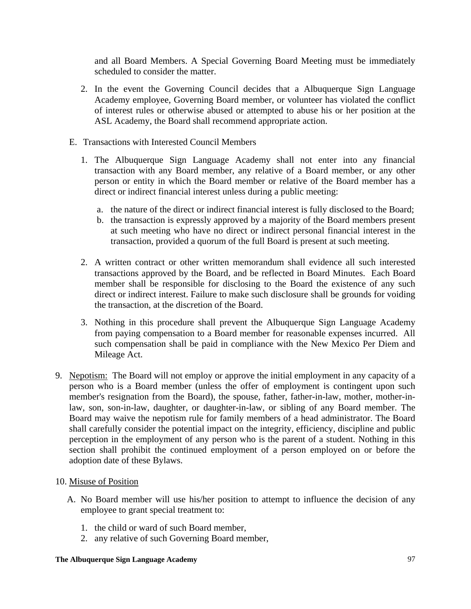and all Board Members. A Special Governing Board Meeting must be immediately scheduled to consider the matter.

- 2. In the event the Governing Council decides that a Albuquerque Sign Language Academy employee, Governing Board member, or volunteer has violated the conflict of interest rules or otherwise abused or attempted to abuse his or her position at the ASL Academy, the Board shall recommend appropriate action.
- E. Transactions with Interested Council Members
	- 1. The Albuquerque Sign Language Academy shall not enter into any financial transaction with any Board member, any relative of a Board member, or any other person or entity in which the Board member or relative of the Board member has a direct or indirect financial interest unless during a public meeting:
		- a. the nature of the direct or indirect financial interest is fully disclosed to the Board;
		- b. the transaction is expressly approved by a majority of the Board members present at such meeting who have no direct or indirect personal financial interest in the transaction, provided a quorum of the full Board is present at such meeting.
	- 2. A written contract or other written memorandum shall evidence all such interested transactions approved by the Board, and be reflected in Board Minutes. Each Board member shall be responsible for disclosing to the Board the existence of any such direct or indirect interest. Failure to make such disclosure shall be grounds for voiding the transaction, at the discretion of the Board.
	- 3. Nothing in this procedure shall prevent the Albuquerque Sign Language Academy from paying compensation to a Board member for reasonable expenses incurred. All such compensation shall be paid in compliance with the New Mexico Per Diem and Mileage Act.
- 9. Nepotism: The Board will not employ or approve the initial employment in any capacity of a person who is a Board member (unless the offer of employment is contingent upon such member's resignation from the Board), the spouse, father, father-in-law, mother, mother-inlaw, son, son-in-law, daughter, or daughter-in-law, or sibling of any Board member. The Board may waive the nepotism rule for family members of a head administrator. The Board shall carefully consider the potential impact on the integrity, efficiency, discipline and public perception in the employment of any person who is the parent of a student. Nothing in this section shall prohibit the continued employment of a person employed on or before the adoption date of these Bylaws.

### 10. Misuse of Position

- A. No Board member will use his/her position to attempt to influence the decision of any employee to grant special treatment to:
	- 1. the child or ward of such Board member,
	- 2. any relative of such Governing Board member,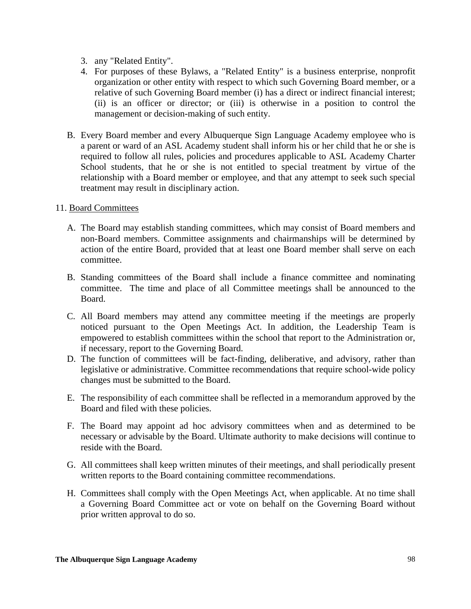- 3. any "Related Entity".
- 4. For purposes of these Bylaws, a "Related Entity" is a business enterprise, nonprofit organization or other entity with respect to which such Governing Board member, or a relative of such Governing Board member (i) has a direct or indirect financial interest; (ii) is an officer or director; or (iii) is otherwise in a position to control the management or decision-making of such entity.
- B. Every Board member and every Albuquerque Sign Language Academy employee who is a parent or ward of an ASL Academy student shall inform his or her child that he or she is required to follow all rules, policies and procedures applicable to ASL Academy Charter School students, that he or she is not entitled to special treatment by virtue of the relationship with a Board member or employee, and that any attempt to seek such special treatment may result in disciplinary action.

### 11. Board Committees

- A. The Board may establish standing committees, which may consist of Board members and non-Board members. Committee assignments and chairmanships will be determined by action of the entire Board, provided that at least one Board member shall serve on each committee.
- B. Standing committees of the Board shall include a finance committee and nominating committee. The time and place of all Committee meetings shall be announced to the Board.
- C. All Board members may attend any committee meeting if the meetings are properly noticed pursuant to the Open Meetings Act. In addition, the Leadership Team is empowered to establish committees within the school that report to the Administration or, if necessary, report to the Governing Board.
- D. The function of committees will be fact-finding, deliberative, and advisory, rather than legislative or administrative. Committee recommendations that require school-wide policy changes must be submitted to the Board.
- E. The responsibility of each committee shall be reflected in a memorandum approved by the Board and filed with these policies.
- F. The Board may appoint ad hoc advisory committees when and as determined to be necessary or advisable by the Board. Ultimate authority to make decisions will continue to reside with the Board.
- G. All committees shall keep written minutes of their meetings, and shall periodically present written reports to the Board containing committee recommendations.
- H. Committees shall comply with the Open Meetings Act, when applicable. At no time shall a Governing Board Committee act or vote on behalf on the Governing Board without prior written approval to do so.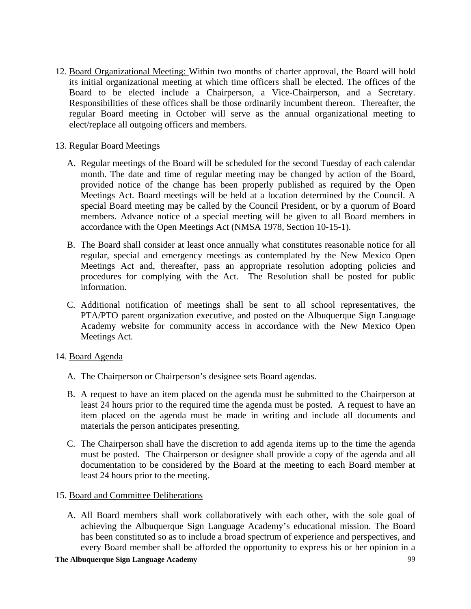12. Board Organizational Meeting: Within two months of charter approval, the Board will hold its initial organizational meeting at which time officers shall be elected. The offices of the Board to be elected include a Chairperson, a Vice-Chairperson, and a Secretary. Responsibilities of these offices shall be those ordinarily incumbent thereon. Thereafter, the regular Board meeting in October will serve as the annual organizational meeting to elect/replace all outgoing officers and members.

# 13. Regular Board Meetings

- A. Regular meetings of the Board will be scheduled for the second Tuesday of each calendar month. The date and time of regular meeting may be changed by action of the Board, provided notice of the change has been properly published as required by the Open Meetings Act. Board meetings will be held at a location determined by the Council. A special Board meeting may be called by the Council President, or by a quorum of Board members. Advance notice of a special meeting will be given to all Board members in accordance with the Open Meetings Act (NMSA 1978, Section 10-15-1).
- B. The Board shall consider at least once annually what constitutes reasonable notice for all regular, special and emergency meetings as contemplated by the New Mexico Open Meetings Act and, thereafter, pass an appropriate resolution adopting policies and procedures for complying with the Act. The Resolution shall be posted for public information.
- C. Additional notification of meetings shall be sent to all school representatives, the PTA/PTO parent organization executive, and posted on the Albuquerque Sign Language Academy website for community access in accordance with the New Mexico Open Meetings Act.

### 14. Board Agenda

- A. The Chairperson or Chairperson's designee sets Board agendas.
- B. A request to have an item placed on the agenda must be submitted to the Chairperson at least 24 hours prior to the required time the agenda must be posted. A request to have an item placed on the agenda must be made in writing and include all documents and materials the person anticipates presenting.
- C. The Chairperson shall have the discretion to add agenda items up to the time the agenda must be posted. The Chairperson or designee shall provide a copy of the agenda and all documentation to be considered by the Board at the meeting to each Board member at least 24 hours prior to the meeting.

### 15. Board and Committee Deliberations

A. All Board members shall work collaboratively with each other, with the sole goal of achieving the Albuquerque Sign Language Academy's educational mission. The Board has been constituted so as to include a broad spectrum of experience and perspectives, and every Board member shall be afforded the opportunity to express his or her opinion in a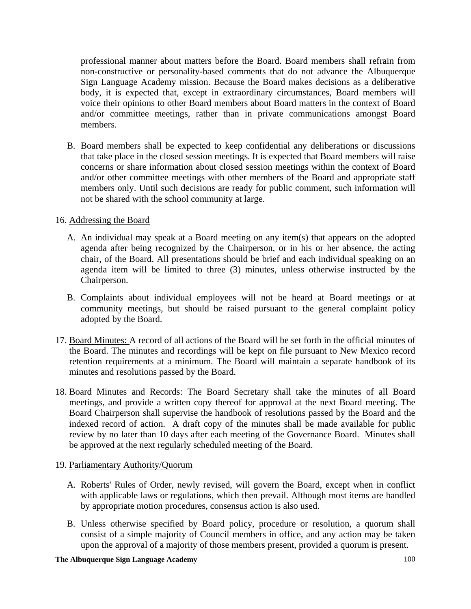professional manner about matters before the Board. Board members shall refrain from non-constructive or personality-based comments that do not advance the Albuquerque Sign Language Academy mission. Because the Board makes decisions as a deliberative body, it is expected that, except in extraordinary circumstances, Board members will voice their opinions to other Board members about Board matters in the context of Board and/or committee meetings, rather than in private communications amongst Board members.

B. Board members shall be expected to keep confidential any deliberations or discussions that take place in the closed session meetings. It is expected that Board members will raise concerns or share information about closed session meetings within the context of Board and/or other committee meetings with other members of the Board and appropriate staff members only. Until such decisions are ready for public comment, such information will not be shared with the school community at large.

## 16. Addressing the Board

- A. An individual may speak at a Board meeting on any item(s) that appears on the adopted agenda after being recognized by the Chairperson, or in his or her absence, the acting chair, of the Board. All presentations should be brief and each individual speaking on an agenda item will be limited to three (3) minutes, unless otherwise instructed by the Chairperson.
- B. Complaints about individual employees will not be heard at Board meetings or at community meetings, but should be raised pursuant to the general complaint policy adopted by the Board.
- 17. Board Minutes: A record of all actions of the Board will be set forth in the official minutes of the Board. The minutes and recordings will be kept on file pursuant to New Mexico record retention requirements at a minimum. The Board will maintain a separate handbook of its minutes and resolutions passed by the Board.
- 18. Board Minutes and Records: The Board Secretary shall take the minutes of all Board meetings, and provide a written copy thereof for approval at the next Board meeting. The Board Chairperson shall supervise the handbook of resolutions passed by the Board and the indexed record of action. A draft copy of the minutes shall be made available for public review by no later than 10 days after each meeting of the Governance Board. Minutes shall be approved at the next regularly scheduled meeting of the Board.

### 19. Parliamentary Authority/Quorum

- A. Roberts' Rules of Order, newly revised, will govern the Board, except when in conflict with applicable laws or regulations, which then prevail. Although most items are handled by appropriate motion procedures, consensus action is also used.
- B. Unless otherwise specified by Board policy, procedure or resolution, a quorum shall consist of a simple majority of Council members in office, and any action may be taken upon the approval of a majority of those members present, provided a quorum is present.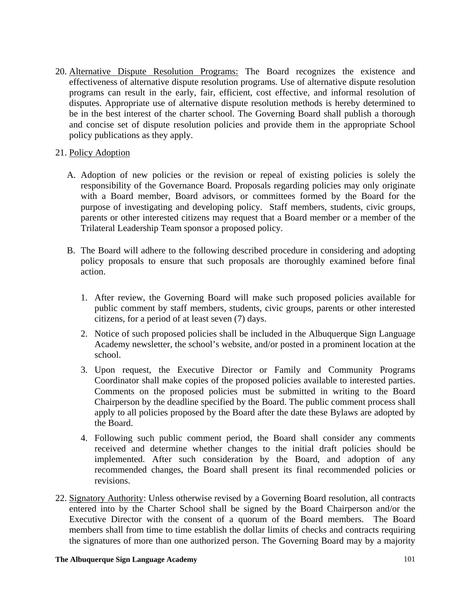20. Alternative Dispute Resolution Programs: The Board recognizes the existence and effectiveness of alternative dispute resolution programs. Use of alternative dispute resolution programs can result in the early, fair, efficient, cost effective, and informal resolution of disputes. Appropriate use of alternative dispute resolution methods is hereby determined to be in the best interest of the charter school. The Governing Board shall publish a thorough and concise set of dispute resolution policies and provide them in the appropriate School policy publications as they apply.

## 21. Policy Adoption

- A. Adoption of new policies or the revision or repeal of existing policies is solely the responsibility of the Governance Board. Proposals regarding policies may only originate with a Board member, Board advisors, or committees formed by the Board for the purpose of investigating and developing policy. Staff members, students, civic groups, parents or other interested citizens may request that a Board member or a member of the Trilateral Leadership Team sponsor a proposed policy.
- B. The Board will adhere to the following described procedure in considering and adopting policy proposals to ensure that such proposals are thoroughly examined before final action.
	- 1. After review, the Governing Board will make such proposed policies available for public comment by staff members, students, civic groups, parents or other interested citizens, for a period of at least seven (7) days.
	- 2. Notice of such proposed policies shall be included in the Albuquerque Sign Language Academy newsletter, the school's website, and/or posted in a prominent location at the school.
	- 3. Upon request, the Executive Director or Family and Community Programs Coordinator shall make copies of the proposed policies available to interested parties. Comments on the proposed policies must be submitted in writing to the Board Chairperson by the deadline specified by the Board. The public comment process shall apply to all policies proposed by the Board after the date these Bylaws are adopted by the Board.
	- 4. Following such public comment period, the Board shall consider any comments received and determine whether changes to the initial draft policies should be implemented. After such consideration by the Board, and adoption of any recommended changes, the Board shall present its final recommended policies or revisions.
- 22. Signatory Authority: Unless otherwise revised by a Governing Board resolution, all contracts entered into by the Charter School shall be signed by the Board Chairperson and/or the Executive Director with the consent of a quorum of the Board members. The Board members shall from time to time establish the dollar limits of checks and contracts requiring the signatures of more than one authorized person. The Governing Board may by a majority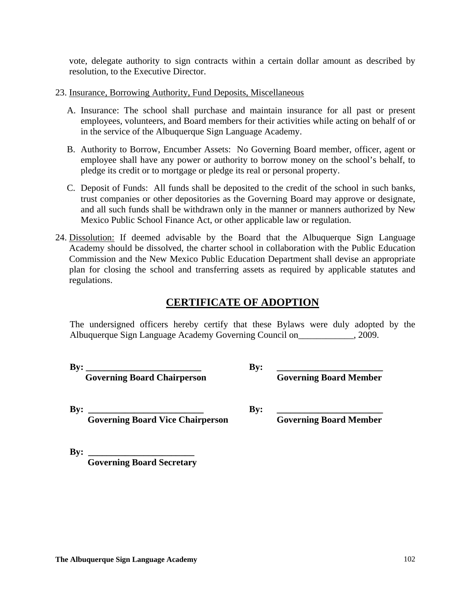vote, delegate authority to sign contracts within a certain dollar amount as described by resolution, to the Executive Director.

- 23. Insurance, Borrowing Authority, Fund Deposits, Miscellaneous
	- A. Insurance: The school shall purchase and maintain insurance for all past or present employees, volunteers, and Board members for their activities while acting on behalf of or in the service of the Albuquerque Sign Language Academy.
	- B. Authority to Borrow, Encumber Assets: No Governing Board member, officer, agent or employee shall have any power or authority to borrow money on the school's behalf, to pledge its credit or to mortgage or pledge its real or personal property.
	- C. Deposit of Funds: All funds shall be deposited to the credit of the school in such banks, trust companies or other depositories as the Governing Board may approve or designate, and all such funds shall be withdrawn only in the manner or manners authorized by New Mexico Public School Finance Act, or other applicable law or regulation.
- 24. Dissolution: If deemed advisable by the Board that the Albuquerque Sign Language Academy should be dissolved, the charter school in collaboration with the Public Education Commission and the New Mexico Public Education Department shall devise an appropriate plan for closing the school and transferring assets as required by applicable statutes and regulations.

# **CERTIFICATE OF ADOPTION**

The undersigned officers hereby certify that these Bylaws were duly adopted by the Albuquerque Sign Language Academy Governing Council on  $\qquad \qquad .2009$ .

By:  $\frac{1}{\text{Governing Board} \cdot \text{Bond}}$  By:  $\frac{1}{\text{Governing} \cdot \text{Bond} \cdot \text{Member}}$ **Governing Board Chairperson** 

**By: \_\_\_\_\_\_\_\_\_\_\_\_\_\_\_\_\_\_\_\_\_\_\_\_\_ By: \_\_\_\_\_\_\_\_\_\_\_\_\_\_\_\_\_\_\_\_\_\_\_ Coverning Board Vice Chairperson Governing Board Member** 

**By: \_\_\_\_\_\_\_\_\_\_\_\_\_\_\_\_\_\_\_\_\_\_\_ Governing Board Secretary**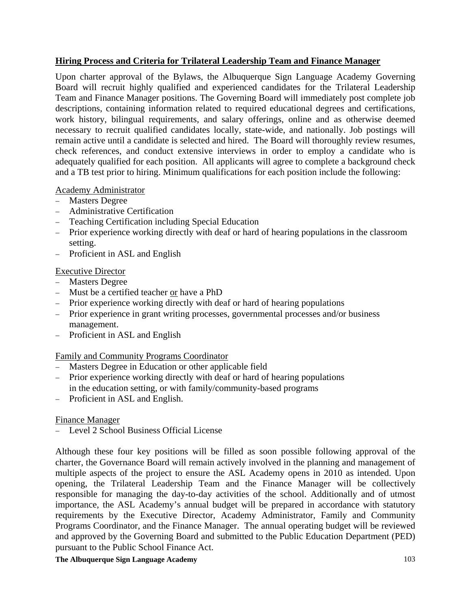# **Hiring Process and Criteria for Trilateral Leadership Team and Finance Manager**

Upon charter approval of the Bylaws, the Albuquerque Sign Language Academy Governing Board will recruit highly qualified and experienced candidates for the Trilateral Leadership Team and Finance Manager positions. The Governing Board will immediately post complete job descriptions, containing information related to required educational degrees and certifications, work history, bilingual requirements, and salary offerings, online and as otherwise deemed necessary to recruit qualified candidates locally, state-wide, and nationally. Job postings will remain active until a candidate is selected and hired. The Board will thoroughly review resumes, check references, and conduct extensive interviews in order to employ a candidate who is adequately qualified for each position. All applicants will agree to complete a background check and a TB test prior to hiring. Minimum qualifications for each position include the following:

## Academy Administrator

- − Masters Degree
- − Administrative Certification
- − Teaching Certification including Special Education
- − Prior experience working directly with deaf or hard of hearing populations in the classroom setting.
- − Proficient in ASL and English

# Executive Director

- − Masters Degree
- − Must be a certified teacher or have a PhD
- − Prior experience working directly with deaf or hard of hearing populations
- − Prior experience in grant writing processes, governmental processes and/or business management.
- − Proficient in ASL and English

# Family and Community Programs Coordinator

- − Masters Degree in Education or other applicable field
- − Prior experience working directly with deaf or hard of hearing populations in the education setting, or with family/community-based programs
- − Proficient in ASL and English.

# Finance Manager

− Level 2 School Business Official License

Although these four key positions will be filled as soon possible following approval of the charter, the Governance Board will remain actively involved in the planning and management of multiple aspects of the project to ensure the ASL Academy opens in 2010 as intended. Upon opening, the Trilateral Leadership Team and the Finance Manager will be collectively responsible for managing the day-to-day activities of the school. Additionally and of utmost importance, the ASL Academy's annual budget will be prepared in accordance with statutory requirements by the Executive Director, Academy Administrator, Family and Community Programs Coordinator, and the Finance Manager. The annual operating budget will be reviewed and approved by the Governing Board and submitted to the Public Education Department (PED) pursuant to the Public School Finance Act.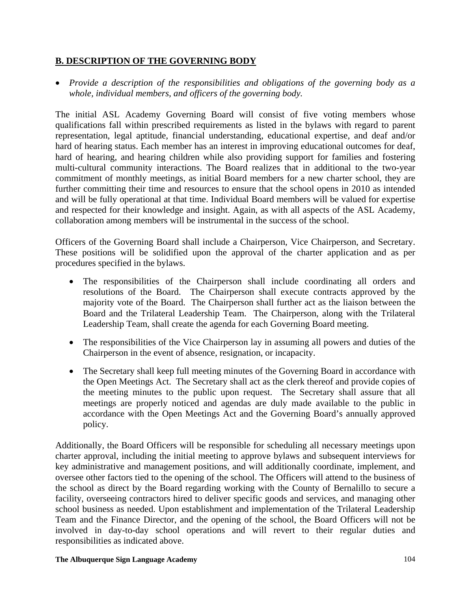# **B. DESCRIPTION OF THE GOVERNING BODY**

• *Provide a description of the responsibilities and obligations of the governing body as a whole, individual members, and officers of the governing body.* 

The initial ASL Academy Governing Board will consist of five voting members whose qualifications fall within prescribed requirements as listed in the bylaws with regard to parent representation, legal aptitude, financial understanding, educational expertise, and deaf and/or hard of hearing status. Each member has an interest in improving educational outcomes for deaf, hard of hearing, and hearing children while also providing support for families and fostering multi-cultural community interactions. The Board realizes that in additional to the two-year commitment of monthly meetings, as initial Board members for a new charter school, they are further committing their time and resources to ensure that the school opens in 2010 as intended and will be fully operational at that time. Individual Board members will be valued for expertise and respected for their knowledge and insight. Again, as with all aspects of the ASL Academy, collaboration among members will be instrumental in the success of the school.

Officers of the Governing Board shall include a Chairperson, Vice Chairperson, and Secretary. These positions will be solidified upon the approval of the charter application and as per procedures specified in the bylaws.

- The responsibilities of the Chairperson shall include coordinating all orders and resolutions of the Board. The Chairperson shall execute contracts approved by the majority vote of the Board. The Chairperson shall further act as the liaison between the Board and the Trilateral Leadership Team. The Chairperson, along with the Trilateral Leadership Team, shall create the agenda for each Governing Board meeting.
- The responsibilities of the Vice Chairperson lay in assuming all powers and duties of the Chairperson in the event of absence, resignation, or incapacity.
- The Secretary shall keep full meeting minutes of the Governing Board in accordance with the Open Meetings Act. The Secretary shall act as the clerk thereof and provide copies of the meeting minutes to the public upon request. The Secretary shall assure that all meetings are properly noticed and agendas are duly made available to the public in accordance with the Open Meetings Act and the Governing Board's annually approved policy.

Additionally, the Board Officers will be responsible for scheduling all necessary meetings upon charter approval, including the initial meeting to approve bylaws and subsequent interviews for key administrative and management positions, and will additionally coordinate, implement, and oversee other factors tied to the opening of the school. The Officers will attend to the business of the school as direct by the Board regarding working with the County of Bernalillo to secure a facility, overseeing contractors hired to deliver specific goods and services, and managing other school business as needed. Upon establishment and implementation of the Trilateral Leadership Team and the Finance Director, and the opening of the school, the Board Officers will not be involved in day-to-day school operations and will revert to their regular duties and responsibilities as indicated above.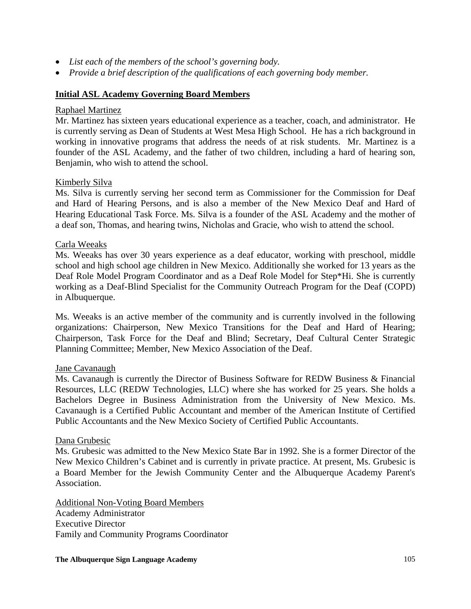- *List each of the members of the school's governing body.*
- *Provide a brief description of the qualifications of each governing body member.*

### **Initial ASL Academy Governing Board Members**

### Raphael Martinez

Mr. Martinez has sixteen years educational experience as a teacher, coach, and administrator. He is currently serving as Dean of Students at West Mesa High School. He has a rich background in working in innovative programs that address the needs of at risk students. Mr. Martinez is a founder of the ASL Academy, and the father of two children, including a hard of hearing son, Benjamin, who wish to attend the school.

### Kimberly Silva

Ms. Silva is currently serving her second term as Commissioner for the Commission for Deaf and Hard of Hearing Persons, and is also a member of the New Mexico Deaf and Hard of Hearing Educational Task Force. Ms. Silva is a founder of the ASL Academy and the mother of a deaf son, Thomas, and hearing twins, Nicholas and Gracie, who wish to attend the school.

### Carla Weeaks

Ms. Weeaks has over 30 years experience as a deaf educator, working with preschool, middle school and high school age children in New Mexico. Additionally she worked for 13 years as the Deaf Role Model Program Coordinator and as a Deaf Role Model for Step\*Hi. She is currently working as a Deaf-Blind Specialist for the Community Outreach Program for the Deaf (COPD) in Albuquerque.

Ms. Weeaks is an active member of the community and is currently involved in the following organizations: Chairperson, New Mexico Transitions for the Deaf and Hard of Hearing; Chairperson, Task Force for the Deaf and Blind; Secretary, Deaf Cultural Center Strategic Planning Committee; Member, New Mexico Association of the Deaf.

### Jane Cavanaugh

Ms. Cavanaugh is currently the Director of Business Software for REDW Business & Financial Resources, LLC (REDW Technologies, LLC) where she has worked for 25 years. She holds a Bachelors Degree in Business Administration from the University of New Mexico. Ms. Cavanaugh is a Certified Public Accountant and member of the American Institute of Certified Public Accountants and the New Mexico Society of Certified Public Accountants.

#### Dana Grubesic

Ms. Grubesic was admitted to the New Mexico State Bar in 1992. She is a former Director of the New Mexico Children's Cabinet and is currently in private practice. At present, Ms. Grubesic is a Board Member for the Jewish Community Center and the Albuquerque Academy Parent's Association.

Additional Non-Voting Board Members Academy Administrator Executive Director Family and Community Programs Coordinator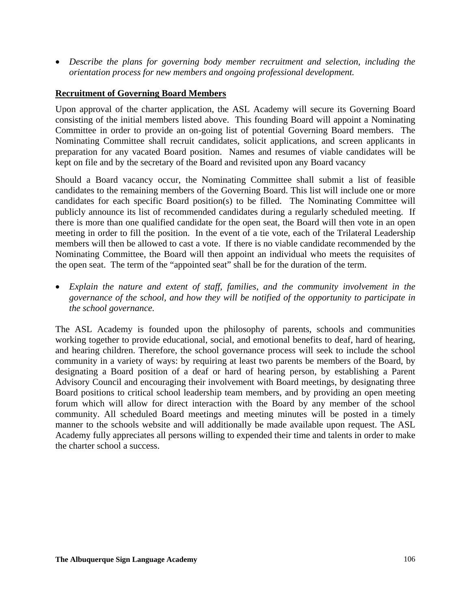• *Describe the plans for governing body member recruitment and selection, including the orientation process for new members and ongoing professional development.* 

## **Recruitment of Governing Board Members**

Upon approval of the charter application, the ASL Academy will secure its Governing Board consisting of the initial members listed above. This founding Board will appoint a Nominating Committee in order to provide an on-going list of potential Governing Board members. The Nominating Committee shall recruit candidates, solicit applications, and screen applicants in preparation for any vacated Board position. Names and resumes of viable candidates will be kept on file and by the secretary of the Board and revisited upon any Board vacancy

Should a Board vacancy occur, the Nominating Committee shall submit a list of feasible candidates to the remaining members of the Governing Board. This list will include one or more candidates for each specific Board position(s) to be filled. The Nominating Committee will publicly announce its list of recommended candidates during a regularly scheduled meeting. If there is more than one qualified candidate for the open seat, the Board will then vote in an open meeting in order to fill the position. In the event of a tie vote, each of the Trilateral Leadership members will then be allowed to cast a vote. If there is no viable candidate recommended by the Nominating Committee, the Board will then appoint an individual who meets the requisites of the open seat. The term of the "appointed seat" shall be for the duration of the term.

• *Explain the nature and extent of staff, families, and the community involvement in the governance of the school, and how they will be notified of the opportunity to participate in the school governance.* 

The ASL Academy is founded upon the philosophy of parents, schools and communities working together to provide educational, social, and emotional benefits to deaf, hard of hearing, and hearing children. Therefore, the school governance process will seek to include the school community in a variety of ways: by requiring at least two parents be members of the Board, by designating a Board position of a deaf or hard of hearing person, by establishing a Parent Advisory Council and encouraging their involvement with Board meetings, by designating three Board positions to critical school leadership team members, and by providing an open meeting forum which will allow for direct interaction with the Board by any member of the school community. All scheduled Board meetings and meeting minutes will be posted in a timely manner to the schools website and will additionally be made available upon request. The ASL Academy fully appreciates all persons willing to expended their time and talents in order to make the charter school a success.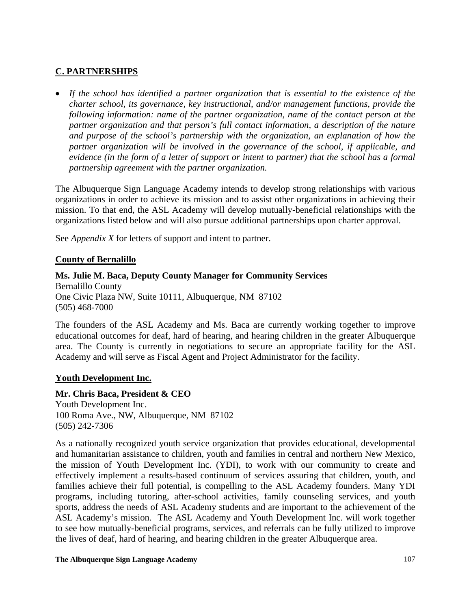# **C. PARTNERSHIPS**

• *If the school has identified a partner organization that is essential to the existence of the charter school, its governance, key instructional, and/or management functions, provide the following information: name of the partner organization, name of the contact person at the partner organization and that person's full contact information, a description of the nature and purpose of the school's partnership with the organization, an explanation of how the partner organization will be involved in the governance of the school, if applicable, and evidence (in the form of a letter of support or intent to partner) that the school has a formal partnership agreement with the partner organization.*

The Albuquerque Sign Language Academy intends to develop strong relationships with various organizations in order to achieve its mission and to assist other organizations in achieving their mission. To that end, the ASL Academy will develop mutually-beneficial relationships with the organizations listed below and will also pursue additional partnerships upon charter approval.

See *Appendix X* for letters of support and intent to partner.

## **County of Bernalillo**

# **Ms. Julie M. Baca, Deputy County Manager for Community Services**

Bernalillo County One Civic Plaza NW, Suite 10111, Albuquerque, NM 87102 (505) 468-7000

The founders of the ASL Academy and Ms. Baca are currently working together to improve educational outcomes for deaf, hard of hearing, and hearing children in the greater Albuquerque area. The County is currently in negotiations to secure an appropriate facility for the ASL Academy and will serve as Fiscal Agent and Project Administrator for the facility.

### **Youth Development Inc.**

**Mr. Chris Baca, President & CEO**  Youth Development Inc. 100 Roma Ave., NW, Albuquerque, NM 87102 (505) 242-7306

As a nationally recognized youth service organization that provides educational, developmental and humanitarian assistance to children, youth and families in central and northern New Mexico, the mission of Youth Development Inc. (YDI), to work with our community to create and effectively implement a results-based continuum of services assuring that children, youth, and families achieve their full potential, is compelling to the ASL Academy founders. Many YDI programs, including tutoring, after-school activities, family counseling services, and youth sports, address the needs of ASL Academy students and are important to the achievement of the ASL Academy's mission. The ASL Academy and Youth Development Inc. will work together to see how mutually-beneficial programs, services, and referrals can be fully utilized to improve the lives of deaf, hard of hearing, and hearing children in the greater Albuquerque area.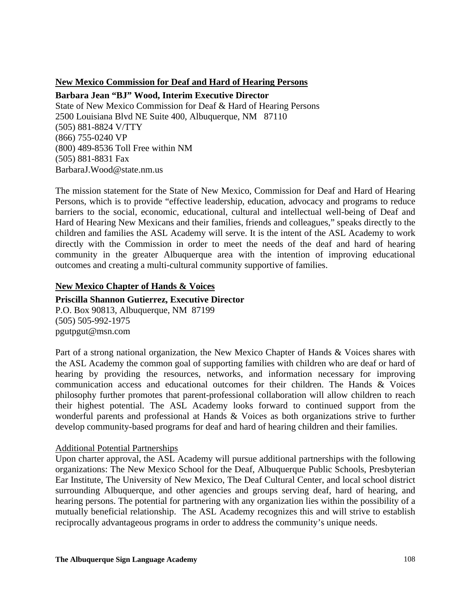### **New Mexico Commission for Deaf and Hard of Hearing Persons**

#### **Barbara Jean "BJ" Wood, Interim Executive Director**

State of New Mexico Commission for Deaf & Hard of Hearing Persons 2500 Louisiana Blvd NE Suite 400, Albuquerque, NM 87110 (505) 881-8824 V/TTY (866) 755-0240 VP (800) 489-8536 Toll Free within NM (505) 881-8831 Fax BarbaraJ.Wood@state.nm.us

The mission statement for the State of New Mexico, Commission for Deaf and Hard of Hearing Persons, which is to provide "effective leadership, education, advocacy and programs to reduce barriers to the social, economic, educational, cultural and intellectual well-being of Deaf and Hard of Hearing New Mexicans and their families, friends and colleagues," speaks directly to the children and families the ASL Academy will serve. It is the intent of the ASL Academy to work directly with the Commission in order to meet the needs of the deaf and hard of hearing community in the greater Albuquerque area with the intention of improving educational outcomes and creating a multi-cultural community supportive of families.

### **New Mexico Chapter of Hands & Voices**

### **Priscilla Shannon Gutierrez, Executive Director**

P.O. Box 90813, Albuquerque, NM 87199 (505) 505-992-1975 pgutpgut@msn.com

Part of a strong national organization, the New Mexico Chapter of Hands & Voices shares with the ASL Academy the common goal of supporting families with children who are deaf or hard of hearing by providing the resources, networks, and information necessary for improving communication access and educational outcomes for their children. The Hands & Voices philosophy further promotes that parent-professional collaboration will allow children to reach their highest potential. The ASL Academy looks forward to continued support from the wonderful parents and professional at Hands & Voices as both organizations strive to further develop community-based programs for deaf and hard of hearing children and their families.

### Additional Potential Partnerships

Upon charter approval, the ASL Academy will pursue additional partnerships with the following organizations: The New Mexico School for the Deaf, Albuquerque Public Schools, Presbyterian Ear Institute, The University of New Mexico, The Deaf Cultural Center, and local school district surrounding Albuquerque, and other agencies and groups serving deaf, hard of hearing, and hearing persons. The potential for partnering with any organization lies within the possibility of a mutually beneficial relationship. The ASL Academy recognizes this and will strive to establish reciprocally advantageous programs in order to address the community's unique needs.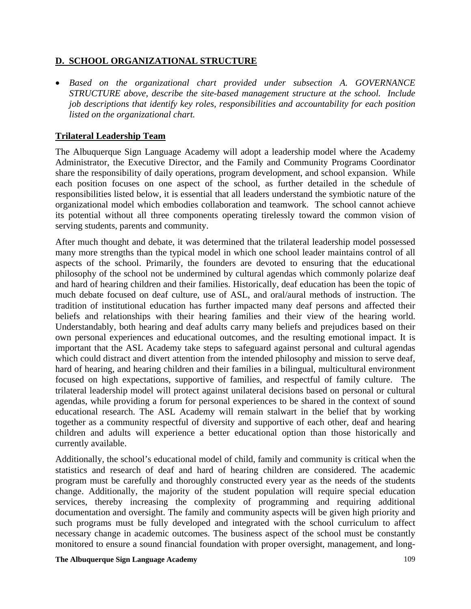### **D. SCHOOL ORGANIZATIONAL STRUCTURE**

• *Based on the organizational chart provided under subsection A. GOVERNANCE STRUCTURE above, describe the site-based management structure at the school. Include job descriptions that identify key roles, responsibilities and accountability for each position listed on the organizational chart.* 

### **Trilateral Leadership Team**

The Albuquerque Sign Language Academy will adopt a leadership model where the Academy Administrator, the Executive Director, and the Family and Community Programs Coordinator share the responsibility of daily operations, program development, and school expansion. While each position focuses on one aspect of the school, as further detailed in the schedule of responsibilities listed below, it is essential that all leaders understand the symbiotic nature of the organizational model which embodies collaboration and teamwork. The school cannot achieve its potential without all three components operating tirelessly toward the common vision of serving students, parents and community.

After much thought and debate, it was determined that the trilateral leadership model possessed many more strengths than the typical model in which one school leader maintains control of all aspects of the school. Primarily, the founders are devoted to ensuring that the educational philosophy of the school not be undermined by cultural agendas which commonly polarize deaf and hard of hearing children and their families. Historically, deaf education has been the topic of much debate focused on deaf culture, use of ASL, and oral/aural methods of instruction. The tradition of institutional education has further impacted many deaf persons and affected their beliefs and relationships with their hearing families and their view of the hearing world. Understandably, both hearing and deaf adults carry many beliefs and prejudices based on their own personal experiences and educational outcomes, and the resulting emotional impact. It is important that the ASL Academy take steps to safeguard against personal and cultural agendas which could distract and divert attention from the intended philosophy and mission to serve deaf, hard of hearing, and hearing children and their families in a bilingual, multicultural environment focused on high expectations, supportive of families, and respectful of family culture. The trilateral leadership model will protect against unilateral decisions based on personal or cultural agendas, while providing a forum for personal experiences to be shared in the context of sound educational research. The ASL Academy will remain stalwart in the belief that by working together as a community respectful of diversity and supportive of each other, deaf and hearing children and adults will experience a better educational option than those historically and currently available.

Additionally, the school's educational model of child, family and community is critical when the statistics and research of deaf and hard of hearing children are considered. The academic program must be carefully and thoroughly constructed every year as the needs of the students change. Additionally, the majority of the student population will require special education services, thereby increasing the complexity of programming and requiring additional documentation and oversight. The family and community aspects will be given high priority and such programs must be fully developed and integrated with the school curriculum to affect necessary change in academic outcomes. The business aspect of the school must be constantly monitored to ensure a sound financial foundation with proper oversight, management, and long-

#### **The Albuquerque Sign Language Academy**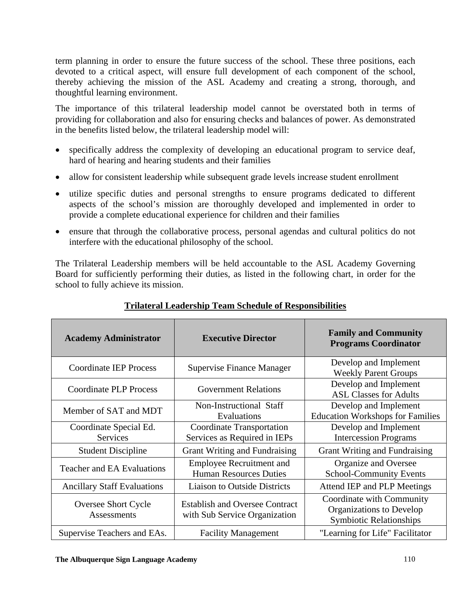term planning in order to ensure the future success of the school. These three positions, each devoted to a critical aspect, will ensure full development of each component of the school, thereby achieving the mission of the ASL Academy and creating a strong, thorough, and thoughtful learning environment.

The importance of this trilateral leadership model cannot be overstated both in terms of providing for collaboration and also for ensuring checks and balances of power. As demonstrated in the benefits listed below, the trilateral leadership model will:

- specifically address the complexity of developing an educational program to service deaf, hard of hearing and hearing students and their families
- allow for consistent leadership while subsequent grade levels increase student enrollment
- utilize specific duties and personal strengths to ensure programs dedicated to different aspects of the school's mission are thoroughly developed and implemented in order to provide a complete educational experience for children and their families
- ensure that through the collaborative process, personal agendas and cultural politics do not interfere with the educational philosophy of the school.

The Trilateral Leadership members will be held accountable to the ASL Academy Governing Board for sufficiently performing their duties, as listed in the following chart, in order for the school to fully achieve its mission.

| <b>Academy Administrator</b>              | <b>Executive Director</b>                                              | <b>Family and Community</b><br><b>Programs Coordinator</b>                              |  |
|-------------------------------------------|------------------------------------------------------------------------|-----------------------------------------------------------------------------------------|--|
| <b>Coordinate IEP Process</b>             | Supervise Finance Manager                                              | Develop and Implement<br><b>Weekly Parent Groups</b>                                    |  |
| <b>Coordinate PLP Process</b>             | <b>Government Relations</b>                                            | Develop and Implement<br><b>ASL Classes for Adults</b>                                  |  |
| Member of SAT and MDT                     | Non-Instructional Staff<br>Evaluations                                 | Develop and Implement<br><b>Education Workshops for Families</b>                        |  |
| Coordinate Special Ed.<br>Services        | <b>Coordinate Transportation</b><br>Services as Required in IEPs       | Develop and Implement<br><b>Intercession Programs</b>                                   |  |
| <b>Student Discipline</b>                 | Grant Writing and Fundraising                                          | Grant Writing and Fundraising                                                           |  |
| <b>Teacher and EA Evaluations</b>         | <b>Employee Recruitment and</b><br><b>Human Resources Duties</b>       | Organize and Oversee<br>School-Community Events                                         |  |
| <b>Ancillary Staff Evaluations</b>        | <b>Liaison to Outside Districts</b>                                    | Attend IEP and PLP Meetings                                                             |  |
| <b>Oversee Short Cycle</b><br>Assessments | <b>Establish and Oversee Contract</b><br>with Sub Service Organization | Coordinate with Community<br>Organizations to Develop<br><b>Symbiotic Relationships</b> |  |
| Supervise Teachers and EAs.               | <b>Facility Management</b>                                             | "Learning for Life" Facilitator                                                         |  |

# **Trilateral Leadership Team Schedule of Responsibilities**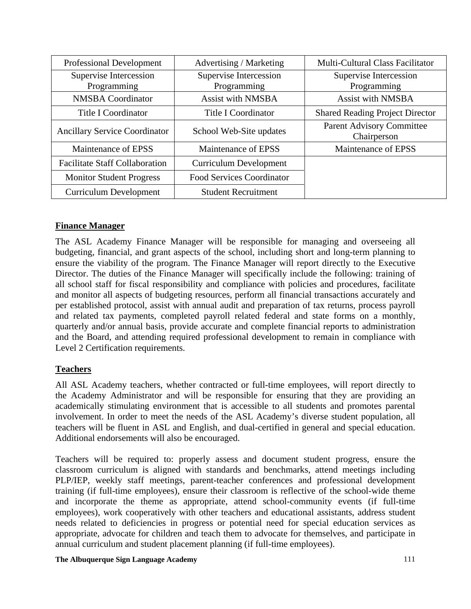| <b>Professional Development</b>       | Advertising / Marketing          | Multi-Cultural Class Facilitator                |
|---------------------------------------|----------------------------------|-------------------------------------------------|
| Supervise Intercession                | Supervise Intercession           | Supervise Intercession                          |
| Programming                           | Programming                      | Programming                                     |
| <b>NMSBA</b> Coordinator              | <b>Assist with NMSBA</b>         | <b>Assist with NMSBA</b>                        |
| Title I Coordinator                   | <b>Title I Coordinator</b>       | <b>Shared Reading Project Director</b>          |
| <b>Ancillary Service Coordinator</b>  | School Web-Site updates          | <b>Parent Advisory Committee</b><br>Chairperson |
| Maintenance of EPSS                   | Maintenance of EPSS              | Maintenance of EPSS                             |
| <b>Facilitate Staff Collaboration</b> | <b>Curriculum Development</b>    |                                                 |
| <b>Monitor Student Progress</b>       | <b>Food Services Coordinator</b> |                                                 |
| <b>Curriculum Development</b>         | <b>Student Recruitment</b>       |                                                 |

# **Finance Manager**

The ASL Academy Finance Manager will be responsible for managing and overseeing all budgeting, financial, and grant aspects of the school, including short and long-term planning to ensure the viability of the program. The Finance Manager will report directly to the Executive Director. The duties of the Finance Manager will specifically include the following: training of all school staff for fiscal responsibility and compliance with policies and procedures, facilitate and monitor all aspects of budgeting resources, perform all financial transactions accurately and per established protocol, assist with annual audit and preparation of tax returns, process payroll and related tax payments, completed payroll related federal and state forms on a monthly, quarterly and/or annual basis, provide accurate and complete financial reports to administration and the Board, and attending required professional development to remain in compliance with Level 2 Certification requirements.

# **Teachers**

All ASL Academy teachers, whether contracted or full-time employees, will report directly to the Academy Administrator and will be responsible for ensuring that they are providing an academically stimulating environment that is accessible to all students and promotes parental involvement. In order to meet the needs of the ASL Academy's diverse student population, all teachers will be fluent in ASL and English, and dual-certified in general and special education. Additional endorsements will also be encouraged.

Teachers will be required to: properly assess and document student progress, ensure the classroom curriculum is aligned with standards and benchmarks, attend meetings including PLP/IEP, weekly staff meetings, parent-teacher conferences and professional development training (if full-time employees), ensure their classroom is reflective of the school-wide theme and incorporate the theme as appropriate, attend school-community events (if full-time employees), work cooperatively with other teachers and educational assistants, address student needs related to deficiencies in progress or potential need for special education services as appropriate, advocate for children and teach them to advocate for themselves, and participate in annual curriculum and student placement planning (if full-time employees).

#### **The Albuquerque Sign Language Academy**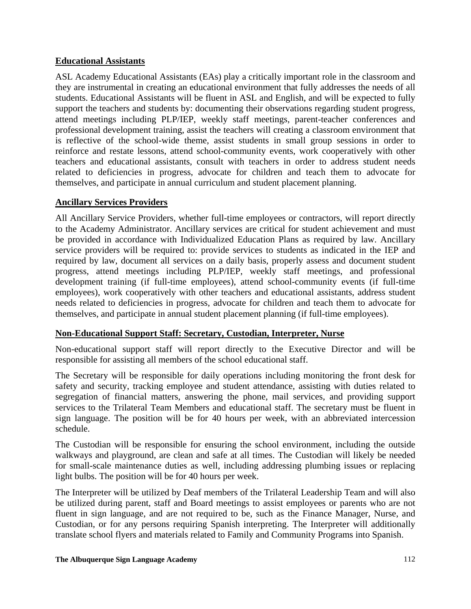### **Educational Assistants**

ASL Academy Educational Assistants (EAs) play a critically important role in the classroom and they are instrumental in creating an educational environment that fully addresses the needs of all students. Educational Assistants will be fluent in ASL and English, and will be expected to fully support the teachers and students by: documenting their observations regarding student progress, attend meetings including PLP/IEP, weekly staff meetings, parent-teacher conferences and professional development training, assist the teachers will creating a classroom environment that is reflective of the school-wide theme, assist students in small group sessions in order to reinforce and restate lessons, attend school-community events, work cooperatively with other teachers and educational assistants, consult with teachers in order to address student needs related to deficiencies in progress, advocate for children and teach them to advocate for themselves, and participate in annual curriculum and student placement planning.

### **Ancillary Services Providers**

All Ancillary Service Providers, whether full-time employees or contractors, will report directly to the Academy Administrator. Ancillary services are critical for student achievement and must be provided in accordance with Individualized Education Plans as required by law. Ancillary service providers will be required to: provide services to students as indicated in the IEP and required by law, document all services on a daily basis, properly assess and document student progress, attend meetings including PLP/IEP, weekly staff meetings, and professional development training (if full-time employees), attend school-community events (if full-time employees), work cooperatively with other teachers and educational assistants, address student needs related to deficiencies in progress, advocate for children and teach them to advocate for themselves, and participate in annual student placement planning (if full-time employees).

# **Non-Educational Support Staff: Secretary, Custodian, Interpreter, Nurse**

Non-educational support staff will report directly to the Executive Director and will be responsible for assisting all members of the school educational staff.

The Secretary will be responsible for daily operations including monitoring the front desk for safety and security, tracking employee and student attendance, assisting with duties related to segregation of financial matters, answering the phone, mail services, and providing support services to the Trilateral Team Members and educational staff. The secretary must be fluent in sign language. The position will be for 40 hours per week, with an abbreviated intercession schedule.

The Custodian will be responsible for ensuring the school environment, including the outside walkways and playground, are clean and safe at all times. The Custodian will likely be needed for small-scale maintenance duties as well, including addressing plumbing issues or replacing light bulbs. The position will be for 40 hours per week.

The Interpreter will be utilized by Deaf members of the Trilateral Leadership Team and will also be utilized during parent, staff and Board meetings to assist employees or parents who are not fluent in sign language, and are not required to be, such as the Finance Manager, Nurse, and Custodian, or for any persons requiring Spanish interpreting. The Interpreter will additionally translate school flyers and materials related to Family and Community Programs into Spanish.

#### **The Albuquerque Sign Language Academy**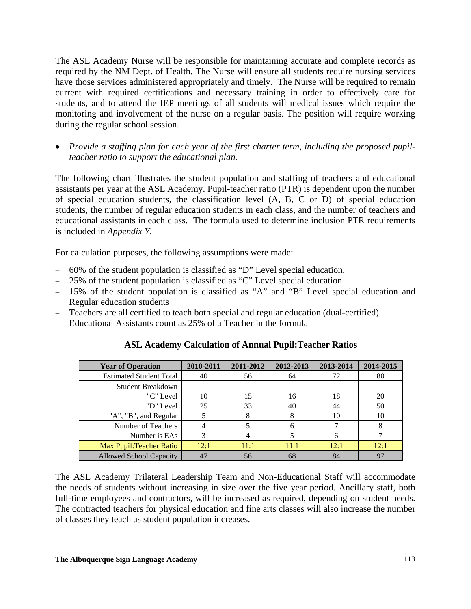The ASL Academy Nurse will be responsible for maintaining accurate and complete records as required by the NM Dept. of Health. The Nurse will ensure all students require nursing services have those services administered appropriately and timely. The Nurse will be required to remain current with required certifications and necessary training in order to effectively care for students, and to attend the IEP meetings of all students will medical issues which require the monitoring and involvement of the nurse on a regular basis. The position will require working during the regular school session.

• *Provide a staffing plan for each year of the first charter term, including the proposed pupilteacher ratio to support the educational plan.*

The following chart illustrates the student population and staffing of teachers and educational assistants per year at the ASL Academy. Pupil-teacher ratio (PTR) is dependent upon the number of special education students, the classification level (A, B, C or D) of special education students, the number of regular education students in each class, and the number of teachers and educational assistants in each class. The formula used to determine inclusion PTR requirements is included in *Appendix Y*.

For calculation purposes, the following assumptions were made:

- − 60% of the student population is classified as "D" Level special education,
- − 25% of the student population is classified as "C" Level special education
- − 15% of the student population is classified as "A" and "B" Level special education and Regular education students
- − Teachers are all certified to teach both special and regular education (dual-certified)
- − Educational Assistants count as 25% of a Teacher in the formula

| <b>Year of Operation</b>        | 2010-2011 | 2011-2012 | 2012-2013 | 2013-2014 | 2014-2015 |
|---------------------------------|-----------|-----------|-----------|-----------|-----------|
| <b>Estimated Student Total</b>  | 40        | 56        | 64        | 72        | 80        |
| Student Breakdown               |           |           |           |           |           |
| "C" Level                       | 10        | 15        | 16        | 18        | 20        |
| "D" Level                       | 25        | 33        | 40        | 44        | 50        |
| "A", "B", and Regular           |           |           | 8         | 10        | 10        |
| Number of Teachers              | 4         |           | 6         |           |           |
| Number is EAs                   |           |           |           |           |           |
| <b>Max Pupil: Teacher Ratio</b> | 12:1      | 11:1      | 11:1      | 12:1      | 12:1      |
| <b>Allowed School Capacity</b>  | 47        | 56        | 68        | 84        | 97        |

# **ASL Academy Calculation of Annual Pupil:Teacher Ratios**

The ASL Academy Trilateral Leadership Team and Non-Educational Staff will accommodate the needs of students without increasing in size over the five year period. Ancillary staff, both full-time employees and contractors, will be increased as required, depending on student needs. The contracted teachers for physical education and fine arts classes will also increase the number of classes they teach as student population increases.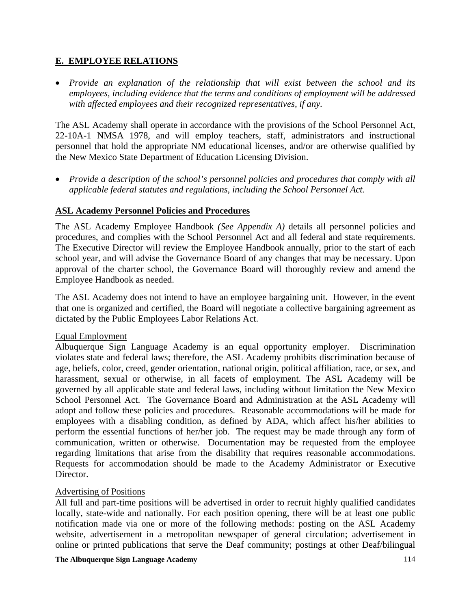# **E. EMPLOYEE RELATIONS**

• *Provide an explanation of the relationship that will exist between the school and its employees, including evidence that the terms and conditions of employment will be addressed with affected employees and their recognized representatives, if any.* 

The ASL Academy shall operate in accordance with the provisions of the School Personnel Act, 22-10A-1 NMSA 1978, and will employ teachers, staff, administrators and instructional personnel that hold the appropriate NM educational licenses, and/or are otherwise qualified by the New Mexico State Department of Education Licensing Division.

• *Provide a description of the school's personnel policies and procedures that comply with all applicable federal statutes and regulations, including the School Personnel Act.* 

# **ASL Academy Personnel Policies and Procedures**

The ASL Academy Employee Handbook *(See Appendix A)* details all personnel policies and procedures, and complies with the School Personnel Act and all federal and state requirements. The Executive Director will review the Employee Handbook annually, prior to the start of each school year, and will advise the Governance Board of any changes that may be necessary. Upon approval of the charter school, the Governance Board will thoroughly review and amend the Employee Handbook as needed.

The ASL Academy does not intend to have an employee bargaining unit. However, in the event that one is organized and certified, the Board will negotiate a collective bargaining agreement as dictated by the Public Employees Labor Relations Act.

### Equal Employment

Albuquerque Sign Language Academy is an equal opportunity employer. Discrimination violates state and federal laws; therefore, the ASL Academy prohibits discrimination because of age, beliefs, color, creed, gender orientation, national origin, political affiliation, race, or sex, and harassment, sexual or otherwise, in all facets of employment. The ASL Academy will be governed by all applicable state and federal laws, including without limitation the New Mexico School Personnel Act. The Governance Board and Administration at the ASL Academy will adopt and follow these policies and procedures. Reasonable accommodations will be made for employees with a disabling condition, as defined by ADA, which affect his/her abilities to perform the essential functions of her/her job. The request may be made through any form of communication, written or otherwise. Documentation may be requested from the employee regarding limitations that arise from the disability that requires reasonable accommodations. Requests for accommodation should be made to the Academy Administrator or Executive Director.

### Advertising of Positions

All full and part-time positions will be advertised in order to recruit highly qualified candidates locally, state-wide and nationally. For each position opening, there will be at least one public notification made via one or more of the following methods: posting on the ASL Academy website, advertisement in a metropolitan newspaper of general circulation; advertisement in online or printed publications that serve the Deaf community; postings at other Deaf/bilingual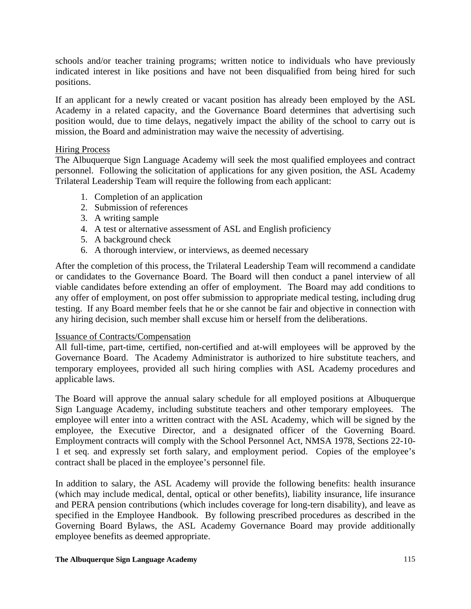schools and/or teacher training programs; written notice to individuals who have previously indicated interest in like positions and have not been disqualified from being hired for such positions.

If an applicant for a newly created or vacant position has already been employed by the ASL Academy in a related capacity, and the Governance Board determines that advertising such position would, due to time delays, negatively impact the ability of the school to carry out is mission, the Board and administration may waive the necessity of advertising.

#### Hiring Process

The Albuquerque Sign Language Academy will seek the most qualified employees and contract personnel. Following the solicitation of applications for any given position, the ASL Academy Trilateral Leadership Team will require the following from each applicant:

- 1. Completion of an application
- 2. Submission of references
- 3. A writing sample
- 4. A test or alternative assessment of ASL and English proficiency
- 5. A background check
- 6. A thorough interview, or interviews, as deemed necessary

After the completion of this process, the Trilateral Leadership Team will recommend a candidate or candidates to the Governance Board. The Board will then conduct a panel interview of all viable candidates before extending an offer of employment. The Board may add conditions to any offer of employment, on post offer submission to appropriate medical testing, including drug testing. If any Board member feels that he or she cannot be fair and objective in connection with any hiring decision, such member shall excuse him or herself from the deliberations.

### Issuance of Contracts/Compensation

All full-time, part-time, certified, non-certified and at-will employees will be approved by the Governance Board. The Academy Administrator is authorized to hire substitute teachers, and temporary employees, provided all such hiring complies with ASL Academy procedures and applicable laws.

The Board will approve the annual salary schedule for all employed positions at Albuquerque Sign Language Academy, including substitute teachers and other temporary employees. The employee will enter into a written contract with the ASL Academy, which will be signed by the employee, the Executive Director, and a designated officer of the Governing Board. Employment contracts will comply with the School Personnel Act, NMSA 1978, Sections 22-10- 1 et seq. and expressly set forth salary, and employment period. Copies of the employee's contract shall be placed in the employee's personnel file.

In addition to salary, the ASL Academy will provide the following benefits: health insurance (which may include medical, dental, optical or other benefits), liability insurance, life insurance and PERA pension contributions (which includes coverage for long-tern disability), and leave as specified in the Employee Handbook. By following prescribed procedures as described in the Governing Board Bylaws, the ASL Academy Governance Board may provide additionally employee benefits as deemed appropriate.

#### **The Albuquerque Sign Language Academy**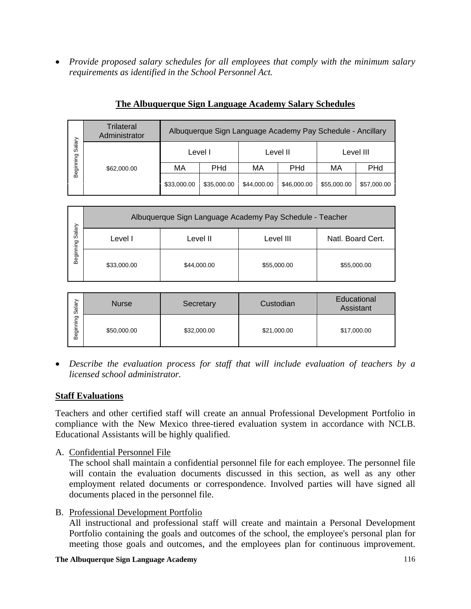• *Provide proposed salary schedules for all employees that comply with the minimum salary requirements as identified in the School Personnel Act.* 

|                     | Trilateral<br>Administrator | Albuquerque Sign Language Academy Pay Schedule - Ancillary |             |             |             |             |             |
|---------------------|-----------------------------|------------------------------------------------------------|-------------|-------------|-------------|-------------|-------------|
| Salary<br>Beginning | \$62,000.00                 | Level I                                                    |             | Level II    |             | Level III   |             |
|                     |                             | МA                                                         | <b>PHd</b>  | МA          | PHd         | МA          | <b>PHd</b>  |
|                     |                             | \$33,000.00                                                | \$35,000.00 | \$44,000.00 | \$46,000.00 | \$55,000.00 | \$57,000.00 |

# **The Albuquerque Sign Language Academy Salary Schedules**

| Salary    | Albuquerque Sign Language Academy Pay Schedule - Teacher |             |             |                   |  |
|-----------|----------------------------------------------------------|-------------|-------------|-------------------|--|
|           | Level I                                                  | Level II    | Level III   | Natl. Board Cert. |  |
| Beginning | \$33,000.00                                              | \$44,000.00 | \$55,000.00 | \$55,000.00       |  |

| Salary    | <b>Nurse</b> | Secretary   | Custodian   | Educational<br>Assistant |
|-----------|--------------|-------------|-------------|--------------------------|
| Beginning | \$50,000.00  | \$32,000.00 | \$21,000.00 | \$17,000.00              |

• *Describe the evaluation process for staff that will include evaluation of teachers by a licensed school administrator.* 

# **Staff Evaluations**

Teachers and other certified staff will create an annual Professional Development Portfolio in compliance with the New Mexico three-tiered evaluation system in accordance with NCLB. Educational Assistants will be highly qualified.

A. Confidential Personnel File

The school shall maintain a confidential personnel file for each employee. The personnel file will contain the evaluation documents discussed in this section, as well as any other employment related documents or correspondence. Involved parties will have signed all documents placed in the personnel file.

B. Professional Development Portfolio

All instructional and professional staff will create and maintain a Personal Development Portfolio containing the goals and outcomes of the school, the employee's personal plan for meeting those goals and outcomes, and the employees plan for continuous improvement.

#### **The Albuquerque Sign Language Academy**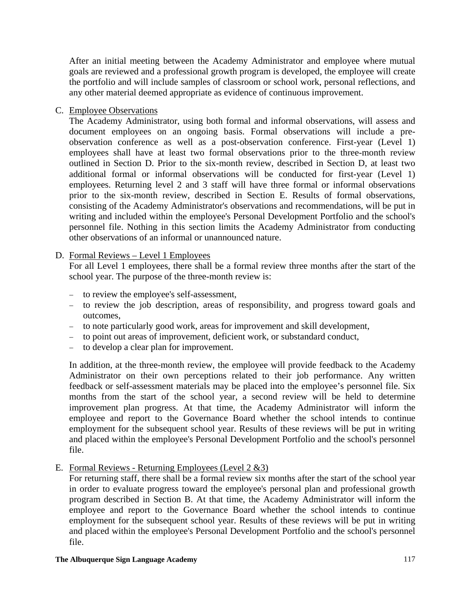After an initial meeting between the Academy Administrator and employee where mutual goals are reviewed and a professional growth program is developed, the employee will create the portfolio and will include samples of classroom or school work, personal reflections, and any other material deemed appropriate as evidence of continuous improvement.

C. Employee Observations

The Academy Administrator, using both formal and informal observations, will assess and document employees on an ongoing basis. Formal observations will include a preobservation conference as well as a post-observation conference. First-year (Level 1) employees shall have at least two formal observations prior to the three-month review outlined in Section D. Prior to the six-month review, described in Section D, at least two additional formal or informal observations will be conducted for first-year (Level 1) employees. Returning level 2 and 3 staff will have three formal or informal observations prior to the six-month review, described in Section E. Results of formal observations, consisting of the Academy Administrator's observations and recommendations, will be put in writing and included within the employee's Personal Development Portfolio and the school's personnel file. Nothing in this section limits the Academy Administrator from conducting other observations of an informal or unannounced nature.

### D. Formal Reviews – Level 1 Employees

For all Level 1 employees, there shall be a formal review three months after the start of the school year. The purpose of the three-month review is:

- − to review the employee's self-assessment,
- − to review the job description, areas of responsibility, and progress toward goals and outcomes,
- − to note particularly good work, areas for improvement and skill development,
- − to point out areas of improvement, deficient work, or substandard conduct,
- − to develop a clear plan for improvement.

In addition, at the three-month review, the employee will provide feedback to the Academy Administrator on their own perceptions related to their job performance. Any written feedback or self-assessment materials may be placed into the employee's personnel file. Six months from the start of the school year, a second review will be held to determine improvement plan progress. At that time, the Academy Administrator will inform the employee and report to the Governance Board whether the school intends to continue employment for the subsequent school year. Results of these reviews will be put in writing and placed within the employee's Personal Development Portfolio and the school's personnel file.

E. Formal Reviews - Returning Employees (Level 2 &3)

For returning staff, there shall be a formal review six months after the start of the school year in order to evaluate progress toward the employee's personal plan and professional growth program described in Section B. At that time, the Academy Administrator will inform the employee and report to the Governance Board whether the school intends to continue employment for the subsequent school year. Results of these reviews will be put in writing and placed within the employee's Personal Development Portfolio and the school's personnel file.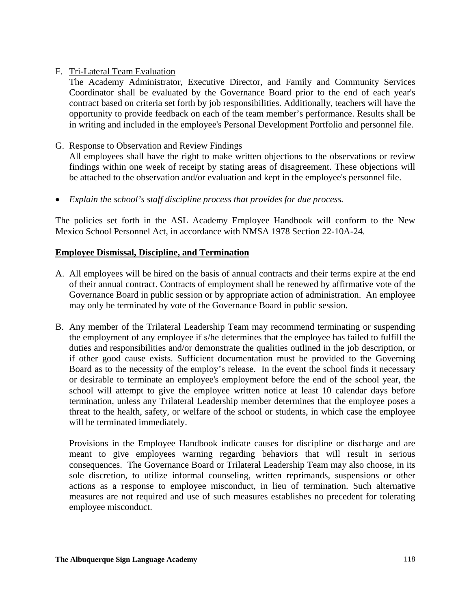### F. Tri-Lateral Team Evaluation

The Academy Administrator, Executive Director, and Family and Community Services Coordinator shall be evaluated by the Governance Board prior to the end of each year's contract based on criteria set forth by job responsibilities. Additionally, teachers will have the opportunity to provide feedback on each of the team member's performance. Results shall be in writing and included in the employee's Personal Development Portfolio and personnel file.

### G. Response to Observation and Review Findings

All employees shall have the right to make written objections to the observations or review findings within one week of receipt by stating areas of disagreement. These objections will be attached to the observation and/or evaluation and kept in the employee's personnel file.

• *Explain the school's staff discipline process that provides for due process.* 

The policies set forth in the ASL Academy Employee Handbook will conform to the New Mexico School Personnel Act, in accordance with NMSA 1978 Section 22-10A-24.

### **Employee Dismissal, Discipline, and Termination**

- A. All employees will be hired on the basis of annual contracts and their terms expire at the end of their annual contract. Contracts of employment shall be renewed by affirmative vote of the Governance Board in public session or by appropriate action of administration. An employee may only be terminated by vote of the Governance Board in public session.
- B. Any member of the Trilateral Leadership Team may recommend terminating or suspending the employment of any employee if s/he determines that the employee has failed to fulfill the duties and responsibilities and/or demonstrate the qualities outlined in the job description, or if other good cause exists. Sufficient documentation must be provided to the Governing Board as to the necessity of the employ's release. In the event the school finds it necessary or desirable to terminate an employee's employment before the end of the school year, the school will attempt to give the employee written notice at least 10 calendar days before termination, unless any Trilateral Leadership member determines that the employee poses a threat to the health, safety, or welfare of the school or students, in which case the employee will be terminated immediately.

Provisions in the Employee Handbook indicate causes for discipline or discharge and are meant to give employees warning regarding behaviors that will result in serious consequences. The Governance Board or Trilateral Leadership Team may also choose, in its sole discretion, to utilize informal counseling, written reprimands, suspensions or other actions as a response to employee misconduct, in lieu of termination. Such alternative measures are not required and use of such measures establishes no precedent for tolerating employee misconduct.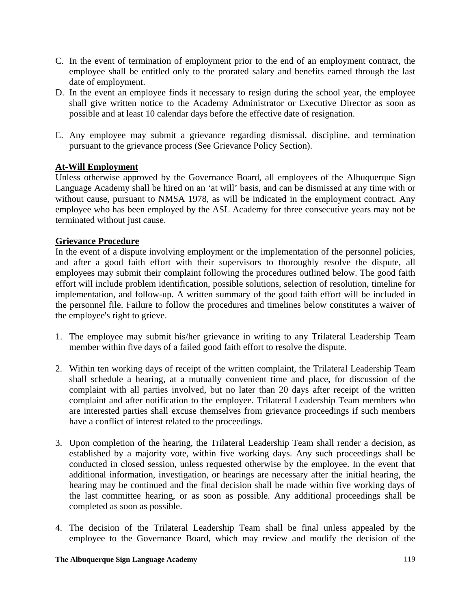- C. In the event of termination of employment prior to the end of an employment contract, the employee shall be entitled only to the prorated salary and benefits earned through the last date of employment.
- D. In the event an employee finds it necessary to resign during the school year, the employee shall give written notice to the Academy Administrator or Executive Director as soon as possible and at least 10 calendar days before the effective date of resignation.
- E. Any employee may submit a grievance regarding dismissal, discipline, and termination pursuant to the grievance process (See Grievance Policy Section).

# **At-Will Employment**

Unless otherwise approved by the Governance Board, all employees of the Albuquerque Sign Language Academy shall be hired on an 'at will' basis, and can be dismissed at any time with or without cause, pursuant to NMSA 1978, as will be indicated in the employment contract. Any employee who has been employed by the ASL Academy for three consecutive years may not be terminated without just cause.

### **Grievance Procedure**

In the event of a dispute involving employment or the implementation of the personnel policies, and after a good faith effort with their supervisors to thoroughly resolve the dispute, all employees may submit their complaint following the procedures outlined below. The good faith effort will include problem identification, possible solutions, selection of resolution, timeline for implementation, and follow-up. A written summary of the good faith effort will be included in the personnel file. Failure to follow the procedures and timelines below constitutes a waiver of the employee's right to grieve.

- 1. The employee may submit his/her grievance in writing to any Trilateral Leadership Team member within five days of a failed good faith effort to resolve the dispute.
- 2. Within ten working days of receipt of the written complaint, the Trilateral Leadership Team shall schedule a hearing, at a mutually convenient time and place, for discussion of the complaint with all parties involved, but no later than 20 days after receipt of the written complaint and after notification to the employee. Trilateral Leadership Team members who are interested parties shall excuse themselves from grievance proceedings if such members have a conflict of interest related to the proceedings.
- 3. Upon completion of the hearing, the Trilateral Leadership Team shall render a decision, as established by a majority vote, within five working days. Any such proceedings shall be conducted in closed session, unless requested otherwise by the employee. In the event that additional information, investigation, or hearings are necessary after the initial hearing, the hearing may be continued and the final decision shall be made within five working days of the last committee hearing, or as soon as possible. Any additional proceedings shall be completed as soon as possible.
- 4. The decision of the Trilateral Leadership Team shall be final unless appealed by the employee to the Governance Board, which may review and modify the decision of the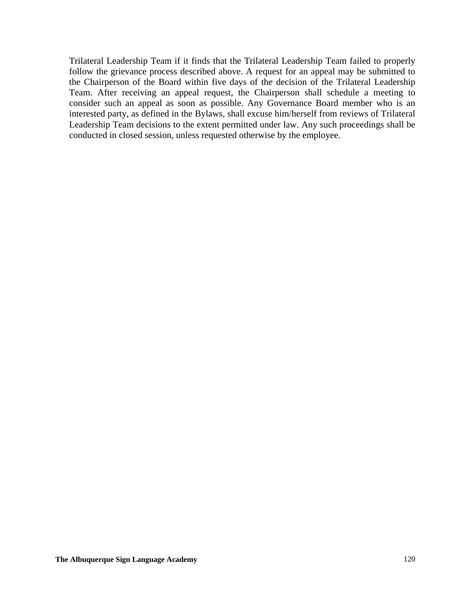Trilateral Leadership Team if it finds that the Trilateral Leadership Team failed to properly follow the grievance process described above. A request for an appeal may be submitted to the Chairperson of the Board within five days of the decision of the Trilateral Leadership Team. After receiving an appeal request, the Chairperson shall schedule a meeting to consider such an appeal as soon as possible. Any Governance Board member who is an interested party, as defined in the Bylaws, shall excuse him/herself from reviews of Trilateral Leadership Team decisions to the extent permitted under law. Any such proceedings shall be conducted in closed session, unless requested otherwise by the employee.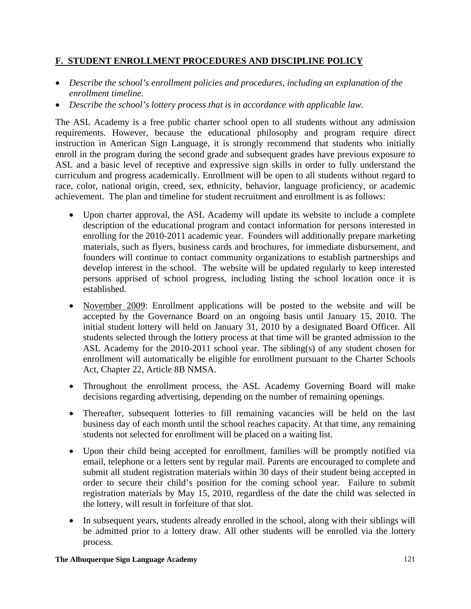# **F. STUDENT ENROLLMENT PROCEDURES AND DISCIPLINE POLICY**

- *Describe the school's enrollment policies and procedures, including an explanation of the enrollment timeline.*
- *Describe the school's lottery process that is in accordance with applicable law.*

The ASL Academy is a free public charter school open to all students without any admission requirements. However, because the educational philosophy and program require direct instruction in American Sign Language, it is strongly recommend that students who initially enroll in the program during the second grade and subsequent grades have previous exposure to ASL and a basic level of receptive and expressive sign skills in order to fully understand the curriculum and progress academically. Enrollment will be open to all students without regard to race, color, national origin, creed, sex, ethnicity, behavior, language proficiency, or academic achievement. The plan and timeline for student recruitment and enrollment is as follows:

- Upon charter approval, the ASL Academy will update its website to include a complete description of the educational program and contact information for persons interested in enrolling for the 2010-2011 academic year. Founders will additionally prepare marketing materials, such as flyers, business cards and brochures, for immediate disbursement, and founders will continue to contact community organizations to establish partnerships and develop interest in the school. The website will be updated regularly to keep interested persons apprised of school progress, including listing the school location once it is established.
- November 2009: Enrollment applications will be posted to the website and will be accepted by the Governance Board on an ongoing basis until January 15, 2010. The initial student lottery will held on January 31, 2010 by a designated Board Officer. All students selected through the lottery process at that time will be granted admission to the ASL Academy for the 2010-2011 school year. The sibling(s) of any student chosen for enrollment will automatically be eligible for enrollment pursuant to the Charter Schools Act, Chapter 22, Article 8B NMSA.
- Throughout the enrollment process, the ASL Academy Governing Board will make decisions regarding advertising, depending on the number of remaining openings.
- Thereafter, subsequent lotteries to fill remaining vacancies will be held on the last business day of each month until the school reaches capacity. At that time, any remaining students not selected for enrollment will be placed on a waiting list.
- Upon their child being accepted for enrollment, families will be promptly notified via email, telephone or a letters sent by regular mail. Parents are encouraged to complete and submit all student registration materials within 30 days of their student being accepted in order to secure their child's position for the coming school year. Failure to submit registration materials by May 15, 2010, regardless of the date the child was selected in the lottery, will result in forfeiture of that slot.
- In subsequent years, students already enrolled in the school, along with their siblings will be admitted prior to a lottery draw. All other students will be enrolled via the lottery process.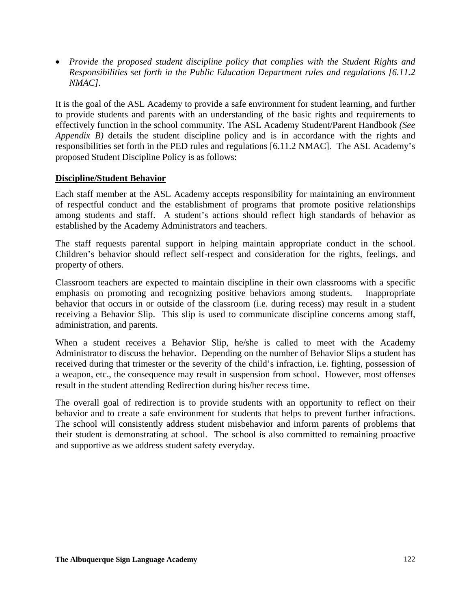• *Provide the proposed student discipline policy that complies with the Student Rights and Responsibilities set forth in the Public Education Department rules and regulations [6.11.2 NMAC].* 

It is the goal of the ASL Academy to provide a safe environment for student learning, and further to provide students and parents with an understanding of the basic rights and requirements to effectively function in the school community. The ASL Academy Student/Parent Handbook *(See Appendix B)* details the student discipline policy and is in accordance with the rights and responsibilities set forth in the PED rules and regulations [6.11.2 NMAC]. The ASL Academy's proposed Student Discipline Policy is as follows:

### **Discipline/Student Behavior**

Each staff member at the ASL Academy accepts responsibility for maintaining an environment of respectful conduct and the establishment of programs that promote positive relationships among students and staff. A student's actions should reflect high standards of behavior as established by the Academy Administrators and teachers.

The staff requests parental support in helping maintain appropriate conduct in the school. Children's behavior should reflect self-respect and consideration for the rights, feelings, and property of others.

Classroom teachers are expected to maintain discipline in their own classrooms with a specific emphasis on promoting and recognizing positive behaviors among students. Inappropriate behavior that occurs in or outside of the classroom (i.e. during recess) may result in a student receiving a Behavior Slip. This slip is used to communicate discipline concerns among staff, administration, and parents.

When a student receives a Behavior Slip, he/she is called to meet with the Academy Administrator to discuss the behavior. Depending on the number of Behavior Slips a student has received during that trimester or the severity of the child's infraction, i.e. fighting, possession of a weapon, etc., the consequence may result in suspension from school. However, most offenses result in the student attending Redirection during his/her recess time.

The overall goal of redirection is to provide students with an opportunity to reflect on their behavior and to create a safe environment for students that helps to prevent further infractions. The school will consistently address student misbehavior and inform parents of problems that their student is demonstrating at school. The school is also committed to remaining proactive and supportive as we address student safety everyday.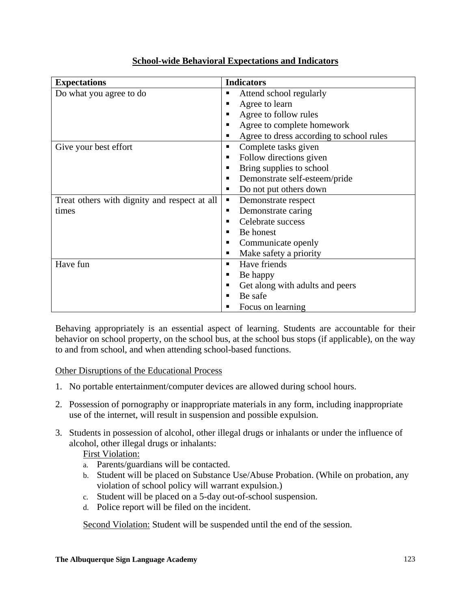| <b>Expectations</b>                          | <b>Indicators</b>                             |
|----------------------------------------------|-----------------------------------------------|
| Do what you agree to do                      | Attend school regularly<br>٠                  |
|                                              | Agree to learn<br>٠                           |
|                                              | Agree to follow rules<br>٠                    |
|                                              | Agree to complete homework<br>п               |
|                                              | Agree to dress according to school rules<br>ш |
| Give your best effort                        | Complete tasks given<br>٠                     |
|                                              | Follow directions given<br>п                  |
|                                              | Bring supplies to school<br>٠                 |
|                                              | Demonstrate self-esteem/pride<br>٠            |
|                                              | Do not put others down                        |
| Treat others with dignity and respect at all | Demonstrate respect<br>п                      |
| times                                        | Demonstrate caring<br>٠                       |
|                                              | Celebrate success                             |
|                                              | Be honest<br>٠                                |
|                                              | Communicate openly<br>п                       |
|                                              | Make safety a priority<br>٠                   |
| Have fun                                     | Have friends<br>٠                             |
|                                              | Be happy<br>٠                                 |
|                                              | Get along with adults and peers<br>٠          |
|                                              | Be safe                                       |
|                                              | Focus on learning                             |

# **School-wide Behavioral Expectations and Indicators**

Behaving appropriately is an essential aspect of learning. Students are accountable for their behavior on school property, on the school bus, at the school bus stops (if applicable), on the way to and from school, and when attending school-based functions.

# Other Disruptions of the Educational Process

- 1. No portable entertainment/computer devices are allowed during school hours.
- 2. Possession of pornography or inappropriate materials in any form, including inappropriate use of the internet, will result in suspension and possible expulsion.
- 3. Students in possession of alcohol, other illegal drugs or inhalants or under the influence of alcohol, other illegal drugs or inhalants:

# First Violation:

- a. Parents/guardians will be contacted.
- b. Student will be placed on Substance Use/Abuse Probation. (While on probation, any violation of school policy will warrant expulsion.)
- c. Student will be placed on a 5-day out-of-school suspension.
- d. Police report will be filed on the incident.

Second Violation: Student will be suspended until the end of the session.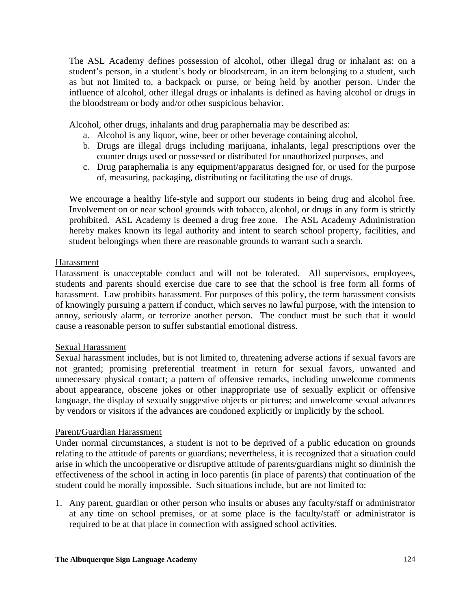The ASL Academy defines possession of alcohol, other illegal drug or inhalant as: on a student's person, in a student's body or bloodstream, in an item belonging to a student, such as but not limited to, a backpack or purse, or being held by another person. Under the influence of alcohol, other illegal drugs or inhalants is defined as having alcohol or drugs in the bloodstream or body and/or other suspicious behavior.

Alcohol, other drugs, inhalants and drug paraphernalia may be described as:

- a. Alcohol is any liquor, wine, beer or other beverage containing alcohol,
- b. Drugs are illegal drugs including marijuana, inhalants, legal prescriptions over the counter drugs used or possessed or distributed for unauthorized purposes, and
- c. Drug paraphernalia is any equipment/apparatus designed for, or used for the purpose of, measuring, packaging, distributing or facilitating the use of drugs.

We encourage a healthy life-style and support our students in being drug and alcohol free. Involvement on or near school grounds with tobacco, alcohol, or drugs in any form is strictly prohibited. ASL Academy is deemed a drug free zone. The ASL Academy Administration hereby makes known its legal authority and intent to search school property, facilities, and student belongings when there are reasonable grounds to warrant such a search.

### Harassment

Harassment is unacceptable conduct and will not be tolerated. All supervisors, employees, students and parents should exercise due care to see that the school is free form all forms of harassment. Law prohibits harassment. For purposes of this policy, the term harassment consists of knowingly pursuing a pattern if conduct, which serves no lawful purpose, with the intension to annoy, seriously alarm, or terrorize another person. The conduct must be such that it would cause a reasonable person to suffer substantial emotional distress.

### Sexual Harassment

Sexual harassment includes, but is not limited to, threatening adverse actions if sexual favors are not granted; promising preferential treatment in return for sexual favors, unwanted and unnecessary physical contact; a pattern of offensive remarks, including unwelcome comments about appearance, obscene jokes or other inappropriate use of sexually explicit or offensive language, the display of sexually suggestive objects or pictures; and unwelcome sexual advances by vendors or visitors if the advances are condoned explicitly or implicitly by the school.

### Parent/Guardian Harassment

Under normal circumstances, a student is not to be deprived of a public education on grounds relating to the attitude of parents or guardians; nevertheless, it is recognized that a situation could arise in which the uncooperative or disruptive attitude of parents/guardians might so diminish the effectiveness of the school in acting in loco parentis (in place of parents) that continuation of the student could be morally impossible. Such situations include, but are not limited to:

1. Any parent, guardian or other person who insults or abuses any faculty/staff or administrator at any time on school premises, or at some place is the faculty/staff or administrator is required to be at that place in connection with assigned school activities.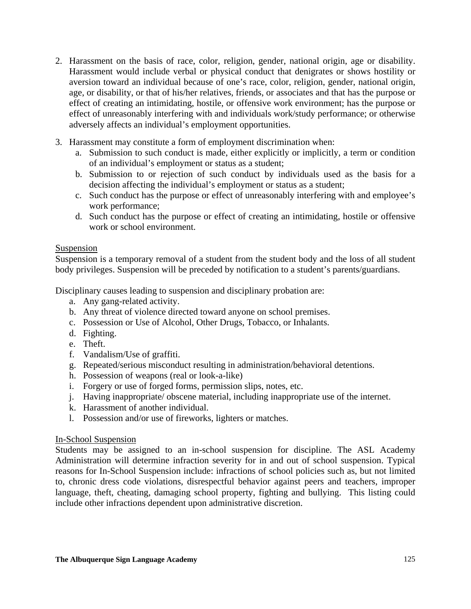- 2. Harassment on the basis of race, color, religion, gender, national origin, age or disability. Harassment would include verbal or physical conduct that denigrates or shows hostility or aversion toward an individual because of one's race, color, religion, gender, national origin, age, or disability, or that of his/her relatives, friends, or associates and that has the purpose or effect of creating an intimidating, hostile, or offensive work environment; has the purpose or effect of unreasonably interfering with and individuals work/study performance; or otherwise adversely affects an individual's employment opportunities.
- 3. Harassment may constitute a form of employment discrimination when:
	- a. Submission to such conduct is made, either explicitly or implicitly, a term or condition of an individual's employment or status as a student;
	- b. Submission to or rejection of such conduct by individuals used as the basis for a decision affecting the individual's employment or status as a student;
	- c. Such conduct has the purpose or effect of unreasonably interfering with and employee's work performance;
	- d. Such conduct has the purpose or effect of creating an intimidating, hostile or offensive work or school environment.

### **Suspension**

Suspension is a temporary removal of a student from the student body and the loss of all student body privileges. Suspension will be preceded by notification to a student's parents/guardians.

Disciplinary causes leading to suspension and disciplinary probation are:

- a. Any gang-related activity.
- b. Any threat of violence directed toward anyone on school premises.
- c. Possession or Use of Alcohol, Other Drugs, Tobacco, or Inhalants.
- d. Fighting.
- e. Theft.
- f. Vandalism/Use of graffiti.
- g. Repeated/serious misconduct resulting in administration/behavioral detentions.
- h. Possession of weapons (real or look-a-like)
- i. Forgery or use of forged forms, permission slips, notes, etc.
- j. Having inappropriate/ obscene material, including inappropriate use of the internet.
- k. Harassment of another individual.
- l. Possession and/or use of fireworks, lighters or matches.

### In-School Suspension

Students may be assigned to an in-school suspension for discipline. The ASL Academy Administration will determine infraction severity for in and out of school suspension. Typical reasons for In-School Suspension include: infractions of school policies such as, but not limited to, chronic dress code violations, disrespectful behavior against peers and teachers, improper language, theft, cheating, damaging school property, fighting and bullying. This listing could include other infractions dependent upon administrative discretion.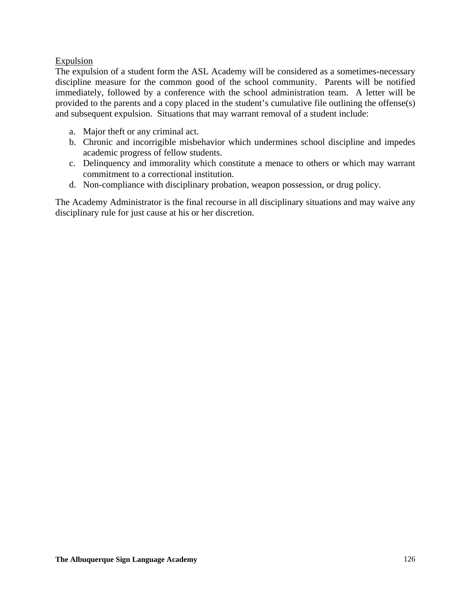### Expulsion

The expulsion of a student form the ASL Academy will be considered as a sometimes-necessary discipline measure for the common good of the school community. Parents will be notified immediately, followed by a conference with the school administration team. A letter will be provided to the parents and a copy placed in the student's cumulative file outlining the offense(s) and subsequent expulsion. Situations that may warrant removal of a student include:

- a. Major theft or any criminal act.
- b. Chronic and incorrigible misbehavior which undermines school discipline and impedes academic progress of fellow students.
- c. Delinquency and immorality which constitute a menace to others or which may warrant commitment to a correctional institution.
- d. Non-compliance with disciplinary probation, weapon possession, or drug policy.

The Academy Administrator is the final recourse in all disciplinary situations and may waive any disciplinary rule for just cause at his or her discretion.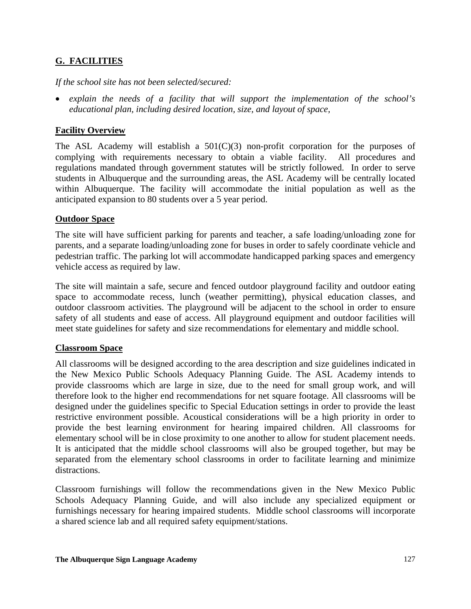# **G. FACILITIES**

*If the school site has not been selected/secured:* 

• *explain the needs of a facility that will support the implementation of the school's educational plan, including desired location, size, and layout of space,* 

### **Facility Overview**

The ASL Academy will establish a  $501(C)(3)$  non-profit corporation for the purposes of complying with requirements necessary to obtain a viable facility. All procedures and regulations mandated through government statutes will be strictly followed. In order to serve students in Albuquerque and the surrounding areas, the ASL Academy will be centrally located within Albuquerque. The facility will accommodate the initial population as well as the anticipated expansion to 80 students over a 5 year period.

### **Outdoor Space**

The site will have sufficient parking for parents and teacher, a safe loading/unloading zone for parents, and a separate loading/unloading zone for buses in order to safely coordinate vehicle and pedestrian traffic. The parking lot will accommodate handicapped parking spaces and emergency vehicle access as required by law.

The site will maintain a safe, secure and fenced outdoor playground facility and outdoor eating space to accommodate recess, lunch (weather permitting), physical education classes, and outdoor classroom activities. The playground will be adjacent to the school in order to ensure safety of all students and ease of access. All playground equipment and outdoor facilities will meet state guidelines for safety and size recommendations for elementary and middle school.

### **Classroom Space**

All classrooms will be designed according to the area description and size guidelines indicated in the New Mexico Public Schools Adequacy Planning Guide. The ASL Academy intends to provide classrooms which are large in size, due to the need for small group work, and will therefore look to the higher end recommendations for net square footage. All classrooms will be designed under the guidelines specific to Special Education settings in order to provide the least restrictive environment possible. Acoustical considerations will be a high priority in order to provide the best learning environment for hearing impaired children. All classrooms for elementary school will be in close proximity to one another to allow for student placement needs. It is anticipated that the middle school classrooms will also be grouped together, but may be separated from the elementary school classrooms in order to facilitate learning and minimize distractions.

Classroom furnishings will follow the recommendations given in the New Mexico Public Schools Adequacy Planning Guide, and will also include any specialized equipment or furnishings necessary for hearing impaired students. Middle school classrooms will incorporate a shared science lab and all required safety equipment/stations.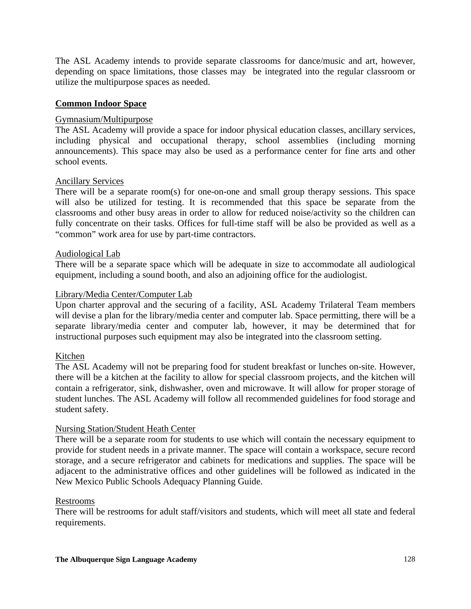The ASL Academy intends to provide separate classrooms for dance/music and art, however, depending on space limitations, those classes may be integrated into the regular classroom or utilize the multipurpose spaces as needed.

### **Common Indoor Space**

#### Gymnasium/Multipurpose

The ASL Academy will provide a space for indoor physical education classes, ancillary services, including physical and occupational therapy, school assemblies (including morning announcements). This space may also be used as a performance center for fine arts and other school events.

#### Ancillary Services

There will be a separate room(s) for one-on-one and small group therapy sessions. This space will also be utilized for testing. It is recommended that this space be separate from the classrooms and other busy areas in order to allow for reduced noise/activity so the children can fully concentrate on their tasks. Offices for full-time staff will be also be provided as well as a "common" work area for use by part-time contractors.

#### Audiological Lab

There will be a separate space which will be adequate in size to accommodate all audiological equipment, including a sound booth, and also an adjoining office for the audiologist.

#### Library/Media Center/Computer Lab

Upon charter approval and the securing of a facility, ASL Academy Trilateral Team members will devise a plan for the library/media center and computer lab. Space permitting, there will be a separate library/media center and computer lab, however, it may be determined that for instructional purposes such equipment may also be integrated into the classroom setting.

#### Kitchen

The ASL Academy will not be preparing food for student breakfast or lunches on-site. However, there will be a kitchen at the facility to allow for special classroom projects, and the kitchen will contain a refrigerator, sink, dishwasher, oven and microwave. It will allow for proper storage of student lunches. The ASL Academy will follow all recommended guidelines for food storage and student safety.

#### Nursing Station/Student Heath Center

There will be a separate room for students to use which will contain the necessary equipment to provide for student needs in a private manner. The space will contain a workspace, secure record storage, and a secure refrigerator and cabinets for medications and supplies. The space will be adjacent to the administrative offices and other guidelines will be followed as indicated in the New Mexico Public Schools Adequacy Planning Guide.

#### Restrooms

There will be restrooms for adult staff/visitors and students, which will meet all state and federal requirements.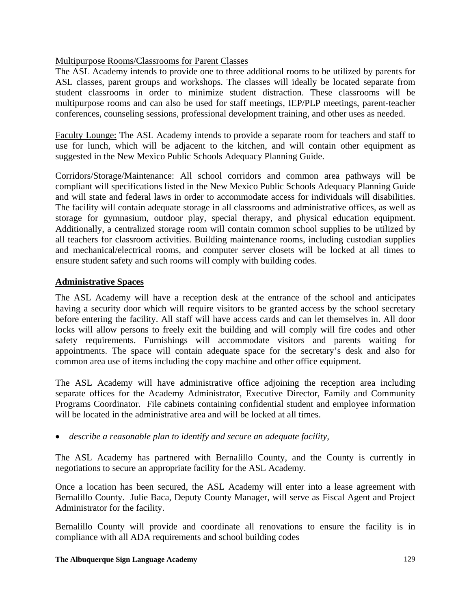# Multipurpose Rooms/Classrooms for Parent Classes

The ASL Academy intends to provide one to three additional rooms to be utilized by parents for ASL classes, parent groups and workshops. The classes will ideally be located separate from student classrooms in order to minimize student distraction. These classrooms will be multipurpose rooms and can also be used for staff meetings, IEP/PLP meetings, parent-teacher conferences, counseling sessions, professional development training, and other uses as needed.

Faculty Lounge: The ASL Academy intends to provide a separate room for teachers and staff to use for lunch, which will be adjacent to the kitchen, and will contain other equipment as suggested in the New Mexico Public Schools Adequacy Planning Guide.

Corridors/Storage/Maintenance: All school corridors and common area pathways will be compliant will specifications listed in the New Mexico Public Schools Adequacy Planning Guide and will state and federal laws in order to accommodate access for individuals will disabilities. The facility will contain adequate storage in all classrooms and administrative offices, as well as storage for gymnasium, outdoor play, special therapy, and physical education equipment. Additionally, a centralized storage room will contain common school supplies to be utilized by all teachers for classroom activities. Building maintenance rooms, including custodian supplies and mechanical/electrical rooms, and computer server closets will be locked at all times to ensure student safety and such rooms will comply with building codes.

### **Administrative Spaces**

The ASL Academy will have a reception desk at the entrance of the school and anticipates having a security door which will require visitors to be granted access by the school secretary before entering the facility. All staff will have access cards and can let themselves in. All door locks will allow persons to freely exit the building and will comply will fire codes and other safety requirements. Furnishings will accommodate visitors and parents waiting for appointments. The space will contain adequate space for the secretary's desk and also for common area use of items including the copy machine and other office equipment.

The ASL Academy will have administrative office adjoining the reception area including separate offices for the Academy Administrator, Executive Director, Family and Community Programs Coordinator. File cabinets containing confidential student and employee information will be located in the administrative area and will be locked at all times.

• *describe a reasonable plan to identify and secure an adequate facility,* 

The ASL Academy has partnered with Bernalillo County, and the County is currently in negotiations to secure an appropriate facility for the ASL Academy.

Once a location has been secured, the ASL Academy will enter into a lease agreement with Bernalillo County. Julie Baca, Deputy County Manager, will serve as Fiscal Agent and Project Administrator for the facility.

Bernalillo County will provide and coordinate all renovations to ensure the facility is in compliance with all ADA requirements and school building codes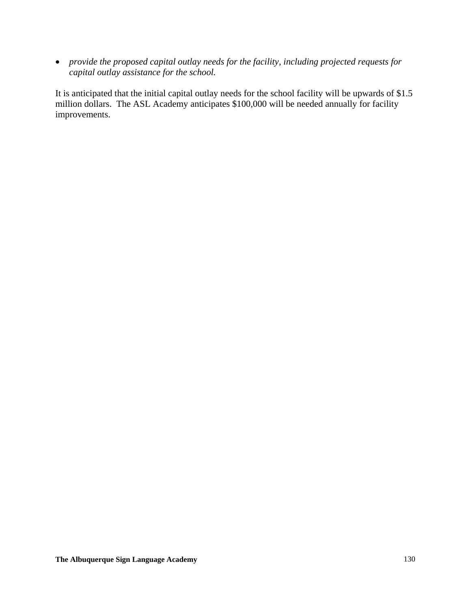• *provide the proposed capital outlay needs for the facility, including projected requests for capital outlay assistance for the school.* 

It is anticipated that the initial capital outlay needs for the school facility will be upwards of \$1.5 million dollars. The ASL Academy anticipates \$100,000 will be needed annually for facility improvements.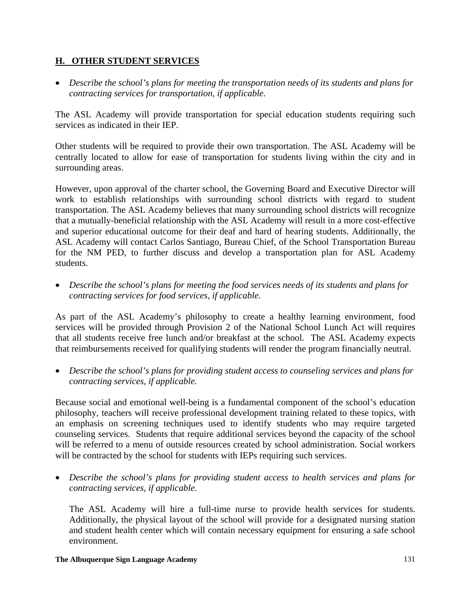# **H. OTHER STUDENT SERVICES**

• *Describe the school's plans for meeting the transportation needs of its students and plans for contracting services for transportation, if applicable.* 

The ASL Academy will provide transportation for special education students requiring such services as indicated in their IEP.

Other students will be required to provide their own transportation. The ASL Academy will be centrally located to allow for ease of transportation for students living within the city and in surrounding areas.

However, upon approval of the charter school, the Governing Board and Executive Director will work to establish relationships with surrounding school districts with regard to student transportation. The ASL Academy believes that many surrounding school districts will recognize that a mutually-beneficial relationship with the ASL Academy will result in a more cost-effective and superior educational outcome for their deaf and hard of hearing students. Additionally, the ASL Academy will contact Carlos Santiago, Bureau Chief, of the School Transportation Bureau for the NM PED, to further discuss and develop a transportation plan for ASL Academy students.

• *Describe the school's plans for meeting the food services needs of its students and plans for contracting services for food services, if applicable.* 

As part of the ASL Academy's philosophy to create a healthy learning environment, food services will be provided through Provision 2 of the National School Lunch Act will requires that all students receive free lunch and/or breakfast at the school. The ASL Academy expects that reimbursements received for qualifying students will render the program financially neutral.

• *Describe the school's plans for providing student access to counseling services and plans for contracting services, if applicable.* 

Because social and emotional well-being is a fundamental component of the school's education philosophy, teachers will receive professional development training related to these topics, with an emphasis on screening techniques used to identify students who may require targeted counseling services. Students that require additional services beyond the capacity of the school will be referred to a menu of outside resources created by school administration. Social workers will be contracted by the school for students with IEPs requiring such services.

• *Describe the school's plans for providing student access to health services and plans for contracting services, if applicable.* 

The ASL Academy will hire a full-time nurse to provide health services for students. Additionally, the physical layout of the school will provide for a designated nursing station and student health center which will contain necessary equipment for ensuring a safe school environment.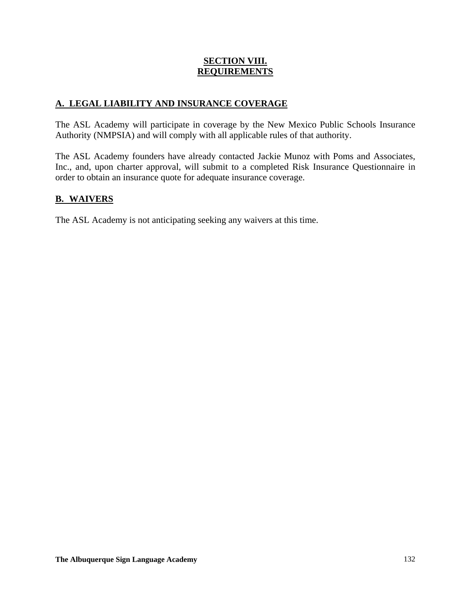### **SECTION VIII. REQUIREMENTS**

# **A. LEGAL LIABILITY AND INSURANCE COVERAGE**

The ASL Academy will participate in coverage by the New Mexico Public Schools Insurance Authority (NMPSIA) and will comply with all applicable rules of that authority.

The ASL Academy founders have already contacted Jackie Munoz with Poms and Associates, Inc., and, upon charter approval, will submit to a completed Risk Insurance Questionnaire in order to obtain an insurance quote for adequate insurance coverage.

# **B. WAIVERS**

The ASL Academy is not anticipating seeking any waivers at this time.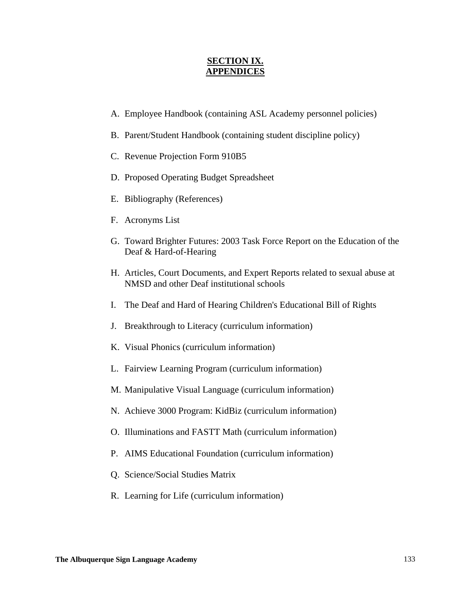#### **SECTION IX. APPENDICES**

- A. Employee Handbook (containing ASL Academy personnel policies)
- B. Parent/Student Handbook (containing student discipline policy)
- C. Revenue Projection Form 910B5
- D. Proposed Operating Budget Spreadsheet
- E. Bibliography (References)
- F. Acronyms List
- G. Toward Brighter Futures: 2003 Task Force Report on the Education of the Deaf & Hard-of-Hearing
- H. Articles, Court Documents, and Expert Reports related to sexual abuse at NMSD and other Deaf institutional schools
- I. The Deaf and Hard of Hearing Children's Educational Bill of Rights
- J. Breakthrough to Literacy (curriculum information)
- K. Visual Phonics (curriculum information)
- L. Fairview Learning Program (curriculum information)
- M. Manipulative Visual Language (curriculum information)
- N. Achieve 3000 Program: KidBiz (curriculum information)
- O. Illuminations and FASTT Math (curriculum information)
- P. AIMS Educational Foundation (curriculum information)
- Q. Science/Social Studies Matrix
- R. Learning for Life (curriculum information)